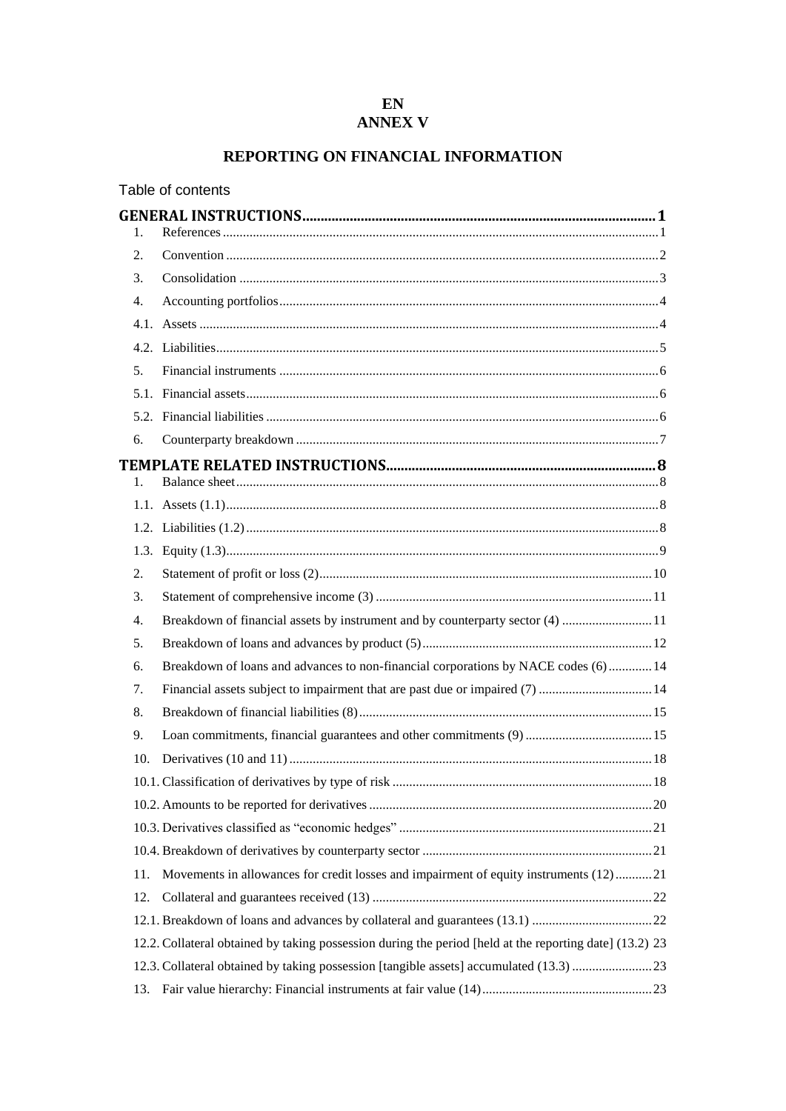# REPORTING ON FINANCIAL INFORMATION

|                | Table of contents                                                                                       |
|----------------|---------------------------------------------------------------------------------------------------------|
| 1.             |                                                                                                         |
| 2.             |                                                                                                         |
| 3.             |                                                                                                         |
| 4.             |                                                                                                         |
|                |                                                                                                         |
|                |                                                                                                         |
| 5 <sub>1</sub> |                                                                                                         |
|                |                                                                                                         |
|                |                                                                                                         |
| 6.             |                                                                                                         |
| $1_{-}$        |                                                                                                         |
|                |                                                                                                         |
|                |                                                                                                         |
|                |                                                                                                         |
| 2.             |                                                                                                         |
| 3.             |                                                                                                         |
| 4.             | Breakdown of financial assets by instrument and by counterparty sector (4)  11                          |
| 5.             |                                                                                                         |
| 6.             | Breakdown of loans and advances to non-financial corporations by NACE codes (6)  14                     |
| 7.             | Financial assets subject to impairment that are past due or impaired (7)  14                            |
| 8.             |                                                                                                         |
| 9.             |                                                                                                         |
| 10.            |                                                                                                         |
|                |                                                                                                         |
|                |                                                                                                         |
|                |                                                                                                         |
|                |                                                                                                         |
| 11.            | Movements in allowances for credit losses and impairment of equity instruments (12)21                   |
| 12.            |                                                                                                         |
|                |                                                                                                         |
|                | 12.2. Collateral obtained by taking possession during the period [held at the reporting date] (13.2) 23 |
|                | 12.3. Collateral obtained by taking possession [tangible assets] accumulated (13.3) 23                  |
| 13.            |                                                                                                         |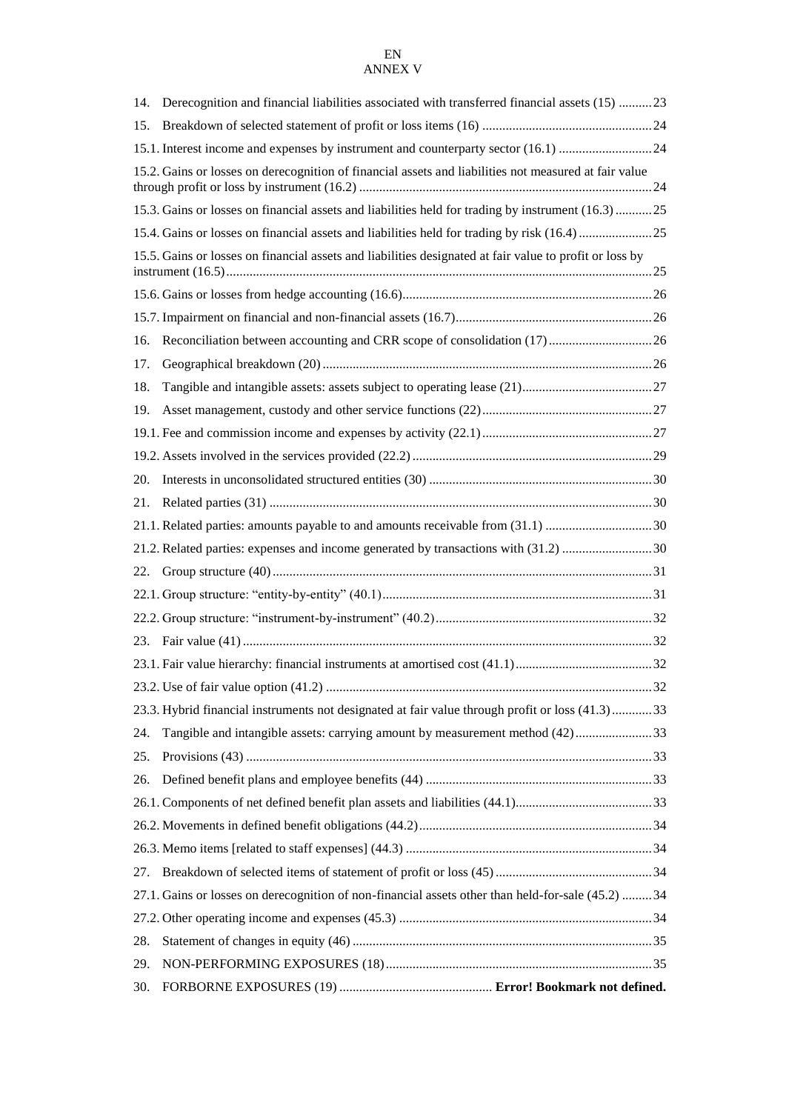| 14. | Derecognition and financial liabilities associated with transferred financial assets (15) 23            |  |
|-----|---------------------------------------------------------------------------------------------------------|--|
| 15. |                                                                                                         |  |
|     | 15.1. Interest income and expenses by instrument and counterparty sector (16.1) 24                      |  |
|     | 15.2. Gains or losses on derecognition of financial assets and liabilities not measured at fair value   |  |
|     | 15.3. Gains or losses on financial assets and liabilities held for trading by instrument (16.3)  25     |  |
|     |                                                                                                         |  |
|     | 15.5. Gains or losses on financial assets and liabilities designated at fair value to profit or loss by |  |
|     |                                                                                                         |  |
|     |                                                                                                         |  |
| 16. |                                                                                                         |  |
| 17. |                                                                                                         |  |
| 18. |                                                                                                         |  |
| 19. |                                                                                                         |  |
|     |                                                                                                         |  |
|     |                                                                                                         |  |
| 20. |                                                                                                         |  |
| 21. |                                                                                                         |  |
|     | 21.1. Related parties: amounts payable to and amounts receivable from (31.1) 30                         |  |
|     | 21.2. Related parties: expenses and income generated by transactions with (31.2) 30                     |  |
| 22. |                                                                                                         |  |
|     |                                                                                                         |  |
|     |                                                                                                         |  |
|     |                                                                                                         |  |
|     |                                                                                                         |  |
|     |                                                                                                         |  |
|     | 23.3. Hybrid financial instruments not designated at fair value through profit or loss (41.3)33         |  |
| 24. | Tangible and intangible assets: carrying amount by measurement method (42)33                            |  |
| 25. |                                                                                                         |  |
| 26. |                                                                                                         |  |
|     |                                                                                                         |  |
|     |                                                                                                         |  |
|     |                                                                                                         |  |
| 27. |                                                                                                         |  |
|     | 27.1. Gains or losses on derecognition of non-financial assets other than held-for-sale (45.2)  34      |  |
|     |                                                                                                         |  |
| 28. |                                                                                                         |  |
| 29. |                                                                                                         |  |
| 30. |                                                                                                         |  |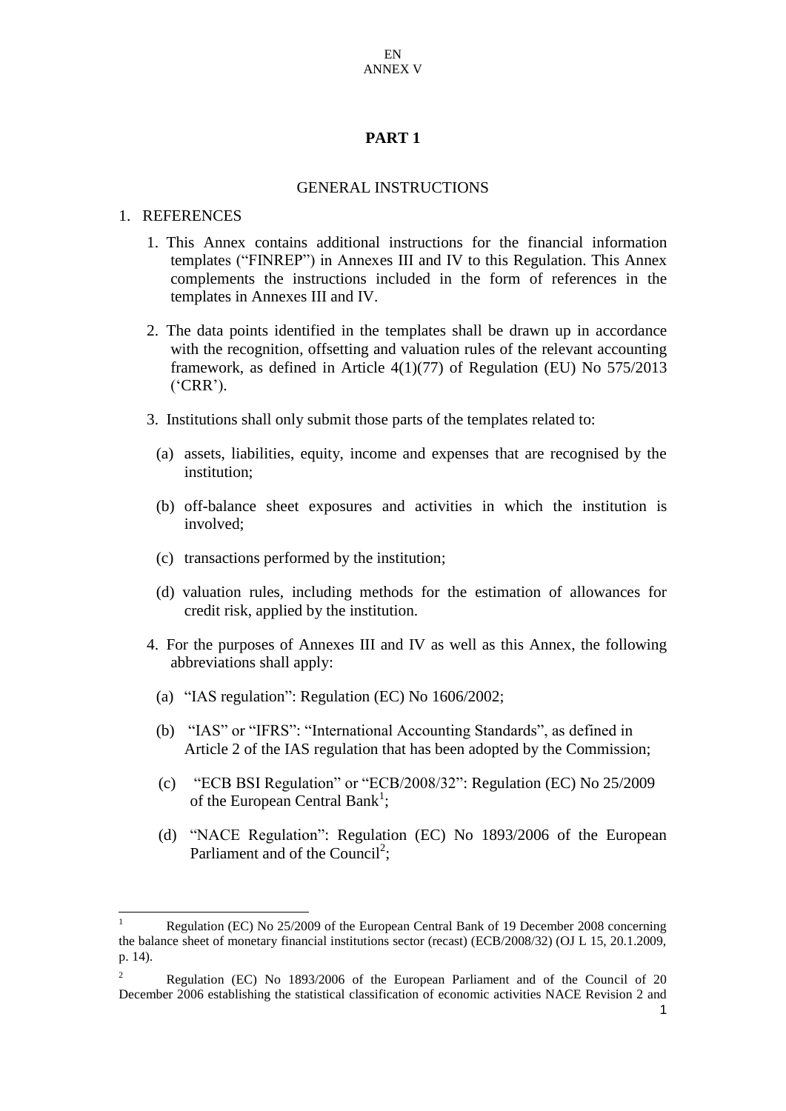### **PART 1**

#### GENERAL INSTRUCTIONS

#### 1. REFERENCES

-

- 1. This Annex contains additional instructions for the financial information templates ("FINREP") in Annexes III and IV to this Regulation. This Annex complements the instructions included in the form of references in the templates in Annexes III and IV.
- 2. The data points identified in the templates shall be drawn up in accordance with the recognition, offsetting and valuation rules of the relevant accounting framework, as defined in Article 4(1)(77) of Regulation (EU) No 575/2013 ('CRR').
- 3. Institutions shall only submit those parts of the templates related to:
	- (a) assets, liabilities, equity, income and expenses that are recognised by the institution;
	- (b) off-balance sheet exposures and activities in which the institution is involved;
	- (c) transactions performed by the institution;
	- (d) valuation rules, including methods for the estimation of allowances for credit risk, applied by the institution.
- 4. For the purposes of Annexes III and IV as well as this Annex, the following abbreviations shall apply:
	- (a) "IAS regulation": Regulation (EC) No 1606/2002;
	- (b) "IAS" or "IFRS": "International Accounting Standards", as defined in Article 2 of the IAS regulation that has been adopted by the Commission;
	- (c) "ECB BSI Regulation" or "ECB/2008/32": Regulation (EC) No 25/2009 of the European Central Bank<sup>1</sup>;
	- (d) "NACE Regulation": Regulation (EC) No 1893/2006 of the European Parliament and of the Council<sup>2</sup>;

<sup>1</sup> Regulation (EC) No 25/2009 of the European Central Bank of 19 December 2008 concerning the balance sheet of monetary financial institutions sector (recast) (ECB/2008/32) (OJ L 15, 20.1.2009, p. 14).

<sup>&</sup>lt;sup>2</sup> Regulation (EC) No 1893/2006 of the European Parliament and of the Council of 20 December 2006 establishing the statistical classification of economic activities NACE Revision 2 and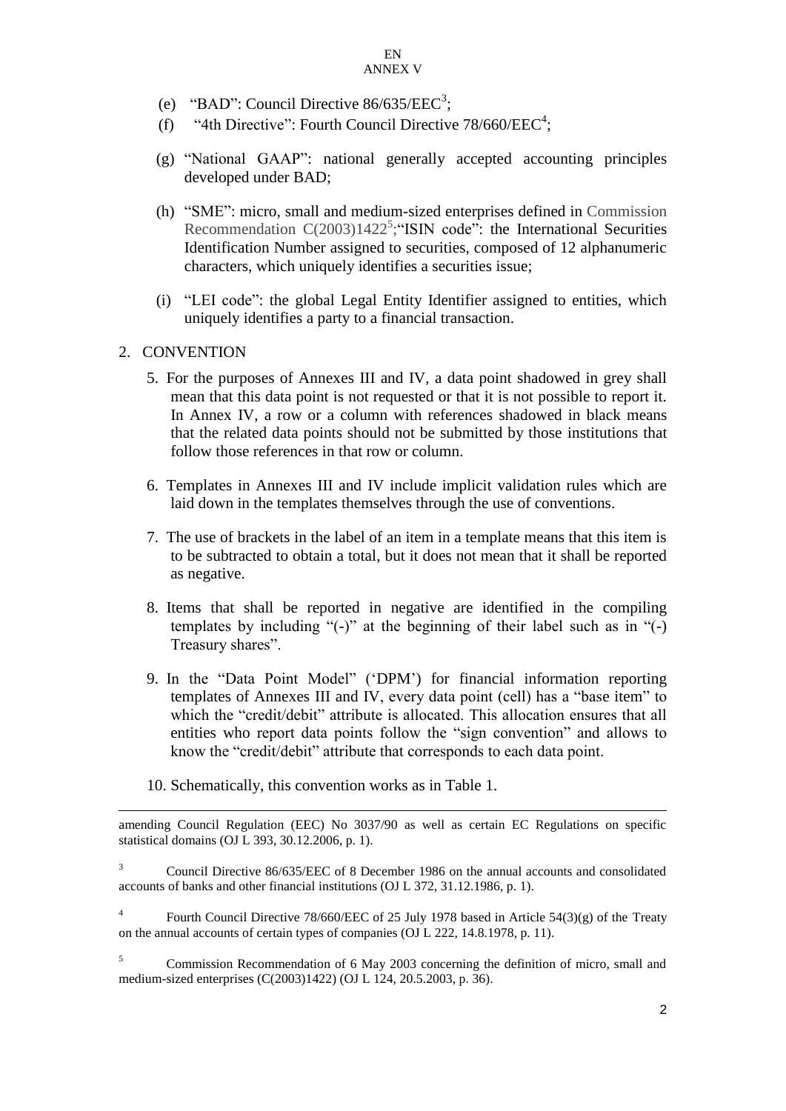- (e) "BAD": Council Directive  $86/635/EEC^3$ ;
- (f) "4th Directive": Fourth Council Directive  $78/660/EEC<sup>4</sup>$ ;
- (g) "National GAAP": national generally accepted accounting principles developed under BAD;
- (h) "SME": micro, small and medium-sized enterprises defined in Commission Recommendation  $C(2003)1422^5$ ; "ISIN code": the International Securities Identification Number assigned to securities, composed of 12 alphanumeric characters, which uniquely identifies a securities issue;
- (i) "LEI code": the global Legal Entity Identifier assigned to entities, which uniquely identifies a party to a financial transaction.

## 2. CONVENTION

-

- 5. For the purposes of Annexes III and IV, a data point shadowed in grey shall mean that this data point is not requested or that it is not possible to report it. In Annex IV, a row or a column with references shadowed in black means that the related data points should not be submitted by those institutions that follow those references in that row or column.
- 6. Templates in Annexes III and IV include implicit validation rules which are laid down in the templates themselves through the use of conventions.
- 7. The use of brackets in the label of an item in a template means that this item is to be subtracted to obtain a total, but it does not mean that it shall be reported as negative.
- 8. Items that shall be reported in negative are identified in the compiling templates by including "(-)" at the beginning of their label such as in "(-) Treasury shares".
- 9. In the "Data Point Model" ('DPM') for financial information reporting templates of Annexes III and IV, every data point (cell) has a "base item" to which the "credit/debit" attribute is allocated. This allocation ensures that all entities who report data points follow the "sign convention" and allows to know the "credit/debit" attribute that corresponds to each data point.
- 10. Schematically, this convention works as in Table 1.

amending Council Regulation (EEC) No 3037/90 as well as certain EC Regulations on specific statistical domains (OJ L 393, 30.12.2006, p. 1).

<sup>&</sup>lt;sup>3</sup> Council Directive 86/635/EEC of 8 December 1986 on the annual accounts and consolidated accounts of banks and other financial institutions (OJ L 372, 31.12.1986, p. 1).

<sup>4</sup> Fourth Council Directive 78/660/EEC of 25 July 1978 based in Article 54(3)(g) of the Treaty on the annual accounts of certain types of companies (OJ L 222, 14.8.1978, p. 11).

<sup>&</sup>lt;sup>5</sup> Commission Recommendation of 6 May 2003 concerning the definition of micro, small and medium-sized enterprises (C(2003)1422) (OJ L 124, 20.5.2003, p. 36).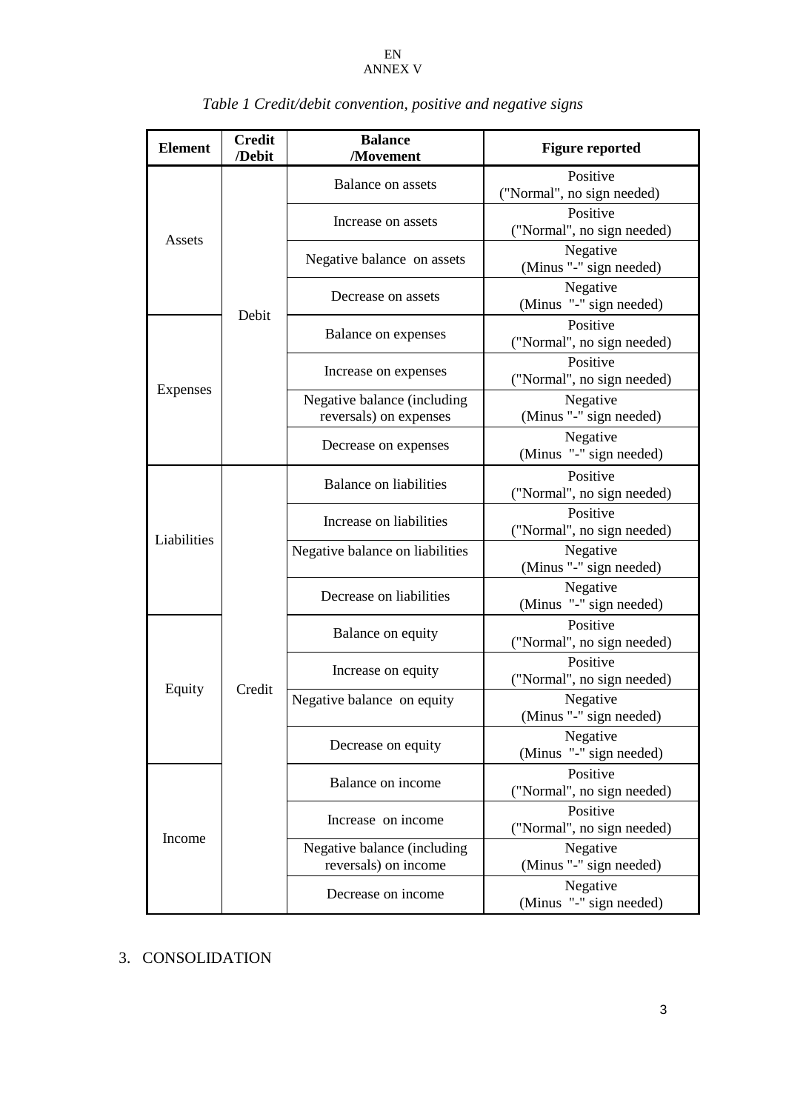| <b>Element</b> | <b>Credit</b><br>/Debit | <b>Balance</b><br>/Movement                           | <b>Figure reported</b>                 |
|----------------|-------------------------|-------------------------------------------------------|----------------------------------------|
|                | Debit                   | Balance on assets                                     | Positive<br>("Normal", no sign needed) |
|                |                         | Increase on assets                                    | Positive<br>("Normal", no sign needed) |
| Assets         |                         | Negative balance on assets                            | Negative<br>(Minus "-" sign needed)    |
|                |                         | Decrease on assets                                    | Negative<br>(Minus "-" sign needed)    |
|                |                         | Balance on expenses                                   | Positive<br>("Normal", no sign needed) |
|                |                         | Increase on expenses                                  | Positive<br>("Normal", no sign needed) |
| Expenses       |                         | Negative balance (including<br>reversals) on expenses | Negative<br>(Minus "-" sign needed)    |
|                |                         | Decrease on expenses                                  | Negative<br>(Minus "-" sign needed)    |
|                | Credit                  | <b>Balance on liabilities</b>                         | Positive<br>("Normal", no sign needed) |
| Liabilities    |                         | Increase on liabilities                               | Positive<br>("Normal", no sign needed) |
|                |                         | Negative balance on liabilities                       | Negative<br>(Minus "-" sign needed)    |
|                |                         | Decrease on liabilities                               | Negative<br>(Minus "-" sign needed)    |
|                |                         | Balance on equity                                     | Positive<br>("Normal", no sign needed) |
| Equity         |                         | Increase on equity                                    | Positive<br>("Normal", no sign needed) |
|                |                         | Negative balance on equity                            | Negative<br>(Minus "-" sign needed)    |
|                |                         | Decrease on equity                                    | Negative<br>(Minus "-" sign needed)    |
|                |                         | Balance on income                                     | Positive<br>("Normal", no sign needed) |
| Income         |                         | Increase on income                                    | Positive<br>("Normal", no sign needed) |
|                |                         | Negative balance (including<br>reversals) on income   | Negative<br>(Minus "-" sign needed)    |
|                |                         | Decrease on income                                    | Negative<br>(Minus "-" sign needed)    |

# *Table 1 Credit/debit convention, positive and negative signs*

# 3. CONSOLIDATION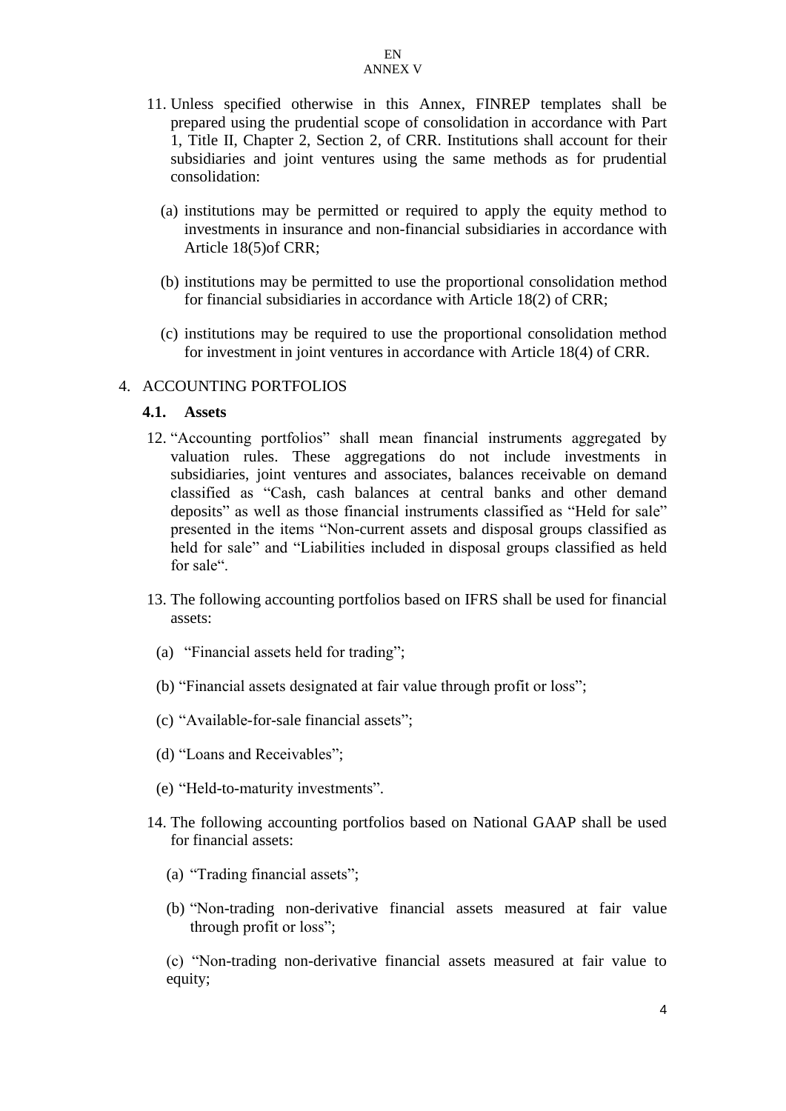- 11. Unless specified otherwise in this Annex, FINREP templates shall be prepared using the prudential scope of consolidation in accordance with Part 1, Title II, Chapter 2, Section 2, of CRR. Institutions shall account for their subsidiaries and joint ventures using the same methods as for prudential consolidation:
	- (a) institutions may be permitted or required to apply the equity method to investments in insurance and non-financial subsidiaries in accordance with Article 18(5)of CRR;
	- (b) institutions may be permitted to use the proportional consolidation method for financial subsidiaries in accordance with Article 18(2) of CRR;
	- (c) institutions may be required to use the proportional consolidation method for investment in joint ventures in accordance with Article 18(4) of CRR.

#### 4. ACCOUNTING PORTFOLIOS

#### **4.1. Assets**

- 12. "Accounting portfolios" shall mean financial instruments aggregated by valuation rules. These aggregations do not include investments in subsidiaries, joint ventures and associates, balances receivable on demand classified as "Cash, cash balances at central banks and other demand deposits" as well as those financial instruments classified as "Held for sale" presented in the items "Non-current assets and disposal groups classified as held for sale" and "Liabilities included in disposal groups classified as held for sale".
- 13. The following accounting portfolios based on IFRS shall be used for financial assets:
	- (a) "Financial assets held for trading";
	- (b) "Financial assets designated at fair value through profit or loss";
	- (c) "Available-for-sale financial assets";
	- (d) "Loans and Receivables";
	- (e) "Held-to-maturity investments".
- 14. The following accounting portfolios based on National GAAP shall be used for financial assets:
	- (a) "Trading financial assets";
	- (b) "Non-trading non-derivative financial assets measured at fair value through profit or loss";

(c) "Non-trading non-derivative financial assets measured at fair value to equity;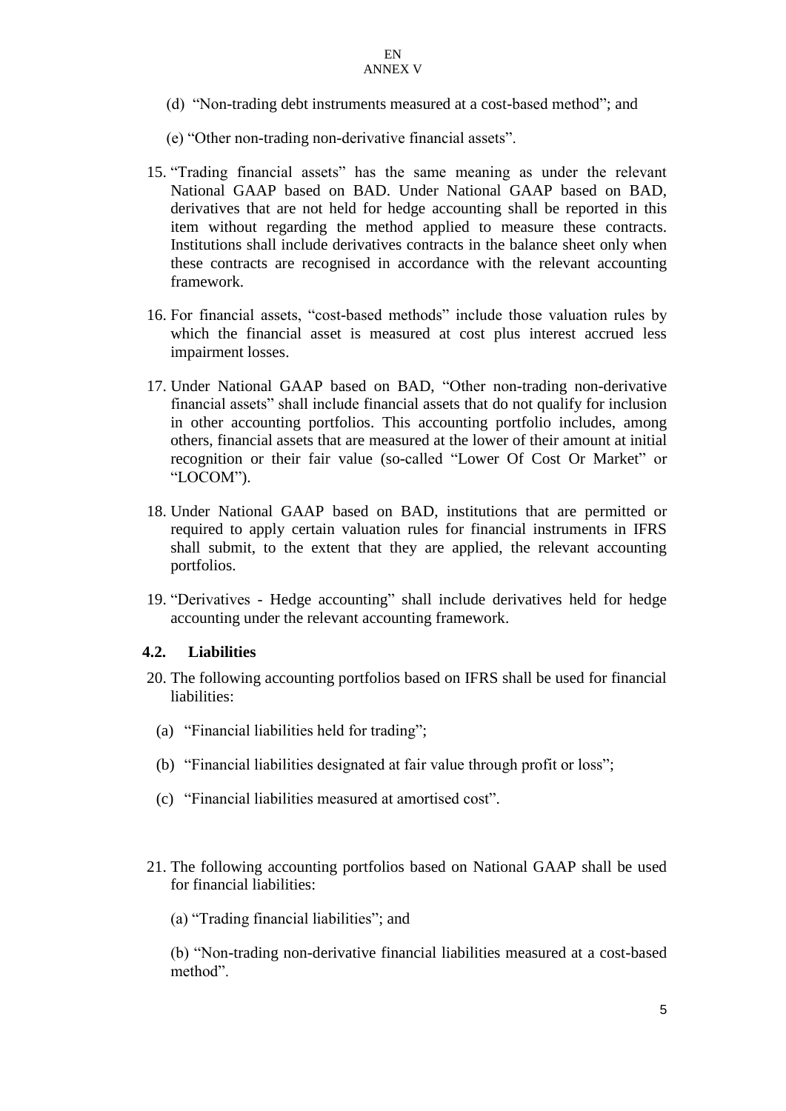- (d) "Non-trading debt instruments measured at a cost-based method"; and
- (e) "Other non-trading non-derivative financial assets".
- 15. "Trading financial assets" has the same meaning as under the relevant National GAAP based on BAD. Under National GAAP based on BAD, derivatives that are not held for hedge accounting shall be reported in this item without regarding the method applied to measure these contracts. Institutions shall include derivatives contracts in the balance sheet only when these contracts are recognised in accordance with the relevant accounting framework.
- 16. For financial assets, "cost-based methods" include those valuation rules by which the financial asset is measured at cost plus interest accrued less impairment losses.
- 17. Under National GAAP based on BAD, "Other non-trading non-derivative financial assets" shall include financial assets that do not qualify for inclusion in other accounting portfolios. This accounting portfolio includes, among others, financial assets that are measured at the lower of their amount at initial recognition or their fair value (so-called "Lower Of Cost Or Market" or "LOCOM").
- 18. Under National GAAP based on BAD, institutions that are permitted or required to apply certain valuation rules for financial instruments in IFRS shall submit, to the extent that they are applied, the relevant accounting portfolios.
- 19. "Derivatives Hedge accounting" shall include derivatives held for hedge accounting under the relevant accounting framework.

#### **4.2. Liabilities**

- 20. The following accounting portfolios based on IFRS shall be used for financial liabilities:
	- (a) "Financial liabilities held for trading";
	- (b) "Financial liabilities designated at fair value through profit or loss";
	- (c) "Financial liabilities measured at amortised cost".
- 21. The following accounting portfolios based on National GAAP shall be used for financial liabilities:
	- (a) "Trading financial liabilities"; and

(b) "Non-trading non-derivative financial liabilities measured at a cost-based method".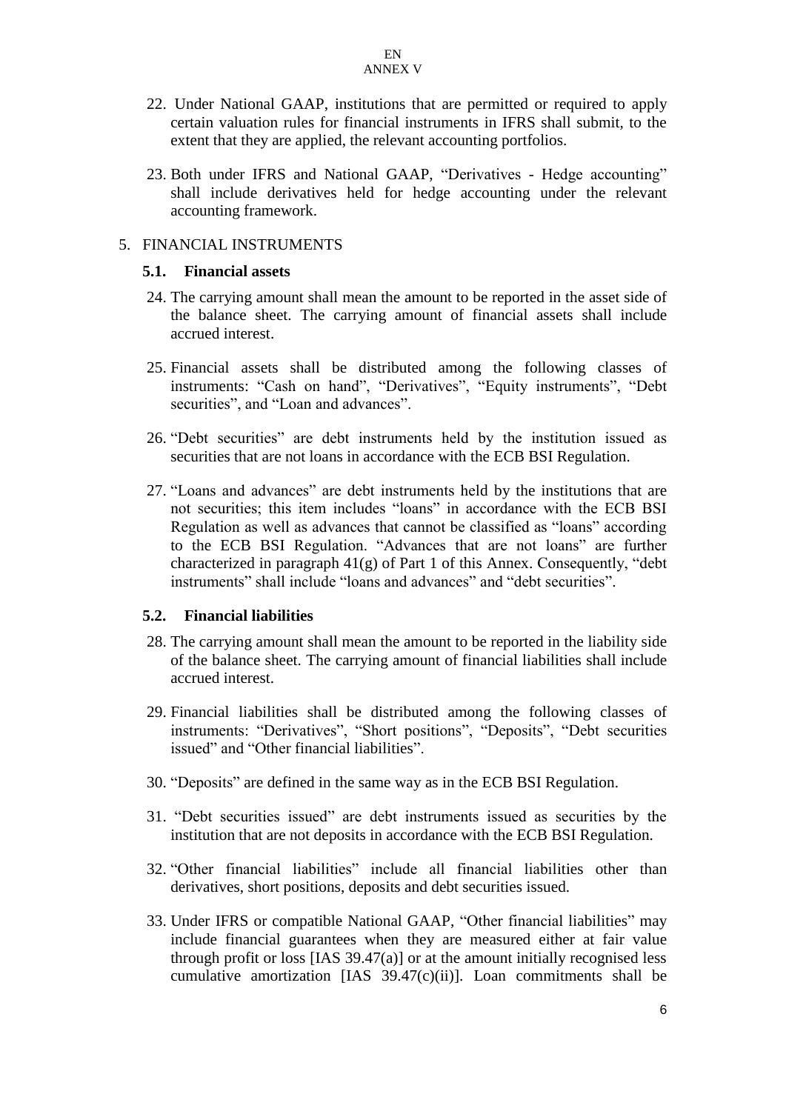- 22. Under National GAAP, institutions that are permitted or required to apply certain valuation rules for financial instruments in IFRS shall submit, to the extent that they are applied, the relevant accounting portfolios.
- 23. Both under IFRS and National GAAP, "Derivatives Hedge accounting" shall include derivatives held for hedge accounting under the relevant accounting framework.

## 5. FINANCIAL INSTRUMENTS

#### **5.1. Financial assets**

- 24. The carrying amount shall mean the amount to be reported in the asset side of the balance sheet. The carrying amount of financial assets shall include accrued interest.
- 25. Financial assets shall be distributed among the following classes of instruments: "Cash on hand", "Derivatives", "Equity instruments", "Debt securities", and "Loan and advances".
- 26. "Debt securities" are debt instruments held by the institution issued as securities that are not loans in accordance with the ECB BSI Regulation.
- 27. "Loans and advances" are debt instruments held by the institutions that are not securities; this item includes "loans" in accordance with the ECB BSI Regulation as well as advances that cannot be classified as "loans" according to the ECB BSI Regulation. "Advances that are not loans" are further characterized in paragraph 41(g) of Part 1 of this Annex. Consequently, "debt instruments" shall include "loans and advances" and "debt securities".

#### **5.2. Financial liabilities**

- 28. The carrying amount shall mean the amount to be reported in the liability side of the balance sheet. The carrying amount of financial liabilities shall include accrued interest.
- 29. Financial liabilities shall be distributed among the following classes of instruments: "Derivatives", "Short positions", "Deposits", "Debt securities issued" and "Other financial liabilities".
- 30. "Deposits" are defined in the same way as in the ECB BSI Regulation.
- 31. "Debt securities issued" are debt instruments issued as securities by the institution that are not deposits in accordance with the ECB BSI Regulation.
- 32. "Other financial liabilities" include all financial liabilities other than derivatives, short positions, deposits and debt securities issued.
- 33. Under IFRS or compatible National GAAP, "Other financial liabilities" may include financial guarantees when they are measured either at fair value through profit or loss  $[IAS\ 39.47(a)]$  or at the amount initially recognised less cumulative amortization [IAS  $39.47(c)(ii)$ ]. Loan commitments shall be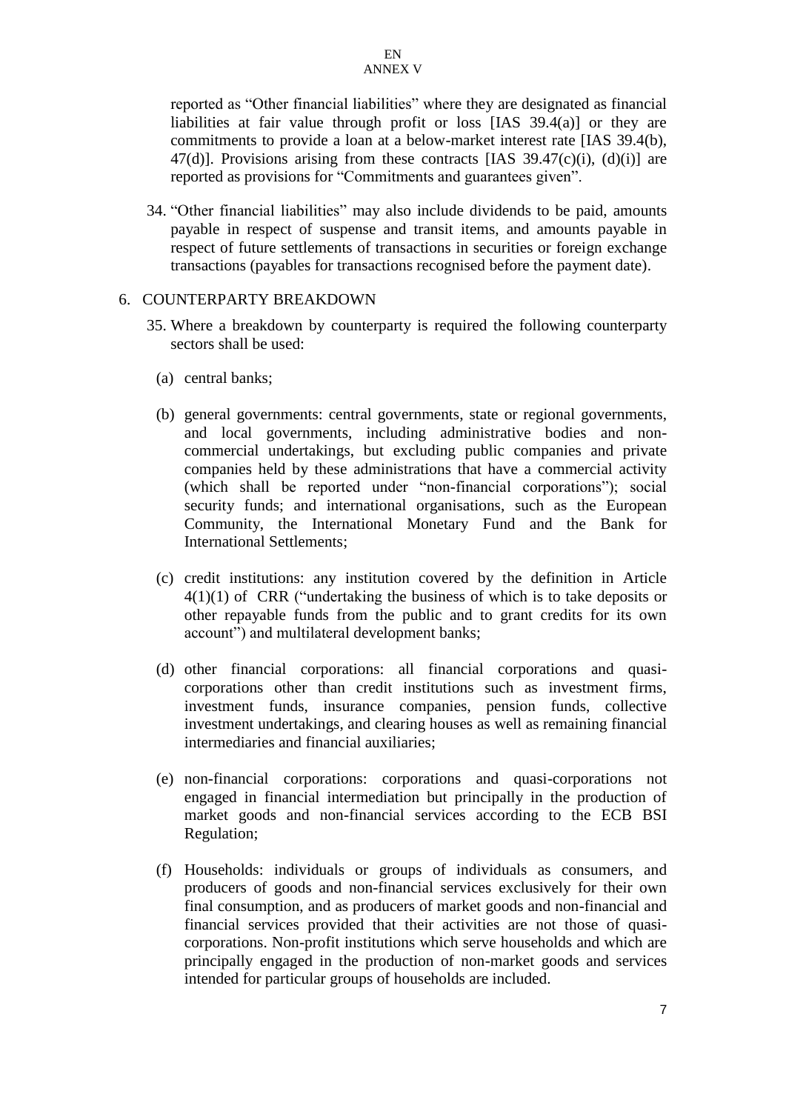reported as "Other financial liabilities" where they are designated as financial liabilities at fair value through profit or loss [IAS 39.4(a)] or they are commitments to provide a loan at a below-market interest rate [IAS 39.4(b), 47(d)]. Provisions arising from these contracts [IAS  $39.47(c)(i)$ , (d)(i)] are reported as provisions for "Commitments and guarantees given".

34. "Other financial liabilities" may also include dividends to be paid, amounts payable in respect of suspense and transit items, and amounts payable in respect of future settlements of transactions in securities or foreign exchange transactions (payables for transactions recognised before the payment date).

#### 6. COUNTERPARTY BREAKDOWN

- 35. Where a breakdown by counterparty is required the following counterparty sectors shall be used:
	- (a) central banks;
	- (b) general governments: central governments, state or regional governments, and local governments, including administrative bodies and noncommercial undertakings, but excluding public companies and private companies held by these administrations that have a commercial activity (which shall be reported under "non-financial corporations"); social security funds; and international organisations, such as the European Community, the International Monetary Fund and the Bank for International Settlements;
	- (c) credit institutions: any institution covered by the definition in Article  $4(1)(1)$  of CRR ("undertaking the business of which is to take deposits or other repayable funds from the public and to grant credits for its own account") and multilateral development banks;
	- (d) other financial corporations: all financial corporations and quasicorporations other than credit institutions such as investment firms, investment funds, insurance companies, pension funds, collective investment undertakings, and clearing houses as well as remaining financial intermediaries and financial auxiliaries;
	- (e) non-financial corporations: corporations and quasi-corporations not engaged in financial intermediation but principally in the production of market goods and non-financial services according to the ECB BSI Regulation;
	- (f) Households: individuals or groups of individuals as consumers, and producers of goods and non-financial services exclusively for their own final consumption, and as producers of market goods and non-financial and financial services provided that their activities are not those of quasicorporations. Non-profit institutions which serve households and which are principally engaged in the production of non-market goods and services intended for particular groups of households are included.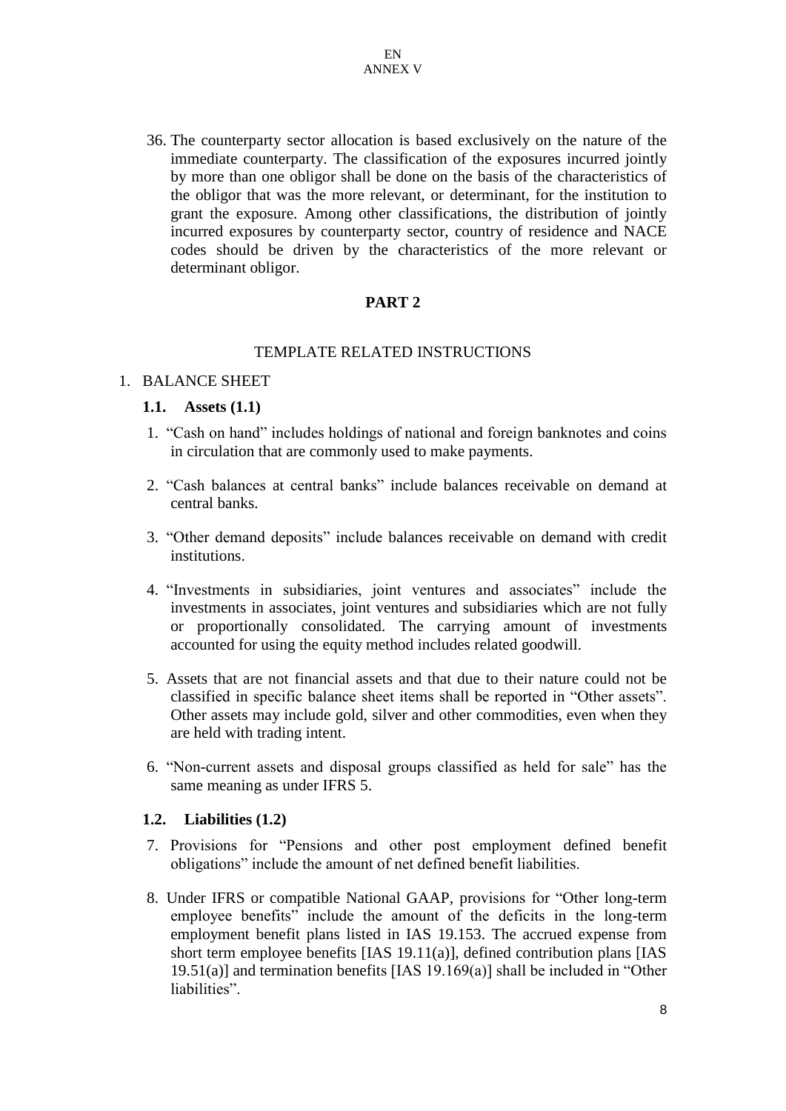36. The counterparty sector allocation is based exclusively on the nature of the immediate counterparty. The classification of the exposures incurred jointly by more than one obligor shall be done on the basis of the characteristics of the obligor that was the more relevant, or determinant, for the institution to grant the exposure. Among other classifications, the distribution of jointly incurred exposures by counterparty sector, country of residence and NACE codes should be driven by the characteristics of the more relevant or determinant obligor.

## **PART 2**

#### TEMPLATE RELATED INSTRUCTIONS

#### 1. BALANCE SHEET

#### **1.1. Assets (1.1)**

- 1. "Cash on hand" includes holdings of national and foreign banknotes and coins in circulation that are commonly used to make payments.
- 2. "Cash balances at central banks" include balances receivable on demand at central banks.
- 3. "Other demand deposits" include balances receivable on demand with credit institutions.
- 4. "Investments in subsidiaries, joint ventures and associates" include the investments in associates, joint ventures and subsidiaries which are not fully or proportionally consolidated. The carrying amount of investments accounted for using the equity method includes related goodwill.
- 5. Assets that are not financial assets and that due to their nature could not be classified in specific balance sheet items shall be reported in "Other assets". Other assets may include gold, silver and other commodities, even when they are held with trading intent.
- 6. "Non-current assets and disposal groups classified as held for sale" has the same meaning as under IFRS 5.

#### **1.2. Liabilities (1.2)**

- 7. Provisions for "Pensions and other post employment defined benefit obligations" include the amount of net defined benefit liabilities.
- 8. Under IFRS or compatible National GAAP, provisions for "Other long-term employee benefits" include the amount of the deficits in the long-term employment benefit plans listed in IAS 19.153. The accrued expense from short term employee benefits [IAS 19.11(a)], defined contribution plans [IAS 19.51(a)] and termination benefits [IAS 19.169(a)] shall be included in "Other liabilities".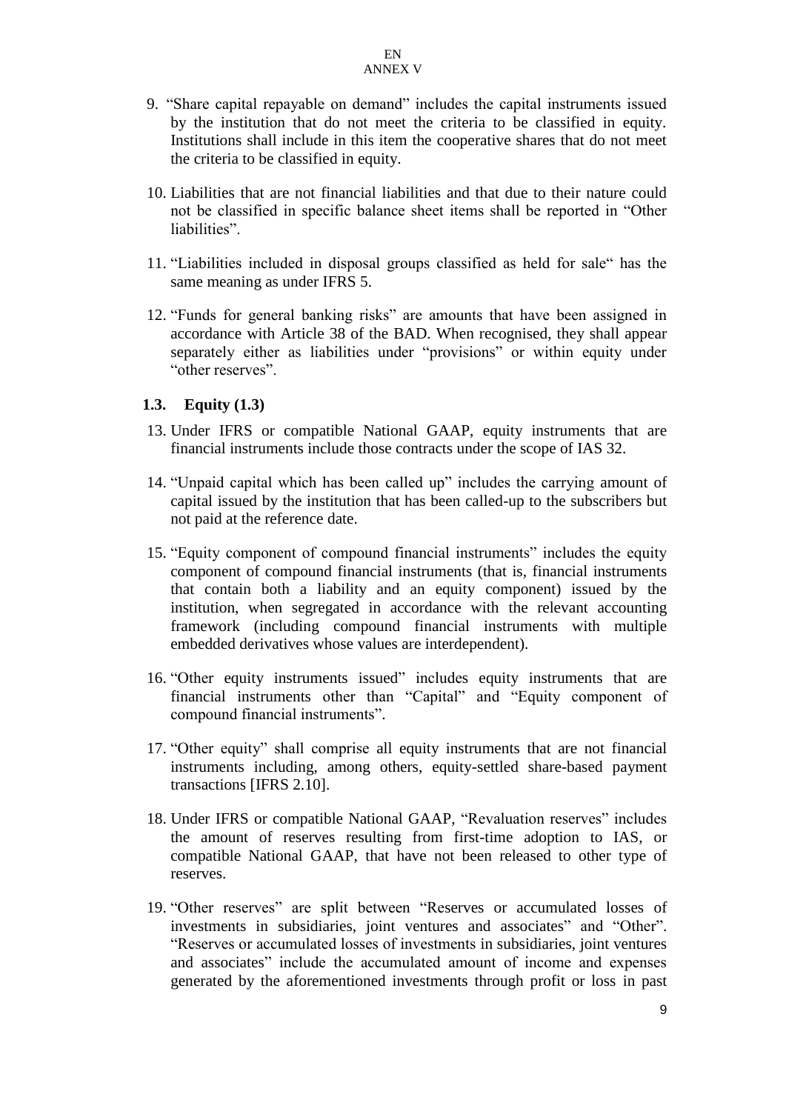- 9. "Share capital repayable on demand" includes the capital instruments issued by the institution that do not meet the criteria to be classified in equity. Institutions shall include in this item the cooperative shares that do not meet the criteria to be classified in equity.
- 10. Liabilities that are not financial liabilities and that due to their nature could not be classified in specific balance sheet items shall be reported in "Other liabilities"
- 11. "Liabilities included in disposal groups classified as held for sale" has the same meaning as under IFRS 5.
- 12. "Funds for general banking risks" are amounts that have been assigned in accordance with Article 38 of the BAD. When recognised, they shall appear separately either as liabilities under "provisions" or within equity under "other reserves".

#### **1.3. Equity (1.3)**

- 13. Under IFRS or compatible National GAAP, equity instruments that are financial instruments include those contracts under the scope of IAS 32.
- 14. "Unpaid capital which has been called up" includes the carrying amount of capital issued by the institution that has been called-up to the subscribers but not paid at the reference date.
- 15. "Equity component of compound financial instruments" includes the equity component of compound financial instruments (that is, financial instruments that contain both a liability and an equity component) issued by the institution, when segregated in accordance with the relevant accounting framework (including compound financial instruments with multiple embedded derivatives whose values are interdependent).
- 16. "Other equity instruments issued" includes equity instruments that are financial instruments other than "Capital" and "Equity component of compound financial instruments".
- 17. "Other equity" shall comprise all equity instruments that are not financial instruments including, among others, equity-settled share-based payment transactions [IFRS 2.10].
- 18. Under IFRS or compatible National GAAP, "Revaluation reserves" includes the amount of reserves resulting from first-time adoption to IAS, or compatible National GAAP, that have not been released to other type of reserves.
- 19. "Other reserves" are split between "Reserves or accumulated losses of investments in subsidiaries, joint ventures and associates" and "Other". "Reserves or accumulated losses of investments in subsidiaries, joint ventures and associates" include the accumulated amount of income and expenses generated by the aforementioned investments through profit or loss in past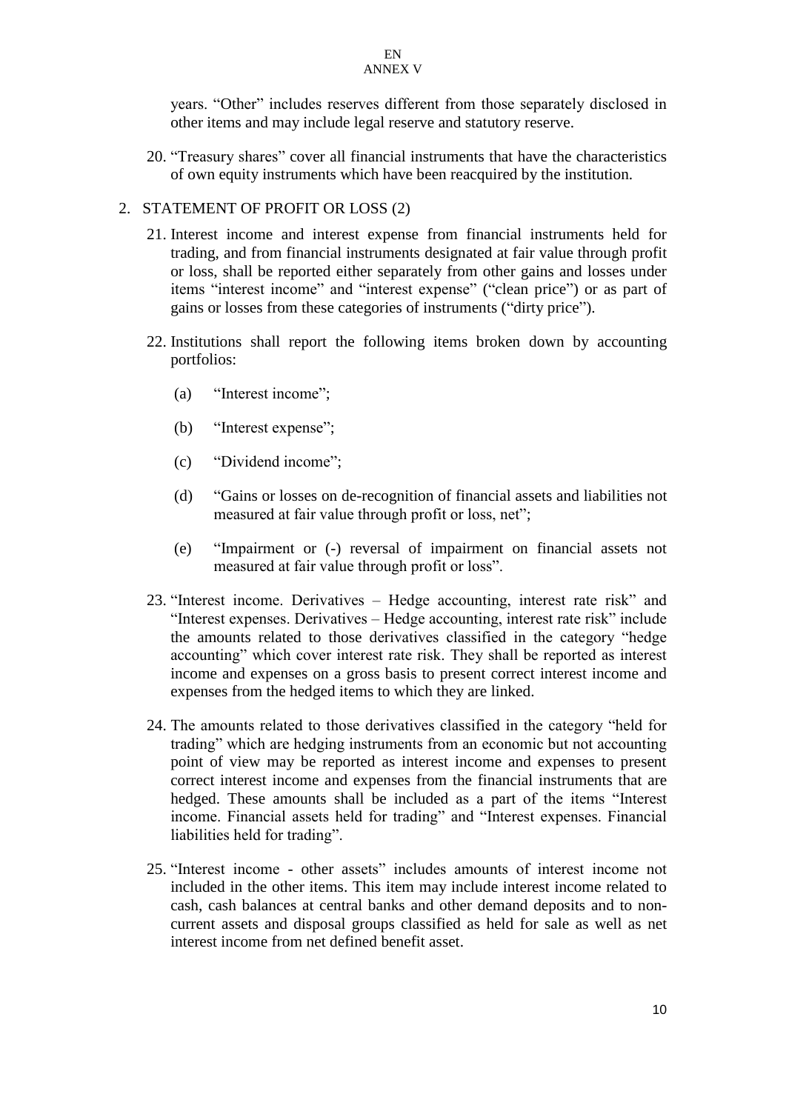years. "Other" includes reserves different from those separately disclosed in other items and may include legal reserve and statutory reserve.

20. "Treasury shares" cover all financial instruments that have the characteristics of own equity instruments which have been reacquired by the institution.

## 2. STATEMENT OF PROFIT OR LOSS (2)

- 21. Interest income and interest expense from financial instruments held for trading, and from financial instruments designated at fair value through profit or loss, shall be reported either separately from other gains and losses under items "interest income" and "interest expense" ("clean price") or as part of gains or losses from these categories of instruments ("dirty price").
- 22. Institutions shall report the following items broken down by accounting portfolios:
	- (a) "Interest income";
	- (b) "Interest expense";
	- (c) "Dividend income";
	- (d) "Gains or losses on de-recognition of financial assets and liabilities not measured at fair value through profit or loss, net";
	- (e) "Impairment or (-) reversal of impairment on financial assets not measured at fair value through profit or loss".
- 23. "Interest income. Derivatives Hedge accounting, interest rate risk" and "Interest expenses. Derivatives – Hedge accounting, interest rate risk" include the amounts related to those derivatives classified in the category "hedge accounting" which cover interest rate risk. They shall be reported as interest income and expenses on a gross basis to present correct interest income and expenses from the hedged items to which they are linked.
- 24. The amounts related to those derivatives classified in the category "held for trading" which are hedging instruments from an economic but not accounting point of view may be reported as interest income and expenses to present correct interest income and expenses from the financial instruments that are hedged. These amounts shall be included as a part of the items "Interest income. Financial assets held for trading" and "Interest expenses. Financial liabilities held for trading".
- 25. "Interest income other assets" includes amounts of interest income not included in the other items. This item may include interest income related to cash, cash balances at central banks and other demand deposits and to noncurrent assets and disposal groups classified as held for sale as well as net interest income from net defined benefit asset.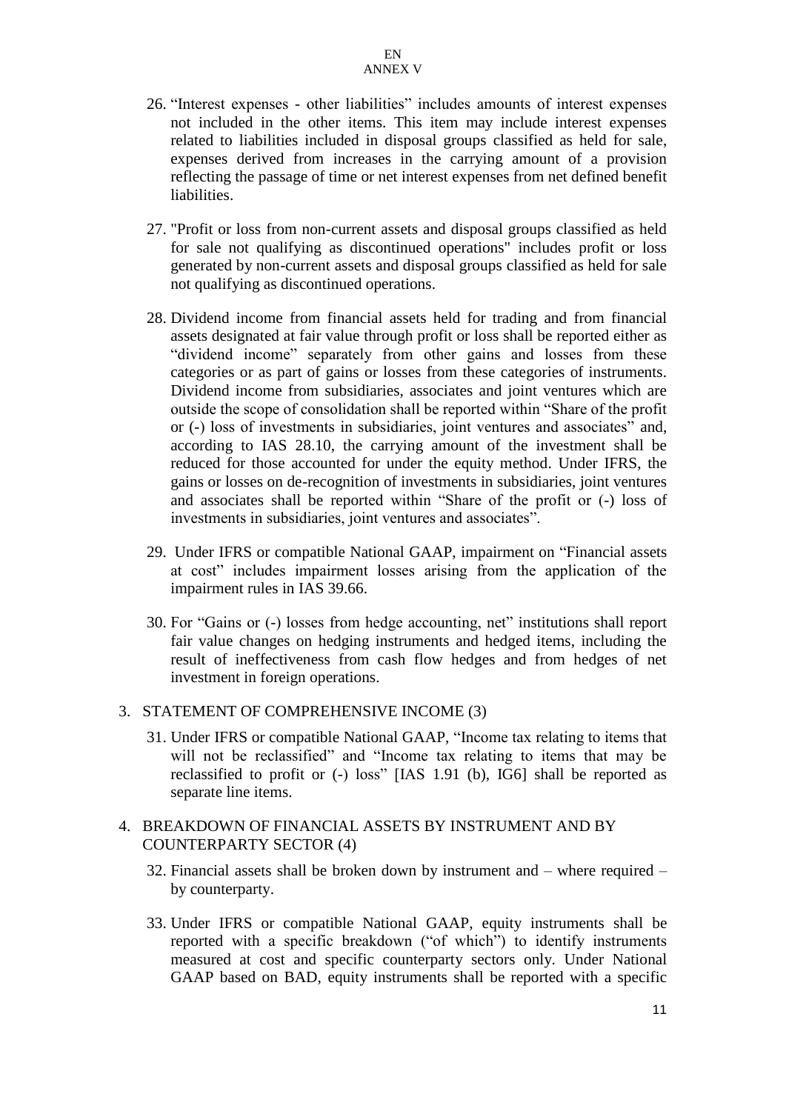- 26. "Interest expenses other liabilities" includes amounts of interest expenses not included in the other items. This item may include interest expenses related to liabilities included in disposal groups classified as held for sale, expenses derived from increases in the carrying amount of a provision reflecting the passage of time or net interest expenses from net defined benefit liabilities.
- 27. "Profit or loss from non-current assets and disposal groups classified as held for sale not qualifying as discontinued operations" includes profit or loss generated by non-current assets and disposal groups classified as held for sale not qualifying as discontinued operations.
- 28. Dividend income from financial assets held for trading and from financial assets designated at fair value through profit or loss shall be reported either as "dividend income" separately from other gains and losses from these categories or as part of gains or losses from these categories of instruments. Dividend income from subsidiaries, associates and joint ventures which are outside the scope of consolidation shall be reported within "Share of the profit or (-) loss of investments in subsidiaries, joint ventures and associates" and, according to IAS 28.10, the carrying amount of the investment shall be reduced for those accounted for under the equity method. Under IFRS, the gains or losses on de-recognition of investments in subsidiaries, joint ventures and associates shall be reported within "Share of the profit or (-) loss of investments in subsidiaries, joint ventures and associates".
- 29. Under IFRS or compatible National GAAP, impairment on "Financial assets at cost" includes impairment losses arising from the application of the impairment rules in IAS 39.66.
- 30. For "Gains or (-) losses from hedge accounting, net" institutions shall report fair value changes on hedging instruments and hedged items, including the result of ineffectiveness from cash flow hedges and from hedges of net investment in foreign operations.

#### 3. STATEMENT OF COMPREHENSIVE INCOME (3)

31. Under IFRS or compatible National GAAP, "Income tax relating to items that will not be reclassified" and "Income tax relating to items that may be reclassified to profit or (-) loss" [IAS 1.91 (b), IG6] shall be reported as separate line items.

## 4. BREAKDOWN OF FINANCIAL ASSETS BY INSTRUMENT AND BY COUNTERPARTY SECTOR (4)

- 32. Financial assets shall be broken down by instrument and where required by counterparty.
- 33. Under IFRS or compatible National GAAP, equity instruments shall be reported with a specific breakdown ("of which") to identify instruments measured at cost and specific counterparty sectors only. Under National GAAP based on BAD, equity instruments shall be reported with a specific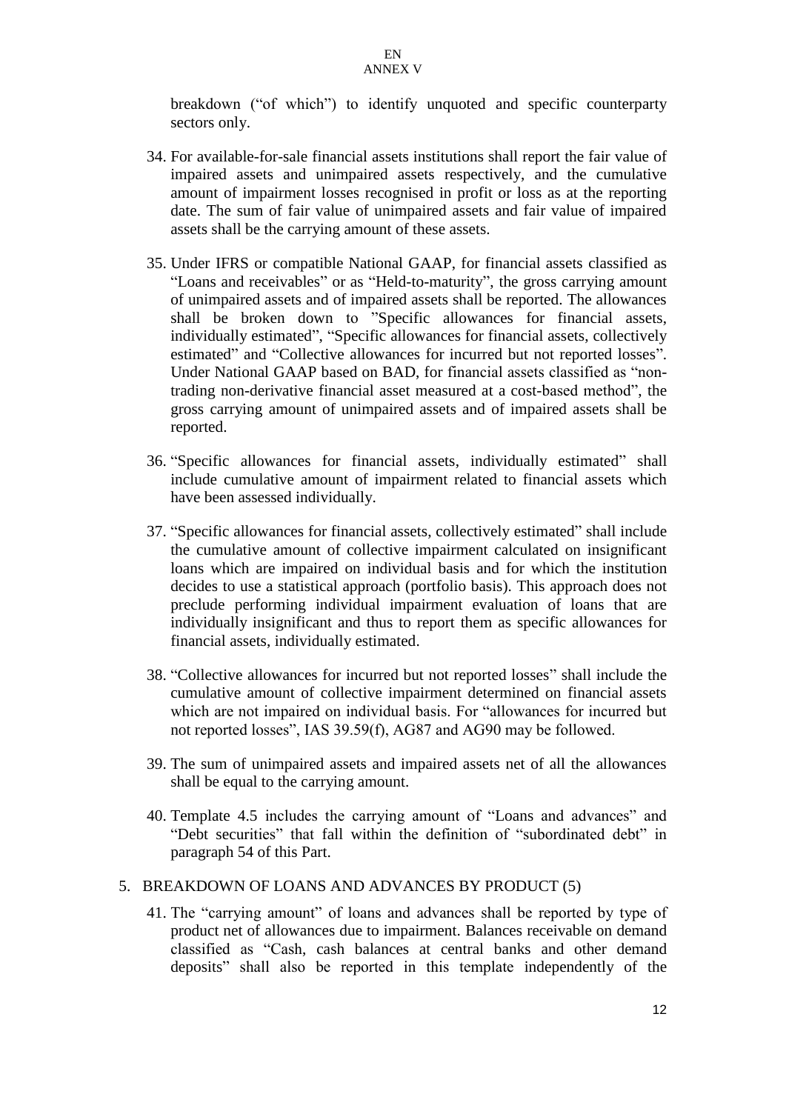breakdown ("of which") to identify unquoted and specific counterparty sectors only.

- 34. For available-for-sale financial assets institutions shall report the fair value of impaired assets and unimpaired assets respectively, and the cumulative amount of impairment losses recognised in profit or loss as at the reporting date. The sum of fair value of unimpaired assets and fair value of impaired assets shall be the carrying amount of these assets.
- 35. Under IFRS or compatible National GAAP, for financial assets classified as "Loans and receivables" or as "Held-to-maturity", the gross carrying amount of unimpaired assets and of impaired assets shall be reported. The allowances shall be broken down to "Specific allowances for financial assets, individually estimated", "Specific allowances for financial assets, collectively estimated" and "Collective allowances for incurred but not reported losses". Under National GAAP based on BAD, for financial assets classified as "nontrading non-derivative financial asset measured at a cost-based method", the gross carrying amount of unimpaired assets and of impaired assets shall be reported.
- 36. "Specific allowances for financial assets, individually estimated" shall include cumulative amount of impairment related to financial assets which have been assessed individually.
- 37. "Specific allowances for financial assets, collectively estimated" shall include the cumulative amount of collective impairment calculated on insignificant loans which are impaired on individual basis and for which the institution decides to use a statistical approach (portfolio basis). This approach does not preclude performing individual impairment evaluation of loans that are individually insignificant and thus to report them as specific allowances for financial assets, individually estimated.
- 38. "Collective allowances for incurred but not reported losses" shall include the cumulative amount of collective impairment determined on financial assets which are not impaired on individual basis. For "allowances for incurred but not reported losses", IAS 39.59(f), AG87 and AG90 may be followed.
- 39. The sum of unimpaired assets and impaired assets net of all the allowances shall be equal to the carrying amount.
- 40. Template 4.5 includes the carrying amount of "Loans and advances" and "Debt securities" that fall within the definition of "subordinated debt" in paragraph 54 of this Part.

#### 5. BREAKDOWN OF LOANS AND ADVANCES BY PRODUCT (5)

41. The "carrying amount" of loans and advances shall be reported by type of product net of allowances due to impairment. Balances receivable on demand classified as "Cash, cash balances at central banks and other demand deposits" shall also be reported in this template independently of the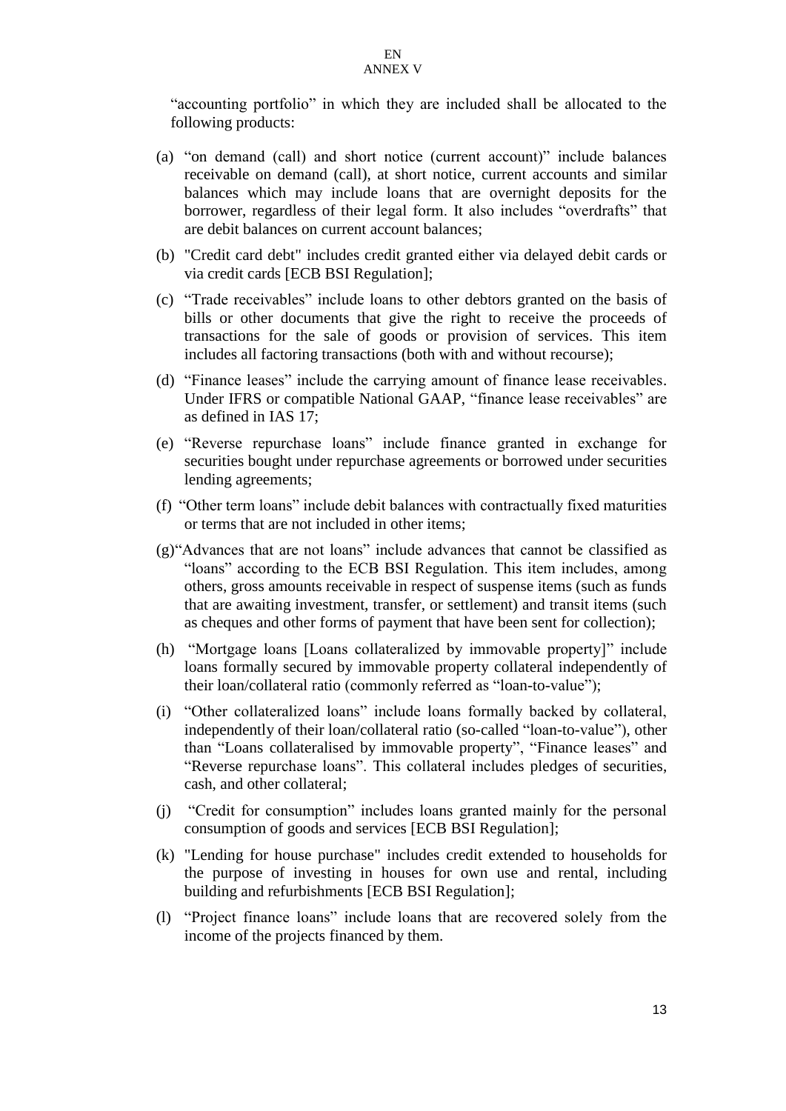"accounting portfolio" in which they are included shall be allocated to the following products:

- (a) "on demand (call) and short notice (current account)" include balances receivable on demand (call), at short notice, current accounts and similar balances which may include loans that are overnight deposits for the borrower, regardless of their legal form. It also includes "overdrafts" that are debit balances on current account balances;
- (b) "Credit card debt" includes credit granted either via delayed debit cards or via credit cards [ECB BSI Regulation];
- (c) "Trade receivables" include loans to other debtors granted on the basis of bills or other documents that give the right to receive the proceeds of transactions for the sale of goods or provision of services. This item includes all factoring transactions (both with and without recourse);
- (d) "Finance leases" include the carrying amount of finance lease receivables. Under IFRS or compatible National GAAP, "finance lease receivables" are as defined in IAS 17;
- (e) "Reverse repurchase loans" include finance granted in exchange for securities bought under repurchase agreements or borrowed under securities lending agreements;
- (f) "Other term loans" include debit balances with contractually fixed maturities or terms that are not included in other items;
- (g)"Advances that are not loans" include advances that cannot be classified as "loans" according to the ECB BSI Regulation. This item includes, among others, gross amounts receivable in respect of suspense items (such as funds that are awaiting investment, transfer, or settlement) and transit items (such as cheques and other forms of payment that have been sent for collection);
- (h) "Mortgage loans [Loans collateralized by immovable property]" include loans formally secured by immovable property collateral independently of their loan/collateral ratio (commonly referred as "loan-to-value");
- (i) "Other collateralized loans" include loans formally backed by collateral, independently of their loan/collateral ratio (so-called "loan-to-value"), other than "Loans collateralised by immovable property", "Finance leases" and "Reverse repurchase loans". This collateral includes pledges of securities, cash, and other collateral;
- (j) "Credit for consumption" includes loans granted mainly for the personal consumption of goods and services [ECB BSI Regulation];
- (k) "Lending for house purchase" includes credit extended to households for the purpose of investing in houses for own use and rental, including building and refurbishments [ECB BSI Regulation];
- (l) "Project finance loans" include loans that are recovered solely from the income of the projects financed by them.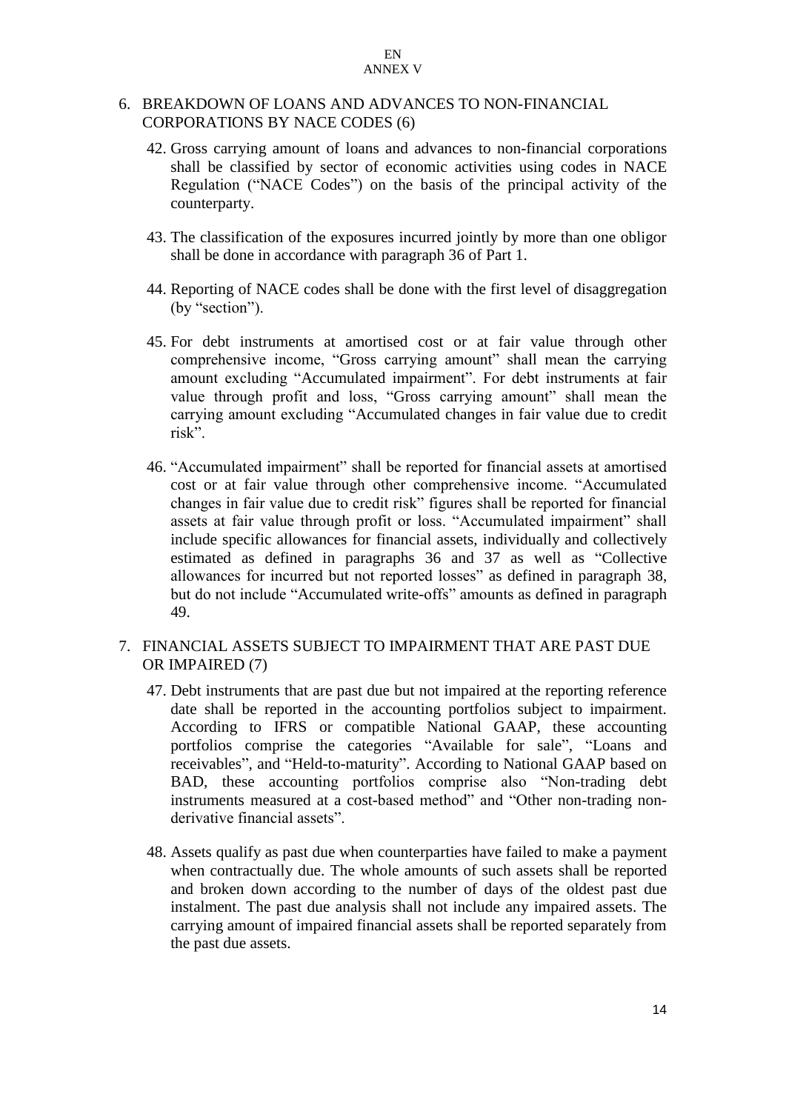## 6. BREAKDOWN OF LOANS AND ADVANCES TO NON-FINANCIAL CORPORATIONS BY NACE CODES (6)

- 42. Gross carrying amount of loans and advances to non-financial corporations shall be classified by sector of economic activities using codes in NACE Regulation ("NACE Codes") on the basis of the principal activity of the counterparty.
- 43. The classification of the exposures incurred jointly by more than one obligor shall be done in accordance with paragraph 36 of Part 1.
- 44. Reporting of NACE codes shall be done with the first level of disaggregation (by "section").
- 45. For debt instruments at amortised cost or at fair value through other comprehensive income, "Gross carrying amount" shall mean the carrying amount excluding "Accumulated impairment". For debt instruments at fair value through profit and loss, "Gross carrying amount" shall mean the carrying amount excluding "Accumulated changes in fair value due to credit risk".
- 46. "Accumulated impairment" shall be reported for financial assets at amortised cost or at fair value through other comprehensive income. "Accumulated changes in fair value due to credit risk" figures shall be reported for financial assets at fair value through profit or loss. "Accumulated impairment" shall include specific allowances for financial assets, individually and collectively estimated as defined in paragraphs 36 and 37 as well as "Collective allowances for incurred but not reported losses" as defined in paragraph 38, but do not include "Accumulated write-offs" amounts as defined in paragraph 49.

## 7. FINANCIAL ASSETS SUBJECT TO IMPAIRMENT THAT ARE PAST DUE OR IMPAIRED (7)

- 47. Debt instruments that are past due but not impaired at the reporting reference date shall be reported in the accounting portfolios subject to impairment. According to IFRS or compatible National GAAP, these accounting portfolios comprise the categories "Available for sale", "Loans and receivables", and "Held-to-maturity". According to National GAAP based on BAD, these accounting portfolios comprise also "Non-trading debt instruments measured at a cost-based method" and "Other non-trading nonderivative financial assets".
- 48. Assets qualify as past due when counterparties have failed to make a payment when contractually due. The whole amounts of such assets shall be reported and broken down according to the number of days of the oldest past due instalment. The past due analysis shall not include any impaired assets. The carrying amount of impaired financial assets shall be reported separately from the past due assets.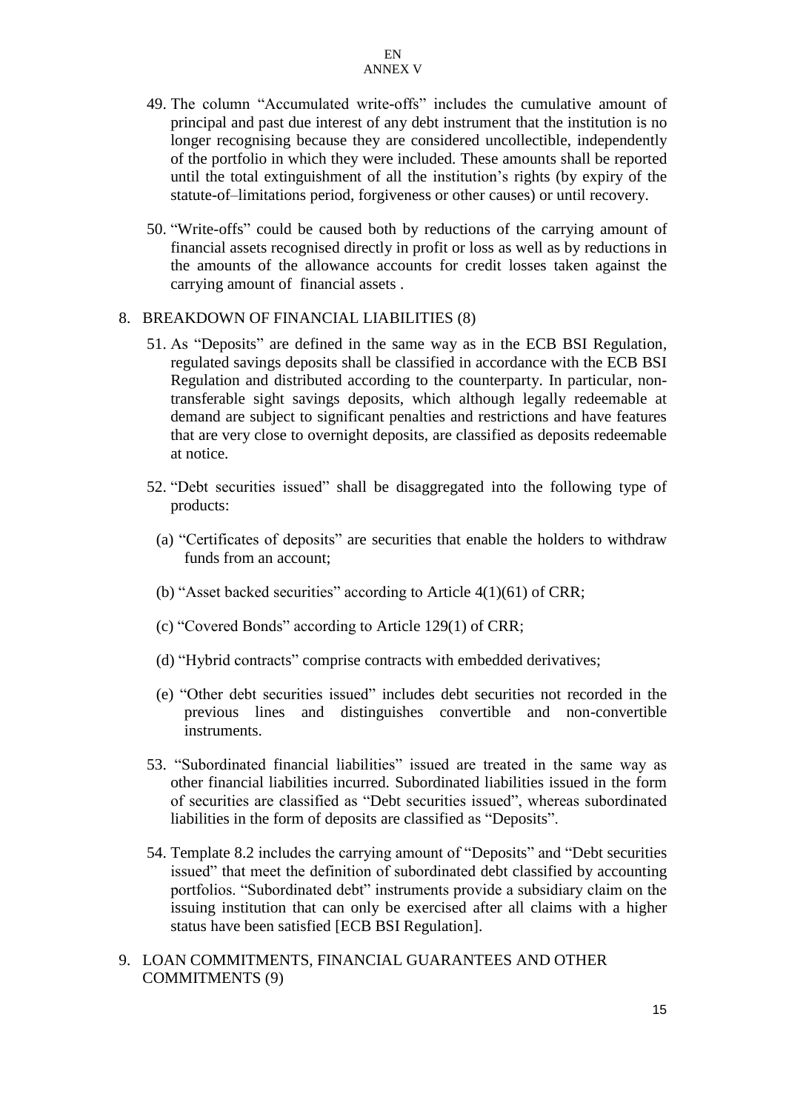- 49. The column "Accumulated write-offs" includes the cumulative amount of principal and past due interest of any debt instrument that the institution is no longer recognising because they are considered uncollectible, independently of the portfolio in which they were included. These amounts shall be reported until the total extinguishment of all the institution's rights (by expiry of the statute-of–limitations period, forgiveness or other causes) or until recovery.
- 50. "Write-offs" could be caused both by reductions of the carrying amount of financial assets recognised directly in profit or loss as well as by reductions in the amounts of the allowance accounts for credit losses taken against the carrying amount of financial assets .

## 8. BREAKDOWN OF FINANCIAL LIABILITIES (8)

- 51. As "Deposits" are defined in the same way as in the ECB BSI Regulation, regulated savings deposits shall be classified in accordance with the ECB BSI Regulation and distributed according to the counterparty. In particular, nontransferable sight savings deposits, which although legally redeemable at demand are subject to significant penalties and restrictions and have features that are very close to overnight deposits, are classified as deposits redeemable at notice.
- 52. "Debt securities issued" shall be disaggregated into the following type of products:
	- (a) "Certificates of deposits" are securities that enable the holders to withdraw funds from an account;
	- (b) "Asset backed securities" according to Article 4(1)(61) of CRR;
	- (c) "Covered Bonds" according to Article 129(1) of CRR;
	- (d) "Hybrid contracts" comprise contracts with embedded derivatives;
	- (e) "Other debt securities issued" includes debt securities not recorded in the previous lines and distinguishes convertible and non-convertible instruments.
- 53. "Subordinated financial liabilities" issued are treated in the same way as other financial liabilities incurred. Subordinated liabilities issued in the form of securities are classified as "Debt securities issued", whereas subordinated liabilities in the form of deposits are classified as "Deposits".
- 54. Template 8.2 includes the carrying amount of "Deposits" and "Debt securities issued" that meet the definition of subordinated debt classified by accounting portfolios. "Subordinated debt" instruments provide a subsidiary claim on the issuing institution that can only be exercised after all claims with a higher status have been satisfied [ECB BSI Regulation].
- 9. LOAN COMMITMENTS, FINANCIAL GUARANTEES AND OTHER COMMITMENTS (9)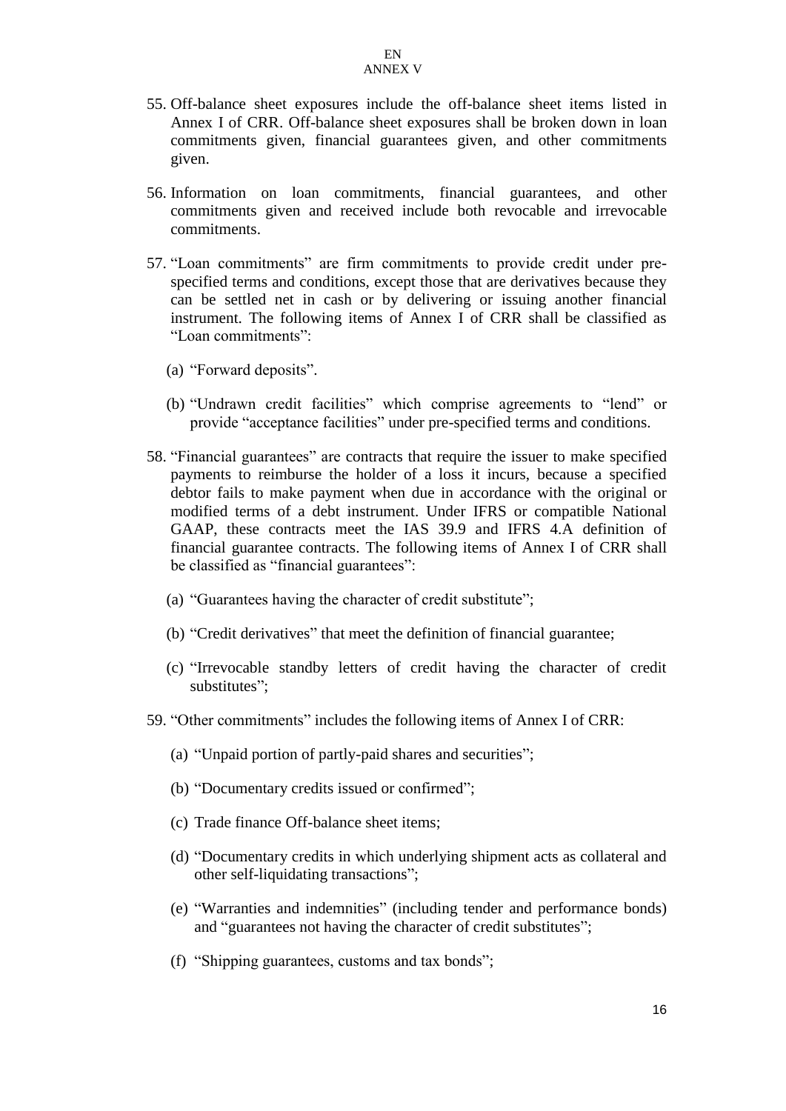- 55. Off-balance sheet exposures include the off-balance sheet items listed in Annex I of CRR. Off-balance sheet exposures shall be broken down in loan commitments given, financial guarantees given, and other commitments given.
- 56. Information on loan commitments, financial guarantees, and other commitments given and received include both revocable and irrevocable commitments.
- 57. "Loan commitments" are firm commitments to provide credit under prespecified terms and conditions, except those that are derivatives because they can be settled net in cash or by delivering or issuing another financial instrument. The following items of Annex I of CRR shall be classified as "Loan commitments":
	- (a) "Forward deposits".
	- (b) "Undrawn credit facilities" which comprise agreements to "lend" or provide "acceptance facilities" under pre-specified terms and conditions.
- 58. "Financial guarantees" are contracts that require the issuer to make specified payments to reimburse the holder of a loss it incurs, because a specified debtor fails to make payment when due in accordance with the original or modified terms of a debt instrument. Under IFRS or compatible National GAAP, these contracts meet the IAS 39.9 and IFRS 4.A definition of financial guarantee contracts. The following items of Annex I of CRR shall be classified as "financial guarantees":
	- (a) "Guarantees having the character of credit substitute";
	- (b) "Credit derivatives" that meet the definition of financial guarantee;
	- (c) "Irrevocable standby letters of credit having the character of credit substitutes";
- 59. "Other commitments" includes the following items of Annex I of CRR:
	- (a) "Unpaid portion of partly-paid shares and securities";
	- (b) "Documentary credits issued or confirmed";
	- (c) Trade finance Off-balance sheet items;
	- (d) "Documentary credits in which underlying shipment acts as collateral and other self-liquidating transactions";
	- (e) "Warranties and indemnities" (including tender and performance bonds) and "guarantees not having the character of credit substitutes";
	- (f) "Shipping guarantees, customs and tax bonds";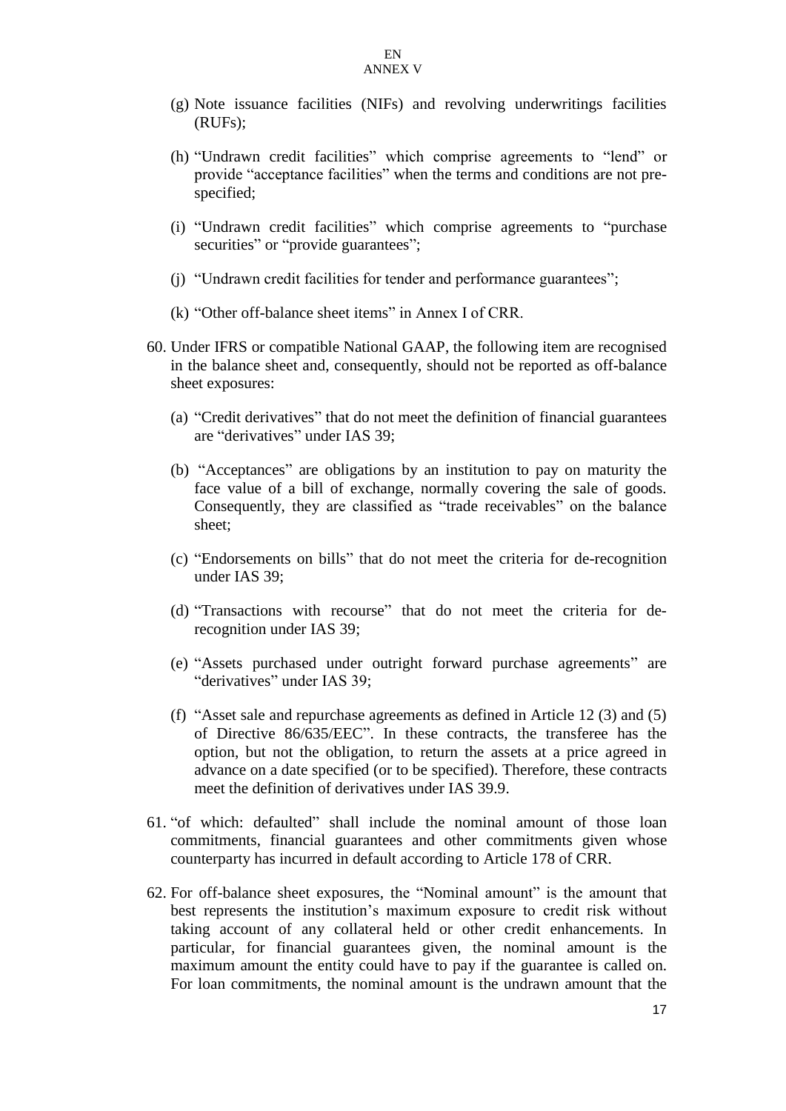- (g) Note issuance facilities (NIFs) and revolving underwritings facilities (RUFs);
- (h) "Undrawn credit facilities" which comprise agreements to "lend" or provide "acceptance facilities" when the terms and conditions are not prespecified;
- (i) "Undrawn credit facilities" which comprise agreements to "purchase securities" or "provide guarantees";
- (j) "Undrawn credit facilities for tender and performance guarantees";
- (k) "Other off-balance sheet items" in Annex I of CRR.
- 60. Under IFRS or compatible National GAAP, the following item are recognised in the balance sheet and, consequently, should not be reported as off-balance sheet exposures:
	- (a) "Credit derivatives" that do not meet the definition of financial guarantees are "derivatives" under IAS 39;
	- (b) "Acceptances" are obligations by an institution to pay on maturity the face value of a bill of exchange, normally covering the sale of goods. Consequently, they are classified as "trade receivables" on the balance sheet;
	- (c) "Endorsements on bills" that do not meet the criteria for de-recognition under IAS 39;
	- (d) "Transactions with recourse" that do not meet the criteria for derecognition under IAS 39;
	- (e) "Assets purchased under outright forward purchase agreements" are "derivatives" under IAS 39;
	- (f) "Asset sale and repurchase agreements as defined in Article 12 (3) and (5) of Directive 86/635/EEC". In these contracts, the transferee has the option, but not the obligation, to return the assets at a price agreed in advance on a date specified (or to be specified). Therefore, these contracts meet the definition of derivatives under IAS 39.9.
- 61. "of which: defaulted" shall include the nominal amount of those loan commitments, financial guarantees and other commitments given whose counterparty has incurred in default according to Article 178 of CRR.
- 62. For off-balance sheet exposures, the "Nominal amount" is the amount that best represents the institution's maximum exposure to credit risk without taking account of any collateral held or other credit enhancements. In particular, for financial guarantees given, the nominal amount is the maximum amount the entity could have to pay if the guarantee is called on. For loan commitments, the nominal amount is the undrawn amount that the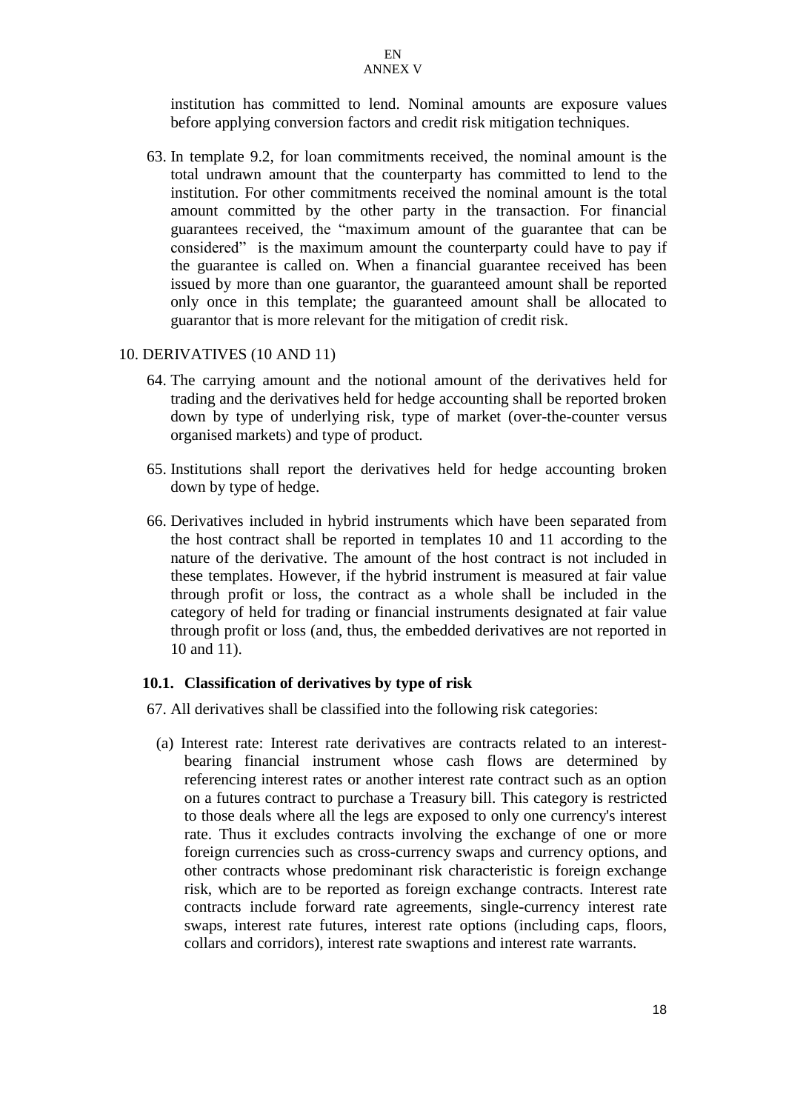institution has committed to lend. Nominal amounts are exposure values before applying conversion factors and credit risk mitigation techniques.

63. In template 9.2, for loan commitments received, the nominal amount is the total undrawn amount that the counterparty has committed to lend to the institution. For other commitments received the nominal amount is the total amount committed by the other party in the transaction. For financial guarantees received, the "maximum amount of the guarantee that can be considered" is the maximum amount the counterparty could have to pay if the guarantee is called on. When a financial guarantee received has been issued by more than one guarantor, the guaranteed amount shall be reported only once in this template; the guaranteed amount shall be allocated to guarantor that is more relevant for the mitigation of credit risk.

#### 10. DERIVATIVES (10 AND 11)

- 64. The carrying amount and the notional amount of the derivatives held for trading and the derivatives held for hedge accounting shall be reported broken down by type of underlying risk, type of market (over-the-counter versus organised markets) and type of product.
- 65. Institutions shall report the derivatives held for hedge accounting broken down by type of hedge.
- 66. Derivatives included in hybrid instruments which have been separated from the host contract shall be reported in templates 10 and 11 according to the nature of the derivative. The amount of the host contract is not included in these templates. However, if the hybrid instrument is measured at fair value through profit or loss, the contract as a whole shall be included in the category of held for trading or financial instruments designated at fair value through profit or loss (and, thus, the embedded derivatives are not reported in 10 and 11).

#### **10.1. Classification of derivatives by type of risk**

- 67. All derivatives shall be classified into the following risk categories:
	- (a) Interest rate: Interest rate derivatives are contracts related to an interestbearing financial instrument whose cash flows are determined by referencing interest rates or another interest rate contract such as an option on a futures contract to purchase a Treasury bill. This category is restricted to those deals where all the legs are exposed to only one currency's interest rate. Thus it excludes contracts involving the exchange of one or more foreign currencies such as cross-currency swaps and currency options, and other contracts whose predominant risk characteristic is foreign exchange risk, which are to be reported as foreign exchange contracts. Interest rate contracts include forward rate agreements, single-currency interest rate swaps, interest rate futures, interest rate options (including caps, floors, collars and corridors), interest rate swaptions and interest rate warrants.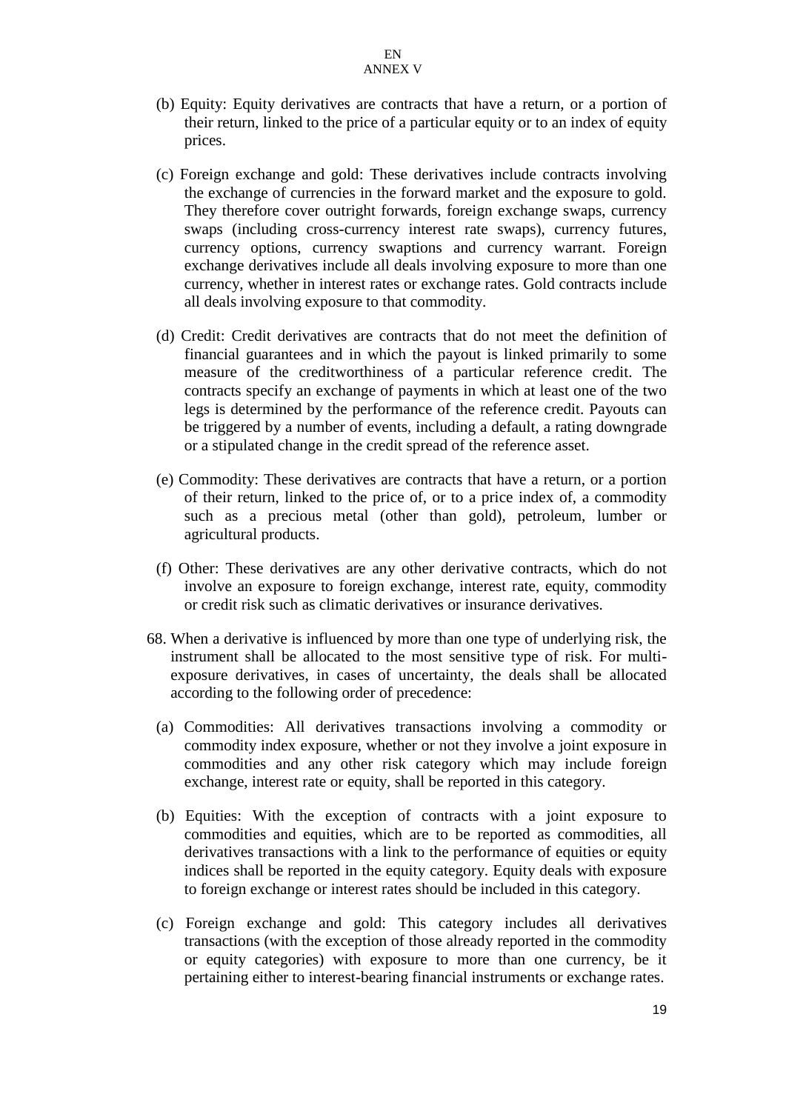- (b) Equity: Equity derivatives are contracts that have a return, or a portion of their return, linked to the price of a particular equity or to an index of equity prices.
- (c) Foreign exchange and gold: These derivatives include contracts involving the exchange of currencies in the forward market and the exposure to gold. They therefore cover outright forwards, foreign exchange swaps, currency swaps (including cross-currency interest rate swaps), currency futures, currency options, currency swaptions and currency warrant. Foreign exchange derivatives include all deals involving exposure to more than one currency, whether in interest rates or exchange rates. Gold contracts include all deals involving exposure to that commodity.
- (d) Credit: Credit derivatives are contracts that do not meet the definition of financial guarantees and in which the payout is linked primarily to some measure of the creditworthiness of a particular reference credit. The contracts specify an exchange of payments in which at least one of the two legs is determined by the performance of the reference credit. Payouts can be triggered by a number of events, including a default, a rating downgrade or a stipulated change in the credit spread of the reference asset.
- (e) Commodity: These derivatives are contracts that have a return, or a portion of their return, linked to the price of, or to a price index of, a commodity such as a precious metal (other than gold), petroleum, lumber or agricultural products.
- (f) Other: These derivatives are any other derivative contracts, which do not involve an exposure to foreign exchange, interest rate, equity, commodity or credit risk such as climatic derivatives or insurance derivatives.
- 68. When a derivative is influenced by more than one type of underlying risk, the instrument shall be allocated to the most sensitive type of risk. For multiexposure derivatives, in cases of uncertainty, the deals shall be allocated according to the following order of precedence:
	- (a) Commodities: All derivatives transactions involving a commodity or commodity index exposure, whether or not they involve a joint exposure in commodities and any other risk category which may include foreign exchange, interest rate or equity, shall be reported in this category.
	- (b) Equities: With the exception of contracts with a joint exposure to commodities and equities, which are to be reported as commodities, all derivatives transactions with a link to the performance of equities or equity indices shall be reported in the equity category. Equity deals with exposure to foreign exchange or interest rates should be included in this category.
	- (c) Foreign exchange and gold: This category includes all derivatives transactions (with the exception of those already reported in the commodity or equity categories) with exposure to more than one currency, be it pertaining either to interest-bearing financial instruments or exchange rates.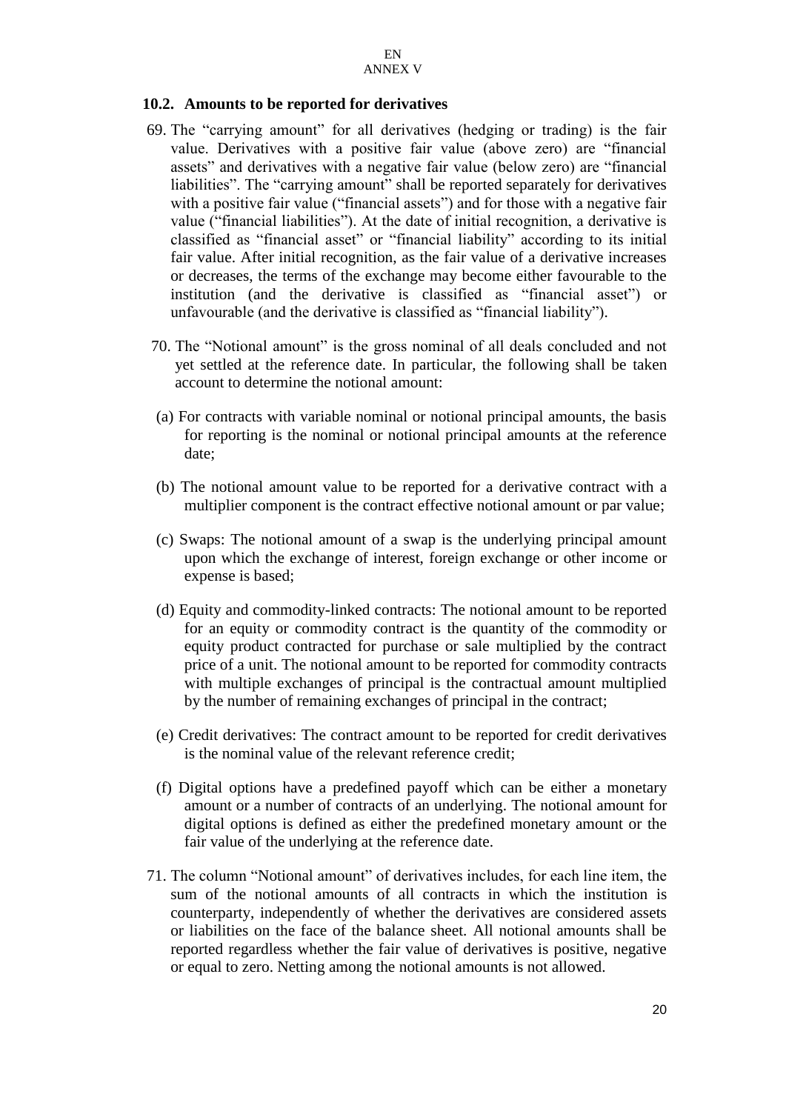#### **10.2. Amounts to be reported for derivatives**

- 69. The "carrying amount" for all derivatives (hedging or trading) is the fair value. Derivatives with a positive fair value (above zero) are "financial assets" and derivatives with a negative fair value (below zero) are "financial liabilities". The "carrying amount" shall be reported separately for derivatives with a positive fair value ("financial assets") and for those with a negative fair value ("financial liabilities"). At the date of initial recognition, a derivative is classified as "financial asset" or "financial liability" according to its initial fair value. After initial recognition, as the fair value of a derivative increases or decreases, the terms of the exchange may become either favourable to the institution (and the derivative is classified as "financial asset") or unfavourable (and the derivative is classified as "financial liability").
- 70. The "Notional amount" is the gross nominal of all deals concluded and not yet settled at the reference date. In particular, the following shall be taken account to determine the notional amount:
- (a) For contracts with variable nominal or notional principal amounts, the basis for reporting is the nominal or notional principal amounts at the reference date;
- (b) The notional amount value to be reported for a derivative contract with a multiplier component is the contract effective notional amount or par value;
- (c) Swaps: The notional amount of a swap is the underlying principal amount upon which the exchange of interest, foreign exchange or other income or expense is based;
- (d) Equity and commodity-linked contracts: The notional amount to be reported for an equity or commodity contract is the quantity of the commodity or equity product contracted for purchase or sale multiplied by the contract price of a unit. The notional amount to be reported for commodity contracts with multiple exchanges of principal is the contractual amount multiplied by the number of remaining exchanges of principal in the contract;
- (e) Credit derivatives: The contract amount to be reported for credit derivatives is the nominal value of the relevant reference credit;
- (f) Digital options have a predefined payoff which can be either a monetary amount or a number of contracts of an underlying. The notional amount for digital options is defined as either the predefined monetary amount or the fair value of the underlying at the reference date.
- 71. The column "Notional amount" of derivatives includes, for each line item, the sum of the notional amounts of all contracts in which the institution is counterparty, independently of whether the derivatives are considered assets or liabilities on the face of the balance sheet. All notional amounts shall be reported regardless whether the fair value of derivatives is positive, negative or equal to zero. Netting among the notional amounts is not allowed.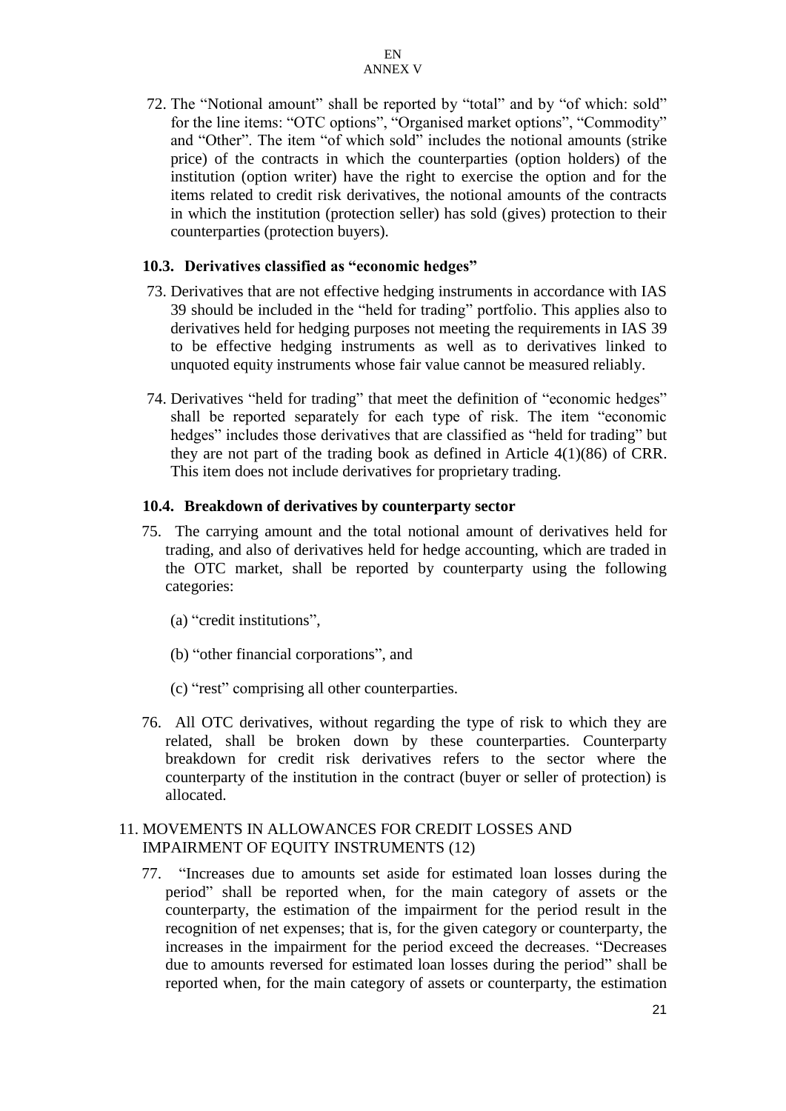72. The "Notional amount" shall be reported by "total" and by "of which: sold" for the line items: "OTC options", "Organised market options", "Commodity" and "Other". The item "of which sold" includes the notional amounts (strike price) of the contracts in which the counterparties (option holders) of the institution (option writer) have the right to exercise the option and for the items related to credit risk derivatives, the notional amounts of the contracts in which the institution (protection seller) has sold (gives) protection to their counterparties (protection buyers).

#### **10.3. Derivatives classified as "economic hedges"**

- 73. Derivatives that are not effective hedging instruments in accordance with IAS 39 should be included in the "held for trading" portfolio. This applies also to derivatives held for hedging purposes not meeting the requirements in IAS 39 to be effective hedging instruments as well as to derivatives linked to unquoted equity instruments whose fair value cannot be measured reliably.
- 74. Derivatives "held for trading" that meet the definition of "economic hedges" shall be reported separately for each type of risk. The item "economic hedges" includes those derivatives that are classified as "held for trading" but they are not part of the trading book as defined in Article 4(1)(86) of CRR. This item does not include derivatives for proprietary trading.

#### **10.4. Breakdown of derivatives by counterparty sector**

- 75. The carrying amount and the total notional amount of derivatives held for trading, and also of derivatives held for hedge accounting, which are traded in the OTC market, shall be reported by counterparty using the following categories:
	- (a) "credit institutions",
	- (b) "other financial corporations", and
	- (c) "rest" comprising all other counterparties.
- 76. All OTC derivatives, without regarding the type of risk to which they are related, shall be broken down by these counterparties. Counterparty breakdown for credit risk derivatives refers to the sector where the counterparty of the institution in the contract (buyer or seller of protection) is allocated.

#### 11. MOVEMENTS IN ALLOWANCES FOR CREDIT LOSSES AND IMPAIRMENT OF EQUITY INSTRUMENTS (12)

77. "Increases due to amounts set aside for estimated loan losses during the period" shall be reported when, for the main category of assets or the counterparty, the estimation of the impairment for the period result in the recognition of net expenses; that is, for the given category or counterparty, the increases in the impairment for the period exceed the decreases. "Decreases due to amounts reversed for estimated loan losses during the period" shall be reported when, for the main category of assets or counterparty, the estimation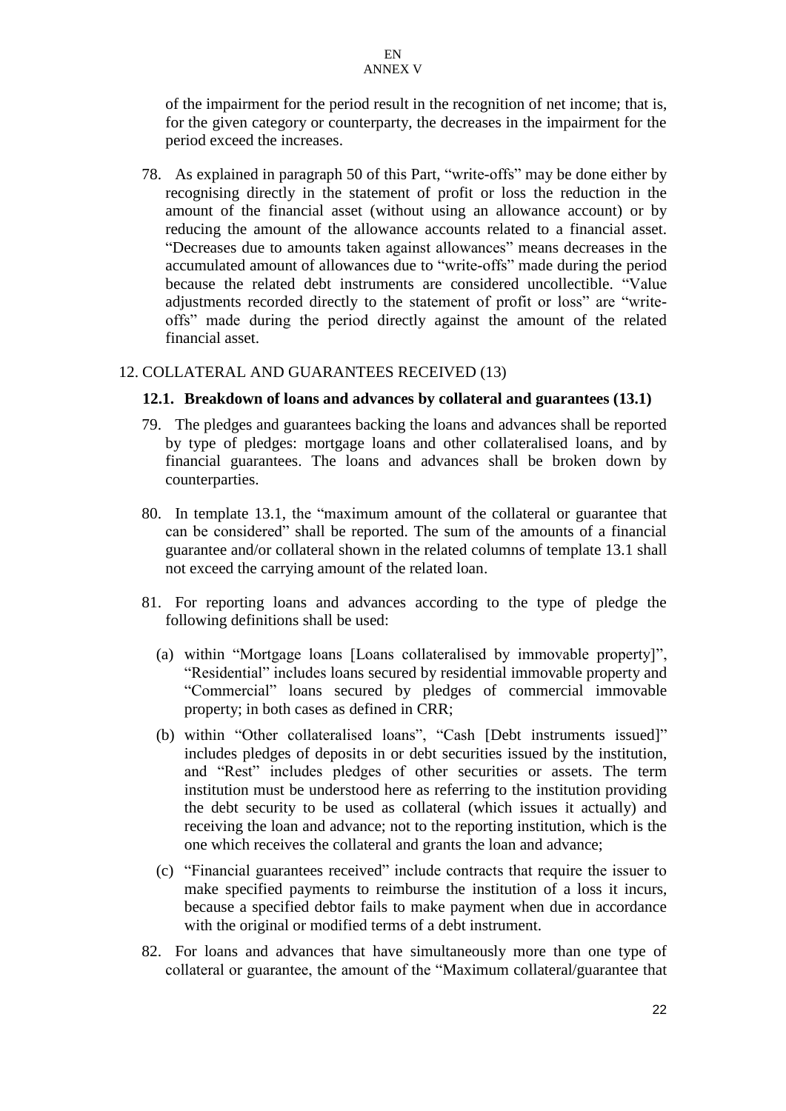of the impairment for the period result in the recognition of net income; that is, for the given category or counterparty, the decreases in the impairment for the period exceed the increases.

78. As explained in paragraph 50 of this Part, "write-offs" may be done either by recognising directly in the statement of profit or loss the reduction in the amount of the financial asset (without using an allowance account) or by reducing the amount of the allowance accounts related to a financial asset. "Decreases due to amounts taken against allowances" means decreases in the accumulated amount of allowances due to "write-offs" made during the period because the related debt instruments are considered uncollectible. "Value adjustments recorded directly to the statement of profit or loss" are "writeoffs" made during the period directly against the amount of the related financial asset.

#### 12. COLLATERAL AND GUARANTEES RECEIVED (13)

#### **12.1. Breakdown of loans and advances by collateral and guarantees (13.1)**

- 79. The pledges and guarantees backing the loans and advances shall be reported by type of pledges: mortgage loans and other collateralised loans, and by financial guarantees. The loans and advances shall be broken down by counterparties.
- 80. In template 13.1, the "maximum amount of the collateral or guarantee that can be considered" shall be reported. The sum of the amounts of a financial guarantee and/or collateral shown in the related columns of template 13.1 shall not exceed the carrying amount of the related loan.
- 81. For reporting loans and advances according to the type of pledge the following definitions shall be used:
	- (a) within "Mortgage loans [Loans collateralised by immovable property]", "Residential" includes loans secured by residential immovable property and "Commercial" loans secured by pledges of commercial immovable property; in both cases as defined in CRR;
	- (b) within "Other collateralised loans", "Cash [Debt instruments issued]" includes pledges of deposits in or debt securities issued by the institution, and "Rest" includes pledges of other securities or assets. The term institution must be understood here as referring to the institution providing the debt security to be used as collateral (which issues it actually) and receiving the loan and advance; not to the reporting institution, which is the one which receives the collateral and grants the loan and advance;
	- (c) "Financial guarantees received" include contracts that require the issuer to make specified payments to reimburse the institution of a loss it incurs, because a specified debtor fails to make payment when due in accordance with the original or modified terms of a debt instrument.
- 82. For loans and advances that have simultaneously more than one type of collateral or guarantee, the amount of the "Maximum collateral/guarantee that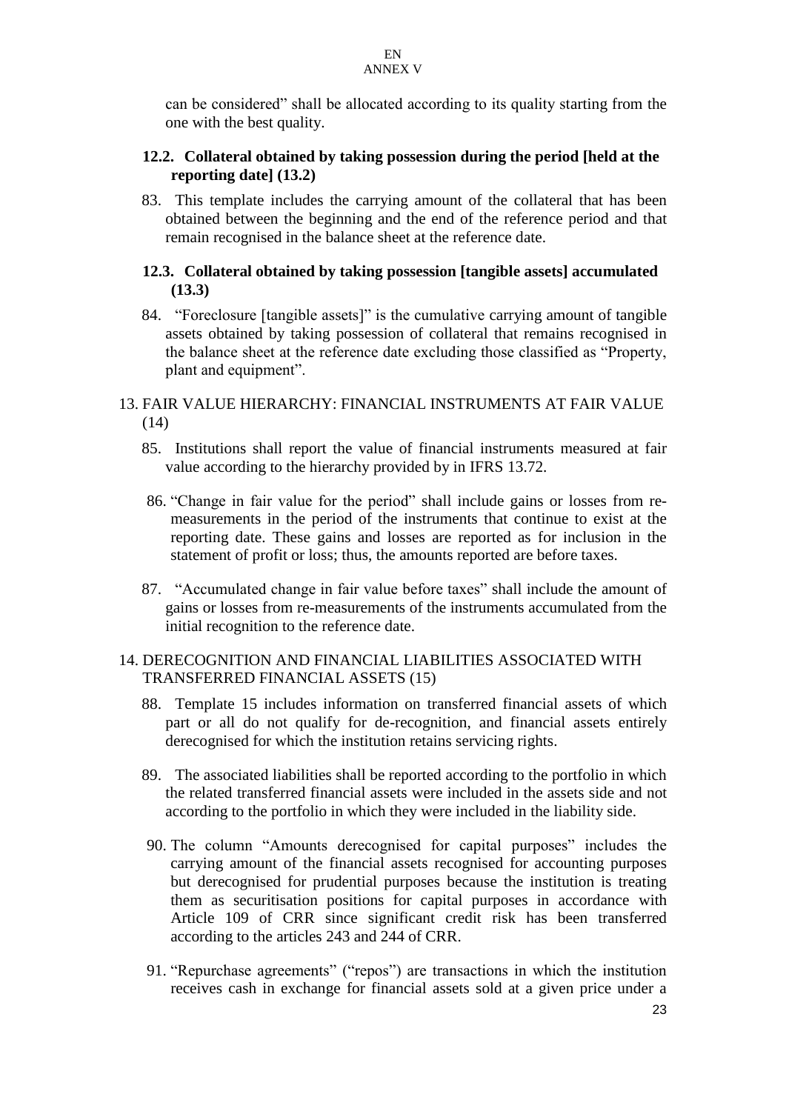can be considered" shall be allocated according to its quality starting from the one with the best quality.

## **12.2. Collateral obtained by taking possession during the period [held at the reporting date] (13.2)**

83. This template includes the carrying amount of the collateral that has been obtained between the beginning and the end of the reference period and that remain recognised in the balance sheet at the reference date.

## **12.3. Collateral obtained by taking possession [tangible assets] accumulated (13.3)**

84. "Foreclosure [tangible assets]" is the cumulative carrying amount of tangible assets obtained by taking possession of collateral that remains recognised in the balance sheet at the reference date excluding those classified as "Property, plant and equipment".

## 13. FAIR VALUE HIERARCHY: FINANCIAL INSTRUMENTS AT FAIR VALUE (14)

- 85. Institutions shall report the value of financial instruments measured at fair value according to the hierarchy provided by in IFRS 13.72.
- 86. "Change in fair value for the period" shall include gains or losses from remeasurements in the period of the instruments that continue to exist at the reporting date. These gains and losses are reported as for inclusion in the statement of profit or loss; thus, the amounts reported are before taxes.
- 87. "Accumulated change in fair value before taxes" shall include the amount of gains or losses from re-measurements of the instruments accumulated from the initial recognition to the reference date.

## 14. DERECOGNITION AND FINANCIAL LIABILITIES ASSOCIATED WITH TRANSFERRED FINANCIAL ASSETS (15)

- 88. Template 15 includes information on transferred financial assets of which part or all do not qualify for de-recognition, and financial assets entirely derecognised for which the institution retains servicing rights.
- 89. The associated liabilities shall be reported according to the portfolio in which the related transferred financial assets were included in the assets side and not according to the portfolio in which they were included in the liability side.
- 90. The column "Amounts derecognised for capital purposes" includes the carrying amount of the financial assets recognised for accounting purposes but derecognised for prudential purposes because the institution is treating them as securitisation positions for capital purposes in accordance with Article 109 of CRR since significant credit risk has been transferred according to the articles 243 and 244 of CRR.
- 91. "Repurchase agreements" ("repos") are transactions in which the institution receives cash in exchange for financial assets sold at a given price under a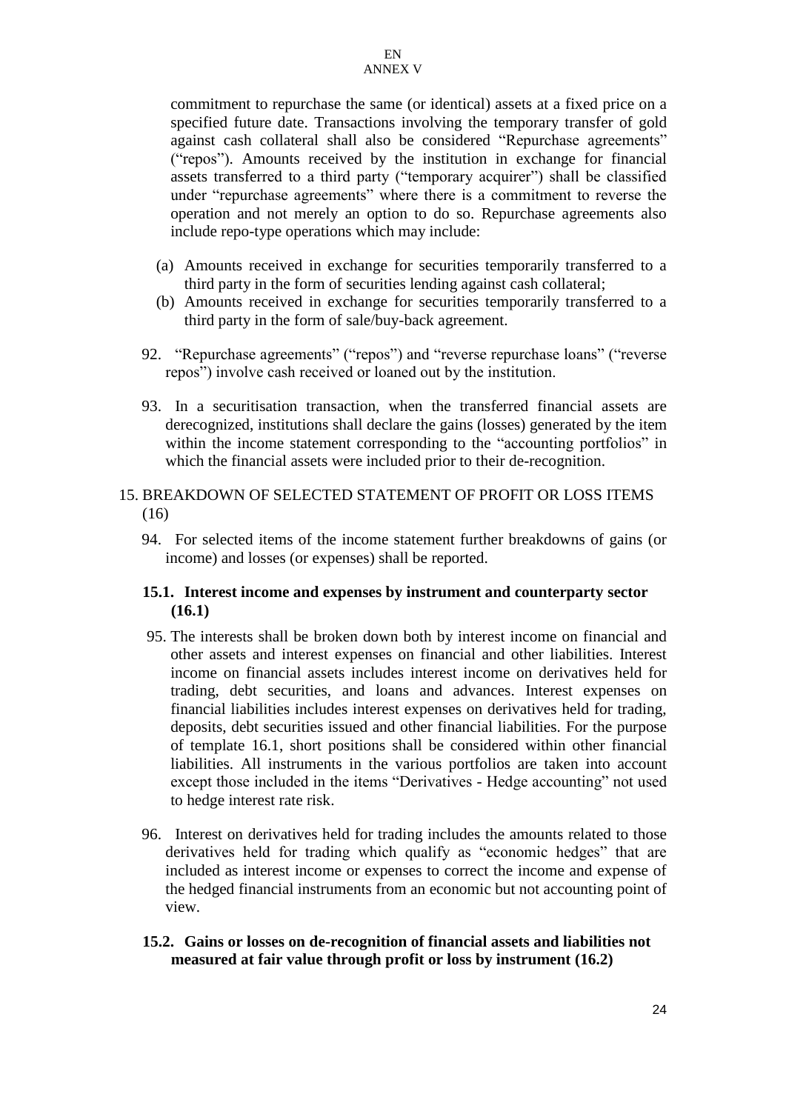commitment to repurchase the same (or identical) assets at a fixed price on a specified future date. Transactions involving the temporary transfer of gold against cash collateral shall also be considered "Repurchase agreements" ("repos"). Amounts received by the institution in exchange for financial assets transferred to a third party ("temporary acquirer") shall be classified under "repurchase agreements" where there is a commitment to reverse the operation and not merely an option to do so. Repurchase agreements also include repo-type operations which may include:

- (a) Amounts received in exchange for securities temporarily transferred to a third party in the form of securities lending against cash collateral;
- (b) Amounts received in exchange for securities temporarily transferred to a third party in the form of sale/buy-back agreement.
- 92. "Repurchase agreements" ("repos") and "reverse repurchase loans" ("reverse repos") involve cash received or loaned out by the institution.
- 93. In a securitisation transaction, when the transferred financial assets are derecognized, institutions shall declare the gains (losses) generated by the item within the income statement corresponding to the "accounting portfolios" in which the financial assets were included prior to their de-recognition.

## 15. BREAKDOWN OF SELECTED STATEMENT OF PROFIT OR LOSS ITEMS (16)

94. For selected items of the income statement further breakdowns of gains (or income) and losses (or expenses) shall be reported.

#### **15.1. Interest income and expenses by instrument and counterparty sector (16.1)**

- 95. The interests shall be broken down both by interest income on financial and other assets and interest expenses on financial and other liabilities. Interest income on financial assets includes interest income on derivatives held for trading, debt securities, and loans and advances. Interest expenses on financial liabilities includes interest expenses on derivatives held for trading, deposits, debt securities issued and other financial liabilities. For the purpose of template 16.1, short positions shall be considered within other financial liabilities. All instruments in the various portfolios are taken into account except those included in the items "Derivatives - Hedge accounting" not used to hedge interest rate risk.
- 96. Interest on derivatives held for trading includes the amounts related to those derivatives held for trading which qualify as "economic hedges" that are included as interest income or expenses to correct the income and expense of the hedged financial instruments from an economic but not accounting point of view.
- **15.2. Gains or losses on de-recognition of financial assets and liabilities not measured at fair value through profit or loss by instrument (16.2)**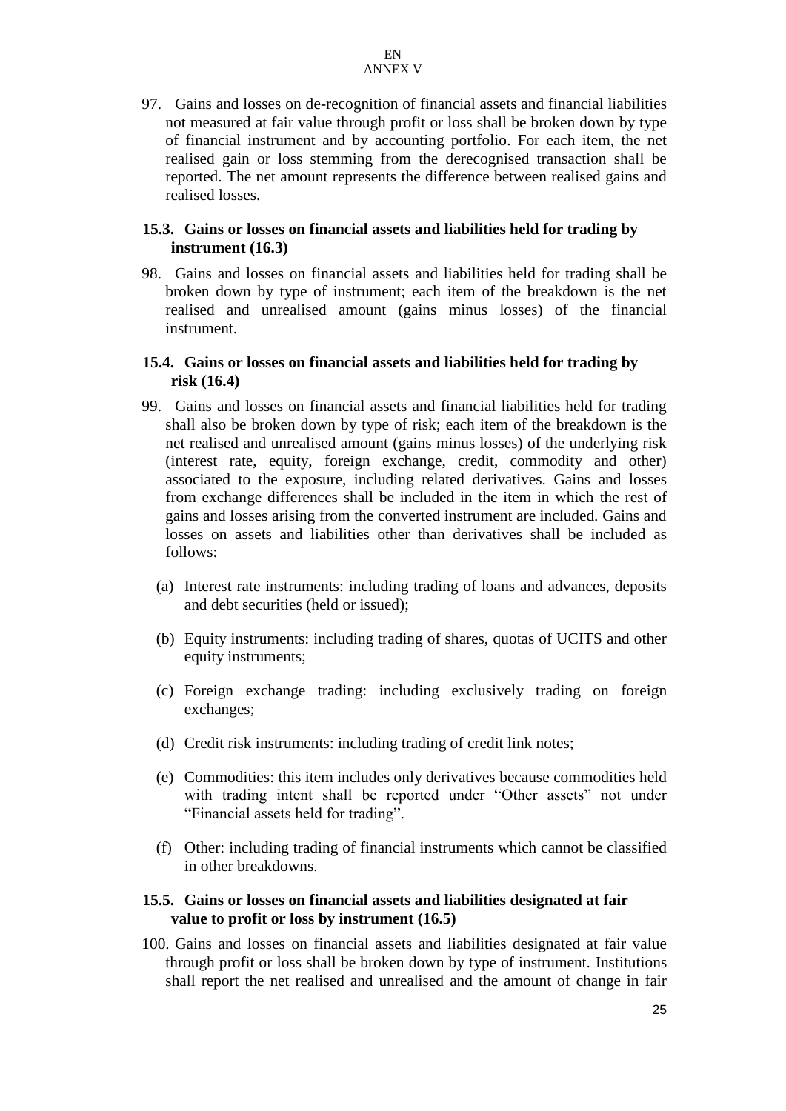97. Gains and losses on de-recognition of financial assets and financial liabilities not measured at fair value through profit or loss shall be broken down by type of financial instrument and by accounting portfolio. For each item, the net realised gain or loss stemming from the derecognised transaction shall be reported. The net amount represents the difference between realised gains and realised losses.

## **15.3. Gains or losses on financial assets and liabilities held for trading by instrument (16.3)**

98. Gains and losses on financial assets and liabilities held for trading shall be broken down by type of instrument; each item of the breakdown is the net realised and unrealised amount (gains minus losses) of the financial instrument.

## **15.4. Gains or losses on financial assets and liabilities held for trading by risk (16.4)**

- 99. Gains and losses on financial assets and financial liabilities held for trading shall also be broken down by type of risk; each item of the breakdown is the net realised and unrealised amount (gains minus losses) of the underlying risk (interest rate, equity, foreign exchange, credit, commodity and other) associated to the exposure, including related derivatives. Gains and losses from exchange differences shall be included in the item in which the rest of gains and losses arising from the converted instrument are included. Gains and losses on assets and liabilities other than derivatives shall be included as follows:
	- (a) Interest rate instruments: including trading of loans and advances, deposits and debt securities (held or issued);
	- (b) Equity instruments: including trading of shares, quotas of UCITS and other equity instruments;
	- (c) Foreign exchange trading: including exclusively trading on foreign exchanges;
	- (d) Credit risk instruments: including trading of credit link notes;
	- (e) Commodities: this item includes only derivatives because commodities held with trading intent shall be reported under "Other assets" not under "Financial assets held for trading".
	- (f) Other: including trading of financial instruments which cannot be classified in other breakdowns.

#### **15.5. Gains or losses on financial assets and liabilities designated at fair value to profit or loss by instrument (16.5)**

100. Gains and losses on financial assets and liabilities designated at fair value through profit or loss shall be broken down by type of instrument. Institutions shall report the net realised and unrealised and the amount of change in fair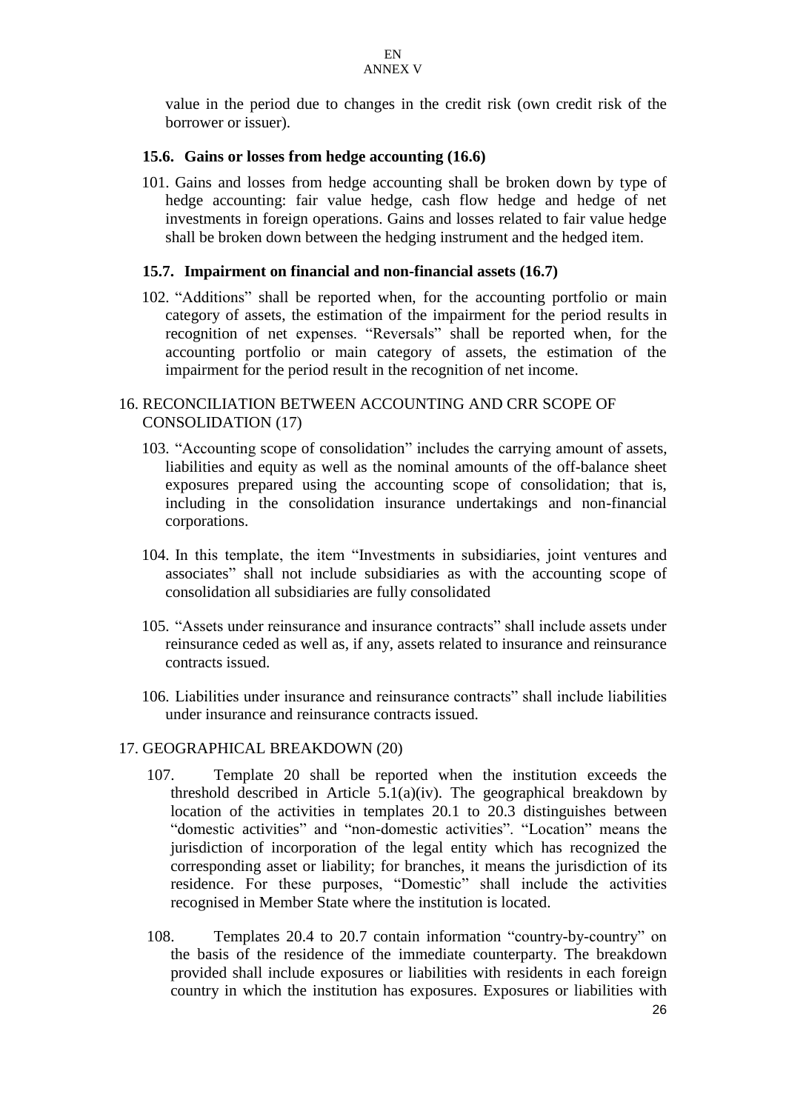value in the period due to changes in the credit risk (own credit risk of the borrower or issuer).

## **15.6. Gains or losses from hedge accounting (16.6)**

101. Gains and losses from hedge accounting shall be broken down by type of hedge accounting: fair value hedge, cash flow hedge and hedge of net investments in foreign operations. Gains and losses related to fair value hedge shall be broken down between the hedging instrument and the hedged item.

#### **15.7. Impairment on financial and non-financial assets (16.7)**

102. "Additions" shall be reported when, for the accounting portfolio or main category of assets, the estimation of the impairment for the period results in recognition of net expenses. "Reversals" shall be reported when, for the accounting portfolio or main category of assets, the estimation of the impairment for the period result in the recognition of net income.

## 16. RECONCILIATION BETWEEN ACCOUNTING AND CRR SCOPE OF CONSOLIDATION (17)

- 103. "Accounting scope of consolidation" includes the carrying amount of assets, liabilities and equity as well as the nominal amounts of the off-balance sheet exposures prepared using the accounting scope of consolidation; that is, including in the consolidation insurance undertakings and non-financial corporations.
- 104. In this template, the item "Investments in subsidiaries, joint ventures and associates" shall not include subsidiaries as with the accounting scope of consolidation all subsidiaries are fully consolidated
- 105. "Assets under reinsurance and insurance contracts" shall include assets under reinsurance ceded as well as, if any, assets related to insurance and reinsurance contracts issued.
- 106. Liabilities under insurance and reinsurance contracts" shall include liabilities under insurance and reinsurance contracts issued.

#### 17. GEOGRAPHICAL BREAKDOWN (20)

- 107. Template 20 shall be reported when the institution exceeds the threshold described in Article  $5.1(a)(iv)$ . The geographical breakdown by location of the activities in templates 20.1 to 20.3 distinguishes between "domestic activities" and "non-domestic activities". "Location" means the jurisdiction of incorporation of the legal entity which has recognized the corresponding asset or liability; for branches, it means the jurisdiction of its residence. For these purposes, "Domestic" shall include the activities recognised in Member State where the institution is located.
- 108. Templates 20.4 to 20.7 contain information "country-by-country" on the basis of the residence of the immediate counterparty. The breakdown provided shall include exposures or liabilities with residents in each foreign country in which the institution has exposures. Exposures or liabilities with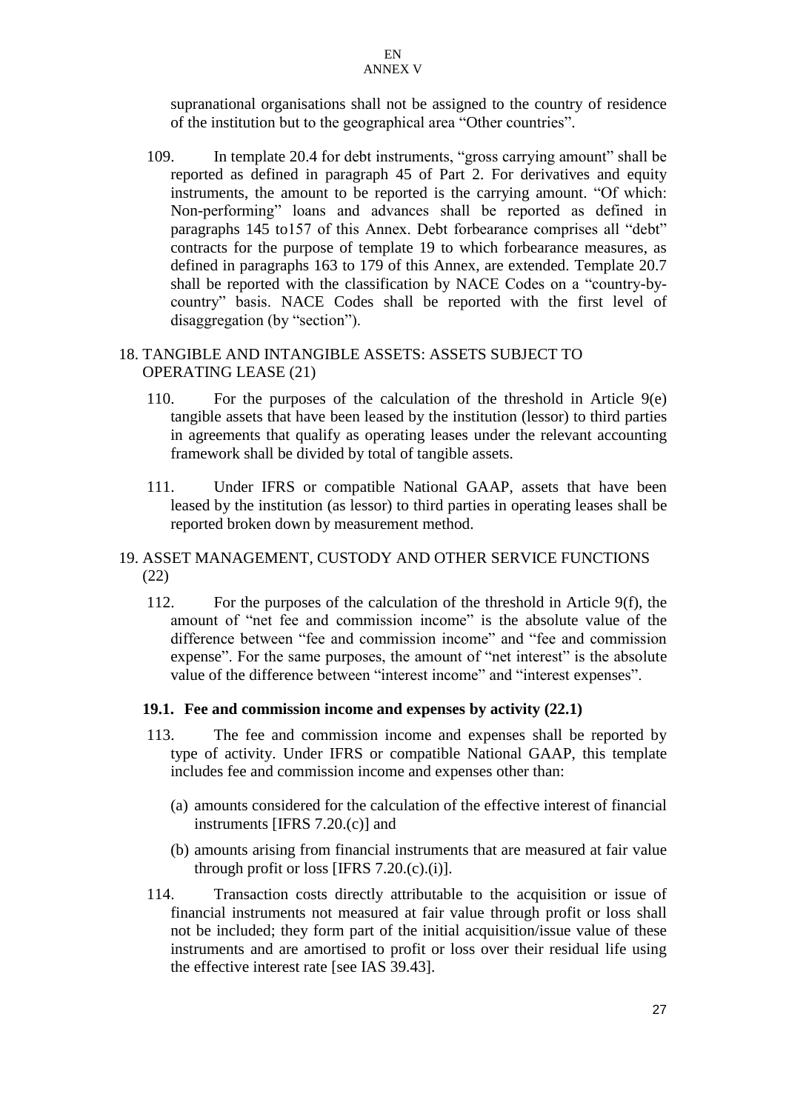supranational organisations shall not be assigned to the country of residence of the institution but to the geographical area "Other countries".

109. In template 20.4 for debt instruments, "gross carrying amount" shall be reported as defined in paragraph 45 of Part 2. For derivatives and equity instruments, the amount to be reported is the carrying amount. "Of which: Non-performing" loans and advances shall be reported as defined in paragraphs 145 to157 of this Annex. Debt forbearance comprises all "debt" contracts for the purpose of template 19 to which forbearance measures, as defined in paragraphs 163 to 179 of this Annex, are extended. Template 20.7 shall be reported with the classification by NACE Codes on a "country-bycountry" basis. NACE Codes shall be reported with the first level of disaggregation (by "section").

## 18. TANGIBLE AND INTANGIBLE ASSETS: ASSETS SUBJECT TO OPERATING LEASE (21)

- 110. For the purposes of the calculation of the threshold in Article 9(e) tangible assets that have been leased by the institution (lessor) to third parties in agreements that qualify as operating leases under the relevant accounting framework shall be divided by total of tangible assets.
- 111. Under IFRS or compatible National GAAP, assets that have been leased by the institution (as lessor) to third parties in operating leases shall be reported broken down by measurement method.

## 19. ASSET MANAGEMENT, CUSTODY AND OTHER SERVICE FUNCTIONS (22)

112. For the purposes of the calculation of the threshold in Article 9(f), the amount of "net fee and commission income" is the absolute value of the difference between "fee and commission income" and "fee and commission expense". For the same purposes, the amount of "net interest" is the absolute value of the difference between "interest income" and "interest expenses".

## **19.1. Fee and commission income and expenses by activity (22.1)**

- 113. The fee and commission income and expenses shall be reported by type of activity. Under IFRS or compatible National GAAP, this template includes fee and commission income and expenses other than:
	- (a) amounts considered for the calculation of the effective interest of financial instruments [IFRS 7.20.(c)] and
	- (b) amounts arising from financial instruments that are measured at fair value through profit or loss [IFRS  $7.20(c)(i)$ ].
- 114. Transaction costs directly attributable to the acquisition or issue of financial instruments not measured at fair value through profit or loss shall not be included; they form part of the initial acquisition/issue value of these instruments and are amortised to profit or loss over their residual life using the effective interest rate [see IAS 39.43].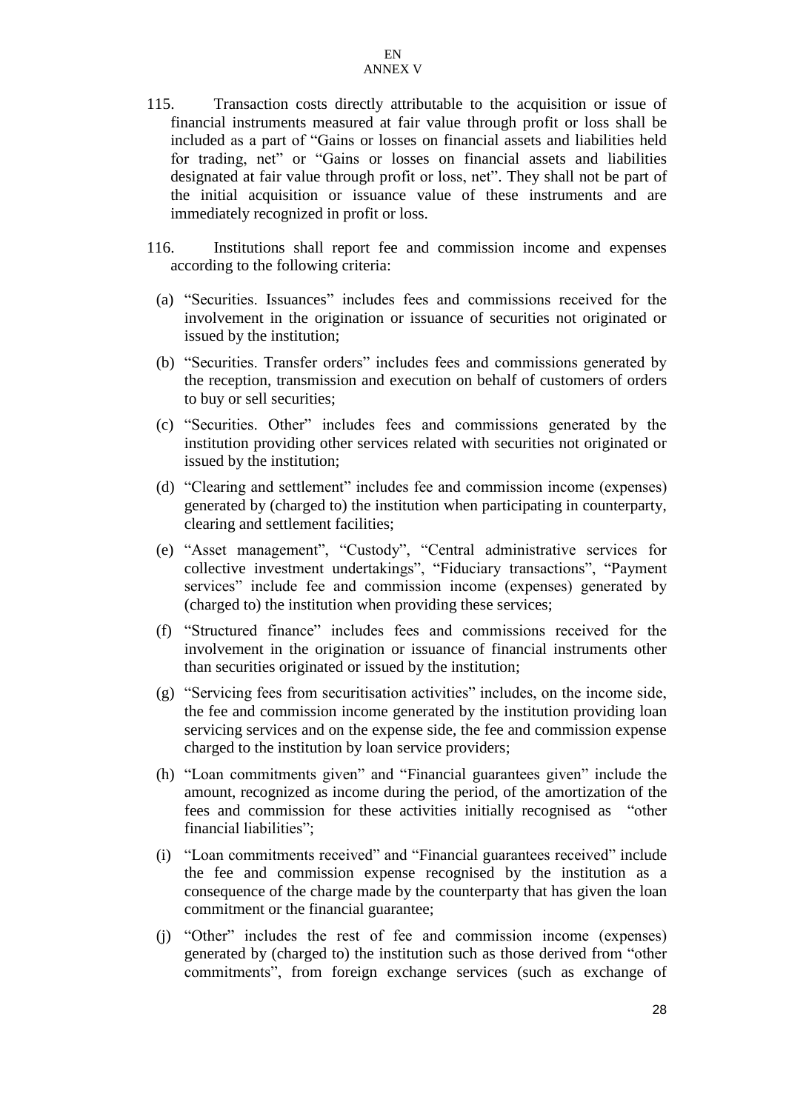- 115. Transaction costs directly attributable to the acquisition or issue of financial instruments measured at fair value through profit or loss shall be included as a part of "Gains or losses on financial assets and liabilities held for trading, net" or "Gains or losses on financial assets and liabilities designated at fair value through profit or loss, net". They shall not be part of the initial acquisition or issuance value of these instruments and are immediately recognized in profit or loss.
- 116. Institutions shall report fee and commission income and expenses according to the following criteria:
	- (a) "Securities. Issuances" includes fees and commissions received for the involvement in the origination or issuance of securities not originated or issued by the institution;
	- (b) "Securities. Transfer orders" includes fees and commissions generated by the reception, transmission and execution on behalf of customers of orders to buy or sell securities;
	- (c) "Securities. Other" includes fees and commissions generated by the institution providing other services related with securities not originated or issued by the institution;
	- (d) "Clearing and settlement" includes fee and commission income (expenses) generated by (charged to) the institution when participating in counterparty, clearing and settlement facilities;
	- (e) "Asset management", "Custody", "Central administrative services for collective investment undertakings", "Fiduciary transactions", "Payment services" include fee and commission income (expenses) generated by (charged to) the institution when providing these services;
	- (f) "Structured finance" includes fees and commissions received for the involvement in the origination or issuance of financial instruments other than securities originated or issued by the institution;
	- (g) "Servicing fees from securitisation activities" includes, on the income side, the fee and commission income generated by the institution providing loan servicing services and on the expense side, the fee and commission expense charged to the institution by loan service providers;
	- (h) "Loan commitments given" and "Financial guarantees given" include the amount, recognized as income during the period, of the amortization of the fees and commission for these activities initially recognised as "other financial liabilities";
	- (i) "Loan commitments received" and "Financial guarantees received" include the fee and commission expense recognised by the institution as a consequence of the charge made by the counterparty that has given the loan commitment or the financial guarantee;
	- (j) "Other" includes the rest of fee and commission income (expenses) generated by (charged to) the institution such as those derived from "other commitments", from foreign exchange services (such as exchange of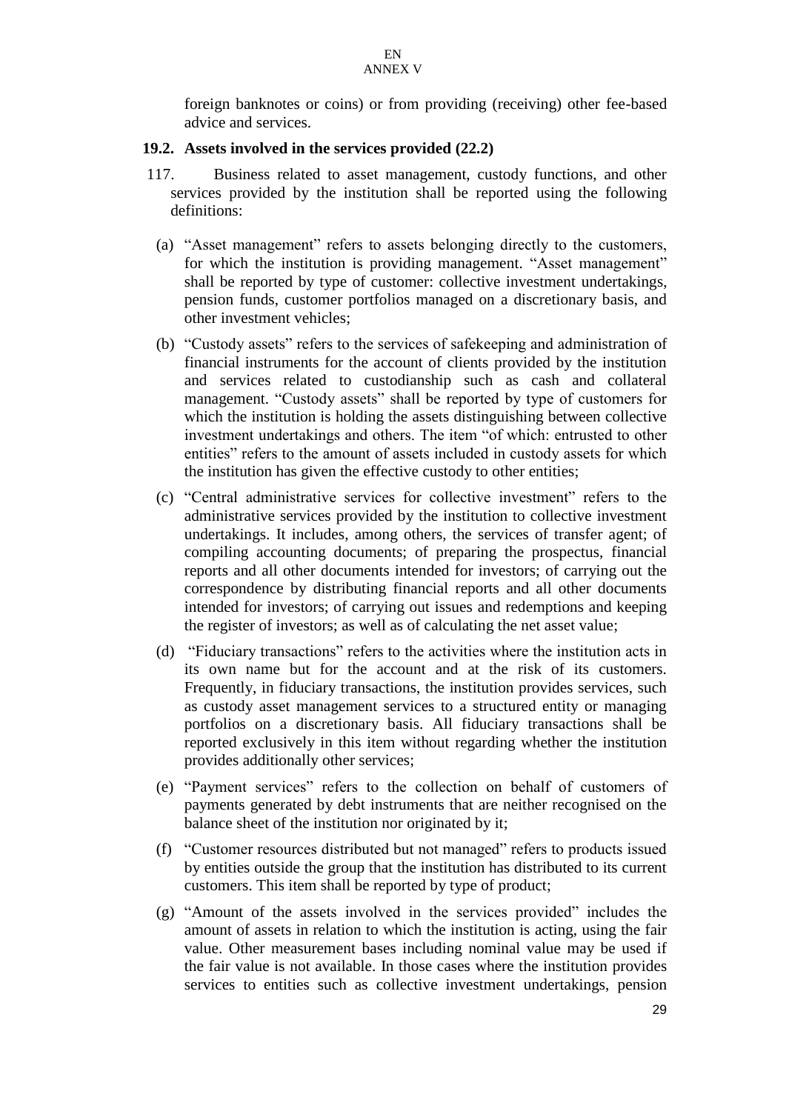foreign banknotes or coins) or from providing (receiving) other fee-based advice and services.

#### **19.2. Assets involved in the services provided (22.2)**

- 117. Business related to asset management, custody functions, and other services provided by the institution shall be reported using the following definitions:
	- (a) "Asset management" refers to assets belonging directly to the customers, for which the institution is providing management. "Asset management" shall be reported by type of customer: collective investment undertakings, pension funds, customer portfolios managed on a discretionary basis, and other investment vehicles;
	- (b) "Custody assets" refers to the services of safekeeping and administration of financial instruments for the account of clients provided by the institution and services related to custodianship such as cash and collateral management. "Custody assets" shall be reported by type of customers for which the institution is holding the assets distinguishing between collective investment undertakings and others. The item "of which: entrusted to other entities" refers to the amount of assets included in custody assets for which the institution has given the effective custody to other entities;
	- (c) "Central administrative services for collective investment" refers to the administrative services provided by the institution to collective investment undertakings. It includes, among others, the services of transfer agent; of compiling accounting documents; of preparing the prospectus, financial reports and all other documents intended for investors; of carrying out the correspondence by distributing financial reports and all other documents intended for investors; of carrying out issues and redemptions and keeping the register of investors; as well as of calculating the net asset value;
	- (d) "Fiduciary transactions" refers to the activities where the institution acts in its own name but for the account and at the risk of its customers. Frequently, in fiduciary transactions, the institution provides services, such as custody asset management services to a structured entity or managing portfolios on a discretionary basis. All fiduciary transactions shall be reported exclusively in this item without regarding whether the institution provides additionally other services;
	- (e) "Payment services" refers to the collection on behalf of customers of payments generated by debt instruments that are neither recognised on the balance sheet of the institution nor originated by it;
	- (f) "Customer resources distributed but not managed" refers to products issued by entities outside the group that the institution has distributed to its current customers. This item shall be reported by type of product;
	- (g) "Amount of the assets involved in the services provided" includes the amount of assets in relation to which the institution is acting, using the fair value. Other measurement bases including nominal value may be used if the fair value is not available. In those cases where the institution provides services to entities such as collective investment undertakings, pension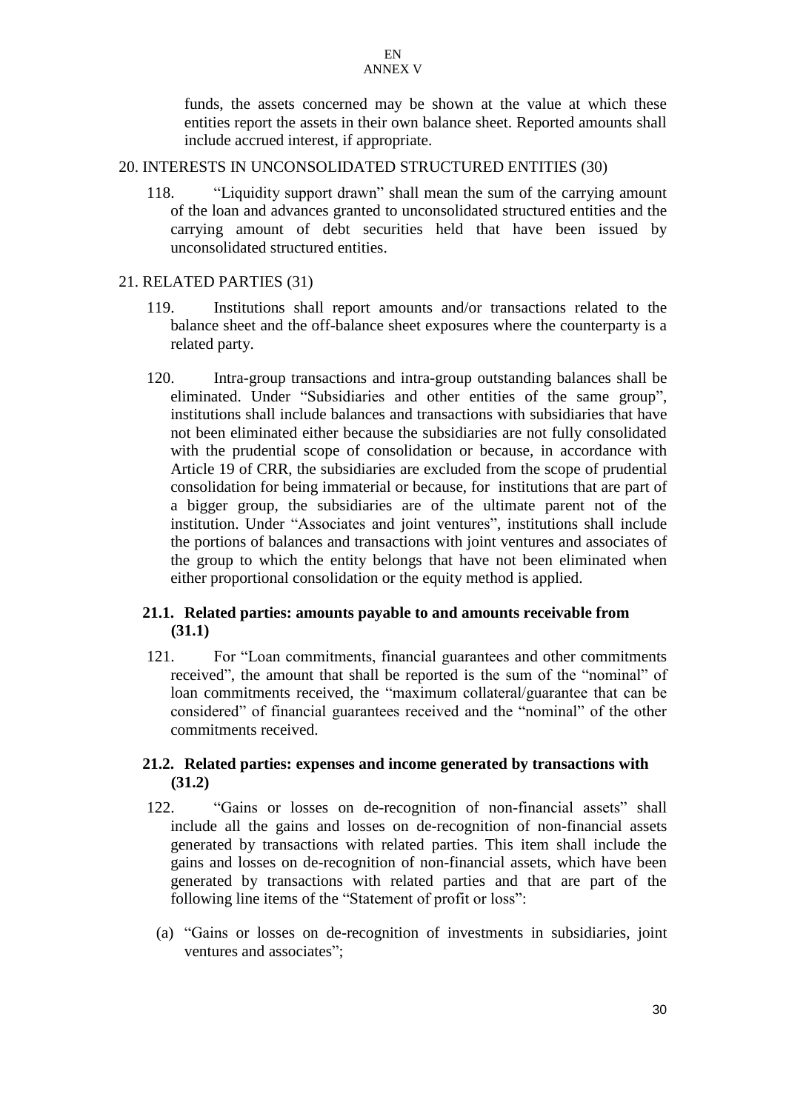funds, the assets concerned may be shown at the value at which these entities report the assets in their own balance sheet. Reported amounts shall include accrued interest, if appropriate.

#### 20. INTERESTS IN UNCONSOLIDATED STRUCTURED ENTITIES (30)

118. "Liquidity support drawn" shall mean the sum of the carrying amount of the loan and advances granted to unconsolidated structured entities and the carrying amount of debt securities held that have been issued by unconsolidated structured entities.

## 21. RELATED PARTIES (31)

- 119. Institutions shall report amounts and/or transactions related to the balance sheet and the off-balance sheet exposures where the counterparty is a related party.
- 120. Intra-group transactions and intra-group outstanding balances shall be eliminated. Under "Subsidiaries and other entities of the same group", institutions shall include balances and transactions with subsidiaries that have not been eliminated either because the subsidiaries are not fully consolidated with the prudential scope of consolidation or because, in accordance with Article 19 of CRR, the subsidiaries are excluded from the scope of prudential consolidation for being immaterial or because, for institutions that are part of a bigger group, the subsidiaries are of the ultimate parent not of the institution. Under "Associates and joint ventures", institutions shall include the portions of balances and transactions with joint ventures and associates of the group to which the entity belongs that have not been eliminated when either proportional consolidation or the equity method is applied.

## **21.1. Related parties: amounts payable to and amounts receivable from (31.1)**

121. For "Loan commitments, financial guarantees and other commitments received", the amount that shall be reported is the sum of the "nominal" of loan commitments received, the "maximum collateral/guarantee that can be considered" of financial guarantees received and the "nominal" of the other commitments received.

## **21.2. Related parties: expenses and income generated by transactions with (31.2)**

- 122. "Gains or losses on de-recognition of non-financial assets" shall include all the gains and losses on de-recognition of non-financial assets generated by transactions with related parties. This item shall include the gains and losses on de-recognition of non-financial assets, which have been generated by transactions with related parties and that are part of the following line items of the "Statement of profit or loss":
	- (a) "Gains or losses on de-recognition of investments in subsidiaries, joint ventures and associates";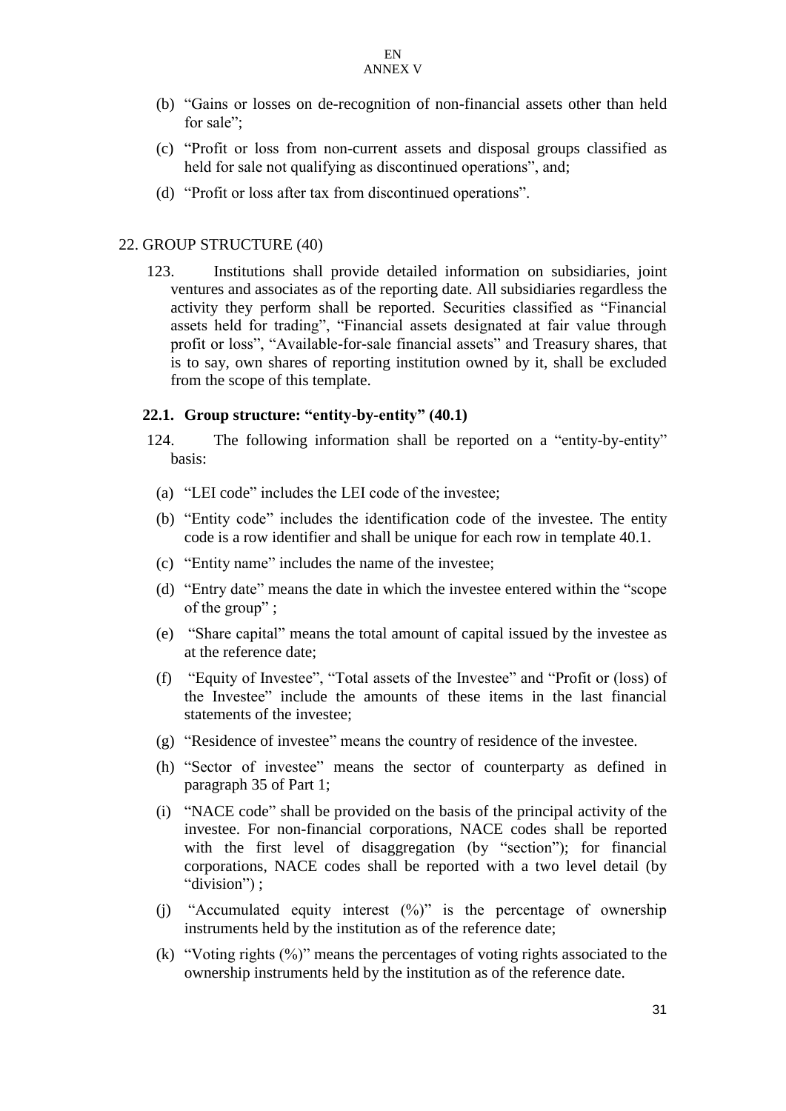- (b) "Gains or losses on de-recognition of non-financial assets other than held for sale":
- (c) "Profit or loss from non-current assets and disposal groups classified as held for sale not qualifying as discontinued operations", and;
- (d) "Profit or loss after tax from discontinued operations".

#### 22. GROUP STRUCTURE (40)

123. Institutions shall provide detailed information on subsidiaries, joint ventures and associates as of the reporting date. All subsidiaries regardless the activity they perform shall be reported. Securities classified as "Financial assets held for trading", "Financial assets designated at fair value through profit or loss", "Available-for-sale financial assets" and Treasury shares, that is to say, own shares of reporting institution owned by it, shall be excluded from the scope of this template.

#### **22.1. Group structure: "entity-by-entity" (40.1)**

- 124. The following information shall be reported on a "entity-by-entity" basis:
	- (a) "LEI code" includes the LEI code of the investee;
	- (b) "Entity code" includes the identification code of the investee. The entity code is a row identifier and shall be unique for each row in template 40.1.
	- (c) "Entity name" includes the name of the investee;
	- (d) "Entry date" means the date in which the investee entered within the "scope of the group" ;
- (e) "Share capital" means the total amount of capital issued by the investee as at the reference date;
- (f) "Equity of Investee", "Total assets of the Investee" and "Profit or (loss) of the Investee" include the amounts of these items in the last financial statements of the investee;
- (g) "Residence of investee" means the country of residence of the investee.
- (h) "Sector of investee" means the sector of counterparty as defined in paragraph 35 of Part 1;
- (i) "NACE code" shall be provided on the basis of the principal activity of the investee. For non-financial corporations, NACE codes shall be reported with the first level of disaggregation (by "section"); for financial corporations, NACE codes shall be reported with a two level detail (by "division") ;
- (j) "Accumulated equity interest (%)" is the percentage of ownership instruments held by the institution as of the reference date;
- (k) "Voting rights (%)" means the percentages of voting rights associated to the ownership instruments held by the institution as of the reference date.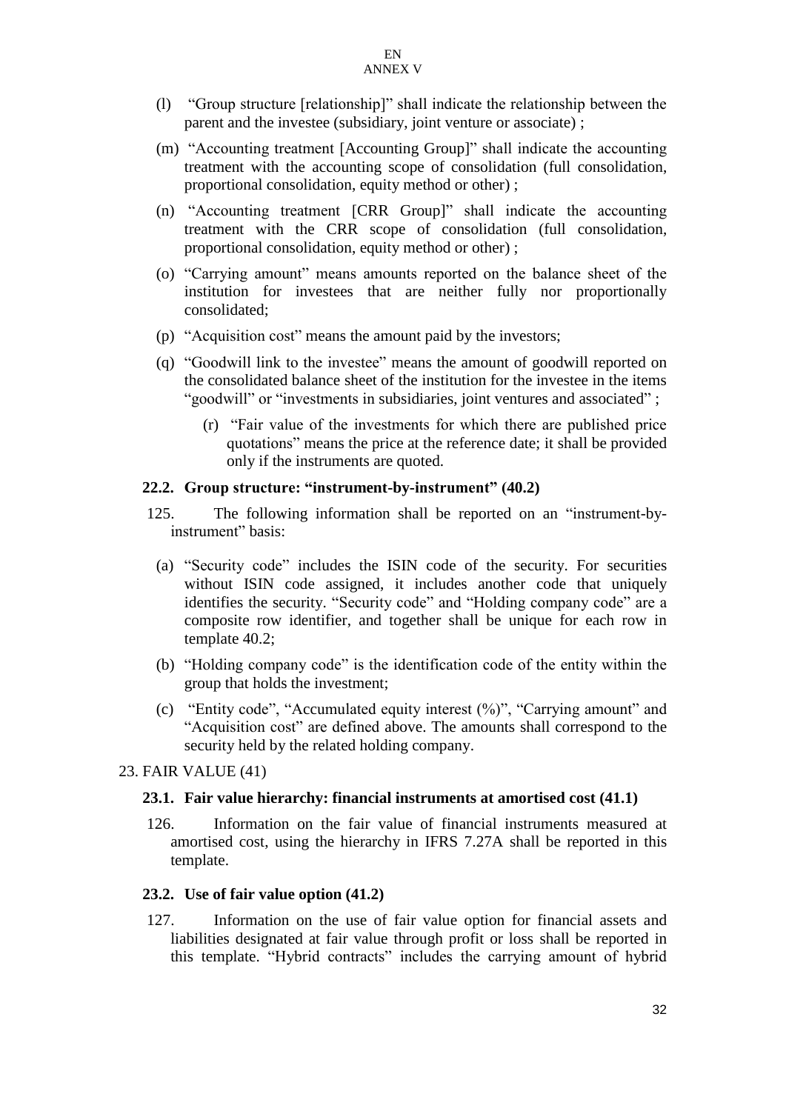- (l) "Group structure [relationship]" shall indicate the relationship between the parent and the investee (subsidiary, joint venture or associate) ;
- (m) "Accounting treatment [Accounting Group]" shall indicate the accounting treatment with the accounting scope of consolidation (full consolidation, proportional consolidation, equity method or other) ;
- (n) "Accounting treatment [CRR Group]" shall indicate the accounting treatment with the CRR scope of consolidation (full consolidation, proportional consolidation, equity method or other) ;
- (o) "Carrying amount" means amounts reported on the balance sheet of the institution for investees that are neither fully nor proportionally consolidated;
- (p) "Acquisition cost" means the amount paid by the investors;
- (q) "Goodwill link to the investee" means the amount of goodwill reported on the consolidated balance sheet of the institution for the investee in the items "goodwill" or "investments in subsidiaries, joint ventures and associated" ;
	- (r) "Fair value of the investments for which there are published price quotations" means the price at the reference date; it shall be provided only if the instruments are quoted.

## **22.2. Group structure: "instrument-by-instrument" (40.2)**

- 125. The following information shall be reported on an "instrument-byinstrument" basis:
	- (a) "Security code" includes the ISIN code of the security. For securities without ISIN code assigned, it includes another code that uniquely identifies the security. "Security code" and "Holding company code" are a composite row identifier, and together shall be unique for each row in template 40.2;
	- (b) "Holding company code" is the identification code of the entity within the group that holds the investment;
	- (c) "Entity code", "Accumulated equity interest (%)", "Carrying amount" and "Acquisition cost" are defined above. The amounts shall correspond to the security held by the related holding company.

#### 23. FAIR VALUE (41)

#### **23.1. Fair value hierarchy: financial instruments at amortised cost (41.1)**

126. Information on the fair value of financial instruments measured at amortised cost, using the hierarchy in IFRS 7.27A shall be reported in this template.

#### **23.2. Use of fair value option (41.2)**

127. Information on the use of fair value option for financial assets and liabilities designated at fair value through profit or loss shall be reported in this template. "Hybrid contracts" includes the carrying amount of hybrid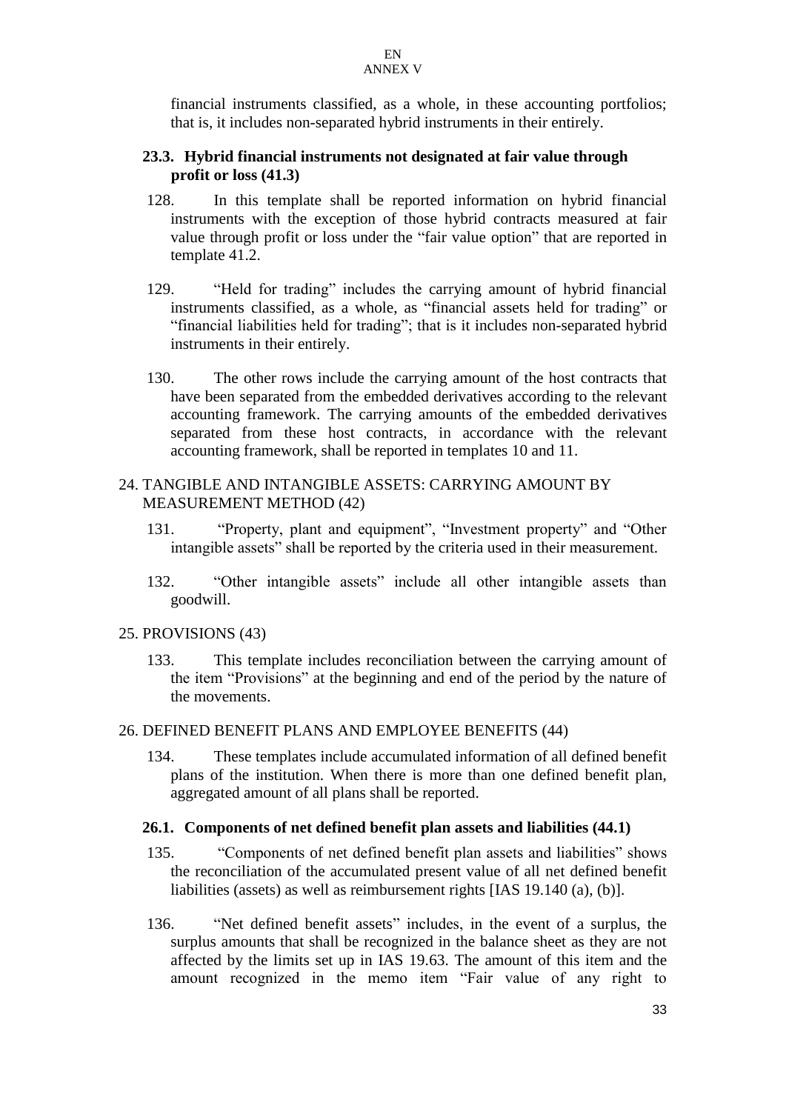financial instruments classified, as a whole, in these accounting portfolios; that is, it includes non-separated hybrid instruments in their entirely.

## **23.3. Hybrid financial instruments not designated at fair value through profit or loss (41.3)**

- 128. In this template shall be reported information on hybrid financial instruments with the exception of those hybrid contracts measured at fair value through profit or loss under the "fair value option" that are reported in template 41.2.
- 129. "Held for trading" includes the carrying amount of hybrid financial instruments classified, as a whole, as "financial assets held for trading" or "financial liabilities held for trading"; that is it includes non-separated hybrid instruments in their entirely.
- 130. The other rows include the carrying amount of the host contracts that have been separated from the embedded derivatives according to the relevant accounting framework. The carrying amounts of the embedded derivatives separated from these host contracts, in accordance with the relevant accounting framework, shall be reported in templates 10 and 11.

## 24. TANGIBLE AND INTANGIBLE ASSETS: CARRYING AMOUNT BY MEASUREMENT METHOD (42)

- 131. "Property, plant and equipment", "Investment property" and "Other intangible assets" shall be reported by the criteria used in their measurement.
- 132. "Other intangible assets" include all other intangible assets than goodwill.

## 25. PROVISIONS (43)

133. This template includes reconciliation between the carrying amount of the item "Provisions" at the beginning and end of the period by the nature of the movements.

## 26. DEFINED BENEFIT PLANS AND EMPLOYEE BENEFITS (44)

134. These templates include accumulated information of all defined benefit plans of the institution. When there is more than one defined benefit plan, aggregated amount of all plans shall be reported.

#### **26.1. Components of net defined benefit plan assets and liabilities (44.1)**

- 135. "Components of net defined benefit plan assets and liabilities" shows the reconciliation of the accumulated present value of all net defined benefit liabilities (assets) as well as reimbursement rights [IAS 19.140 (a), (b)].
- 136. "Net defined benefit assets" includes, in the event of a surplus, the surplus amounts that shall be recognized in the balance sheet as they are not affected by the limits set up in IAS 19.63. The amount of this item and the amount recognized in the memo item "Fair value of any right to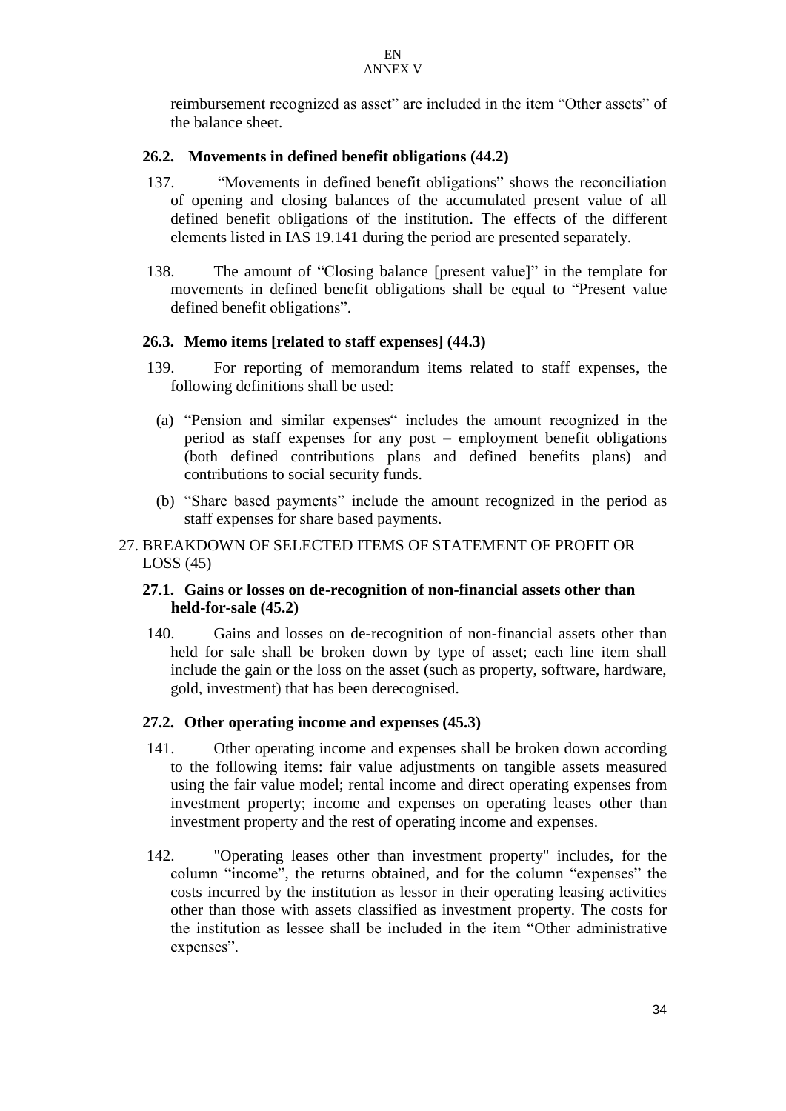reimbursement recognized as asset" are included in the item "Other assets" of the balance sheet.

## **26.2. Movements in defined benefit obligations (44.2)**

- 137. "Movements in defined benefit obligations" shows the reconciliation of opening and closing balances of the accumulated present value of all defined benefit obligations of the institution. The effects of the different elements listed in IAS 19.141 during the period are presented separately.
- 138. The amount of "Closing balance [present value]" in the template for movements in defined benefit obligations shall be equal to "Present value defined benefit obligations".

## **26.3. Memo items [related to staff expenses] (44.3)**

- 139. For reporting of memorandum items related to staff expenses, the following definitions shall be used:
	- (a) "Pension and similar expenses" includes the amount recognized in the period as staff expenses for any post – employment benefit obligations (both defined contributions plans and defined benefits plans) and contributions to social security funds.
	- (b) "Share based payments" include the amount recognized in the period as staff expenses for share based payments.

## 27. BREAKDOWN OF SELECTED ITEMS OF STATEMENT OF PROFIT OR  $LOSS(45)$

## **27.1. Gains or losses on de-recognition of non-financial assets other than held-for-sale (45.2)**

140. Gains and losses on de-recognition of non-financial assets other than held for sale shall be broken down by type of asset; each line item shall include the gain or the loss on the asset (such as property, software, hardware, gold, investment) that has been derecognised.

## **27.2. Other operating income and expenses (45.3)**

- 141. Other operating income and expenses shall be broken down according to the following items: fair value adjustments on tangible assets measured using the fair value model; rental income and direct operating expenses from investment property; income and expenses on operating leases other than investment property and the rest of operating income and expenses.
- 142. "Operating leases other than investment property" includes, for the column "income", the returns obtained, and for the column "expenses" the costs incurred by the institution as lessor in their operating leasing activities other than those with assets classified as investment property. The costs for the institution as lessee shall be included in the item "Other administrative expenses".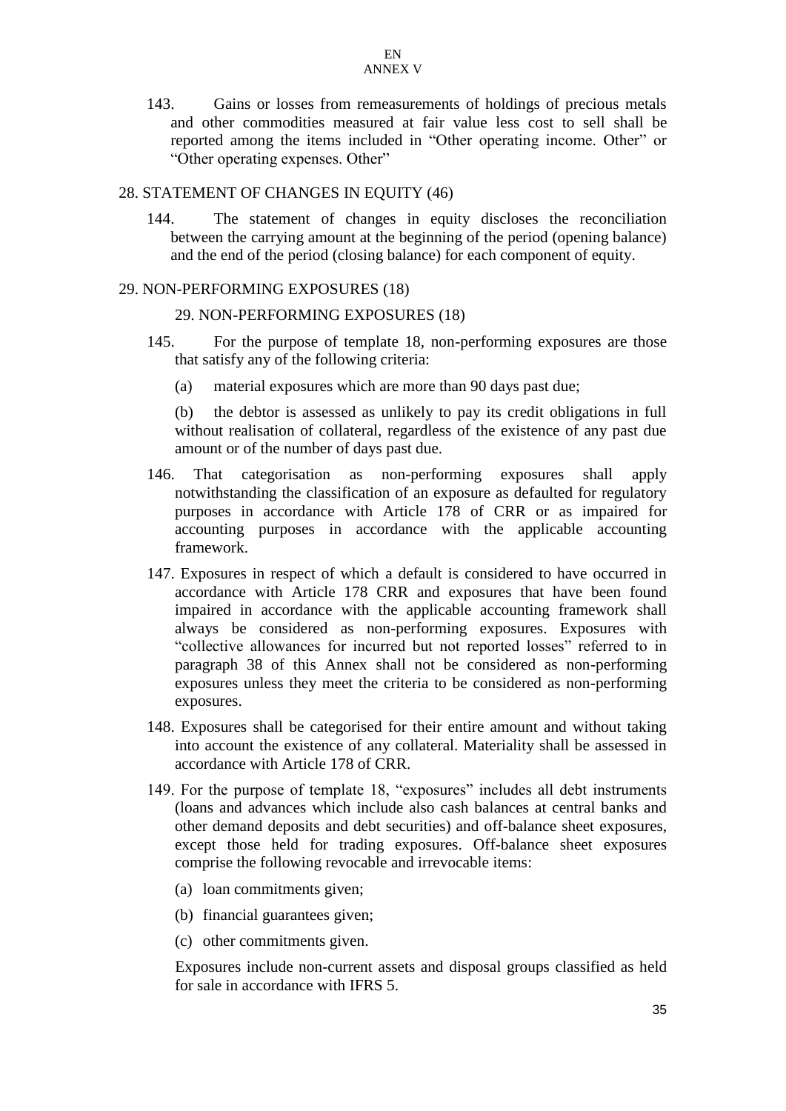143. Gains or losses from remeasurements of holdings of precious metals and other commodities measured at fair value less cost to sell shall be reported among the items included in "Other operating income. Other" or "Other operating expenses. Other"

#### 28. STATEMENT OF CHANGES IN EQUITY (46)

144. The statement of changes in equity discloses the reconciliation between the carrying amount at the beginning of the period (opening balance) and the end of the period (closing balance) for each component of equity.

#### 29. NON-PERFORMING EXPOSURES (18)

#### 29. NON-PERFORMING EXPOSURES (18)

- 145. For the purpose of template 18, non-performing exposures are those that satisfy any of the following criteria:
	- (a) material exposures which are more than 90 days past due;

(b) the debtor is assessed as unlikely to pay its credit obligations in full without realisation of collateral, regardless of the existence of any past due amount or of the number of days past due.

- 146. That categorisation as non-performing exposures shall apply notwithstanding the classification of an exposure as defaulted for regulatory purposes in accordance with Article 178 of CRR or as impaired for accounting purposes in accordance with the applicable accounting framework.
- 147. Exposures in respect of which a default is considered to have occurred in accordance with Article 178 CRR and exposures that have been found impaired in accordance with the applicable accounting framework shall always be considered as non-performing exposures. Exposures with "collective allowances for incurred but not reported losses" referred to in paragraph 38 of this Annex shall not be considered as non-performing exposures unless they meet the criteria to be considered as non-performing exposures.
- 148. Exposures shall be categorised for their entire amount and without taking into account the existence of any collateral. Materiality shall be assessed in accordance with Article 178 of CRR.
- 149. For the purpose of template 18, "exposures" includes all debt instruments (loans and advances which include also cash balances at central banks and other demand deposits and debt securities) and off-balance sheet exposures, except those held for trading exposures. Off-balance sheet exposures comprise the following revocable and irrevocable items:
	- (a) loan commitments given;
	- (b) financial guarantees given;
	- (c) other commitments given.

Exposures include non-current assets and disposal groups classified as held for sale in accordance with IFRS 5.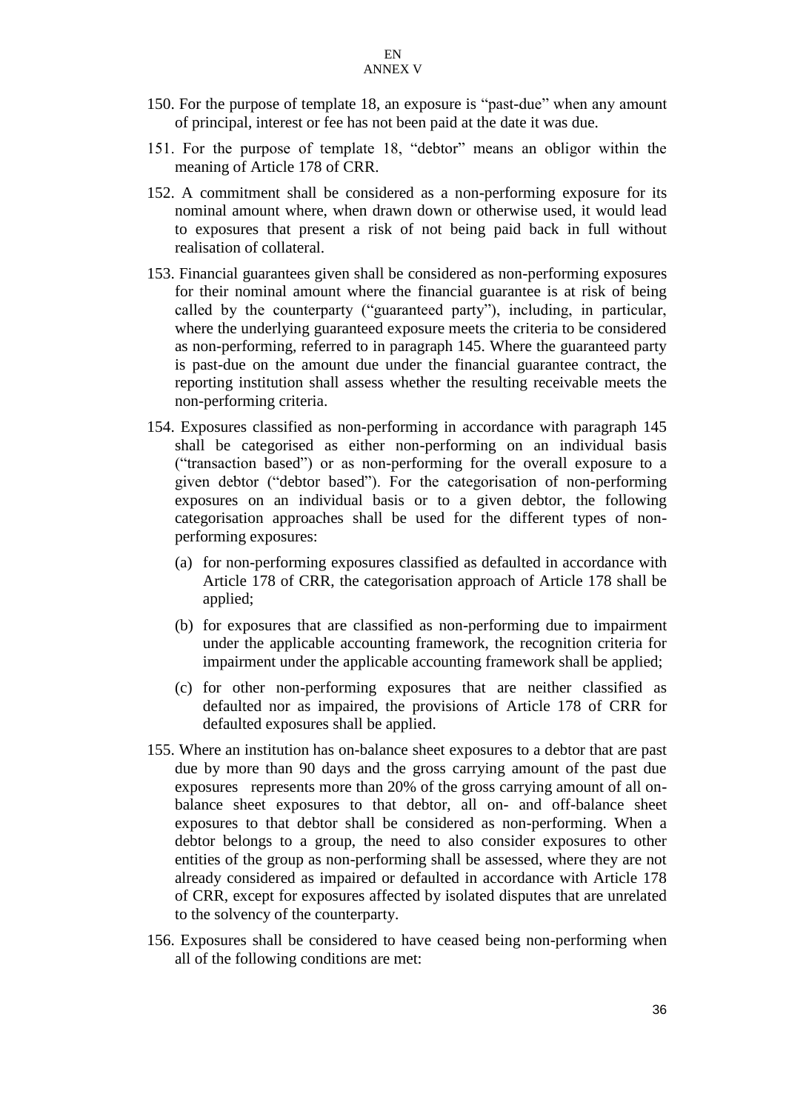- 150. For the purpose of template 18, an exposure is "past-due" when any amount of principal, interest or fee has not been paid at the date it was due.
- 151. For the purpose of template 18, "debtor" means an obligor within the meaning of Article 178 of CRR.
- 152. A commitment shall be considered as a non-performing exposure for its nominal amount where, when drawn down or otherwise used, it would lead to exposures that present a risk of not being paid back in full without realisation of collateral.
- 153. Financial guarantees given shall be considered as non-performing exposures for their nominal amount where the financial guarantee is at risk of being called by the counterparty ("guaranteed party"), including, in particular, where the underlying guaranteed exposure meets the criteria to be considered as non-performing, referred to in paragraph 145. Where the guaranteed party is past-due on the amount due under the financial guarantee contract, the reporting institution shall assess whether the resulting receivable meets the non-performing criteria.
- 154. Exposures classified as non-performing in accordance with paragraph 145 shall be categorised as either non-performing on an individual basis ("transaction based") or as non-performing for the overall exposure to a given debtor ("debtor based"). For the categorisation of non-performing exposures on an individual basis or to a given debtor, the following categorisation approaches shall be used for the different types of nonperforming exposures:
	- (a) for non-performing exposures classified as defaulted in accordance with Article 178 of CRR, the categorisation approach of Article 178 shall be applied;
	- (b) for exposures that are classified as non-performing due to impairment under the applicable accounting framework, the recognition criteria for impairment under the applicable accounting framework shall be applied;
	- (c) for other non-performing exposures that are neither classified as defaulted nor as impaired, the provisions of Article 178 of CRR for defaulted exposures shall be applied.
- 155. Where an institution has on-balance sheet exposures to a debtor that are past due by more than 90 days and the gross carrying amount of the past due exposures represents more than 20% of the gross carrying amount of all onbalance sheet exposures to that debtor, all on- and off-balance sheet exposures to that debtor shall be considered as non-performing. When a debtor belongs to a group, the need to also consider exposures to other entities of the group as non-performing shall be assessed, where they are not already considered as impaired or defaulted in accordance with Article 178 of CRR, except for exposures affected by isolated disputes that are unrelated to the solvency of the counterparty.
- 156. Exposures shall be considered to have ceased being non-performing when all of the following conditions are met: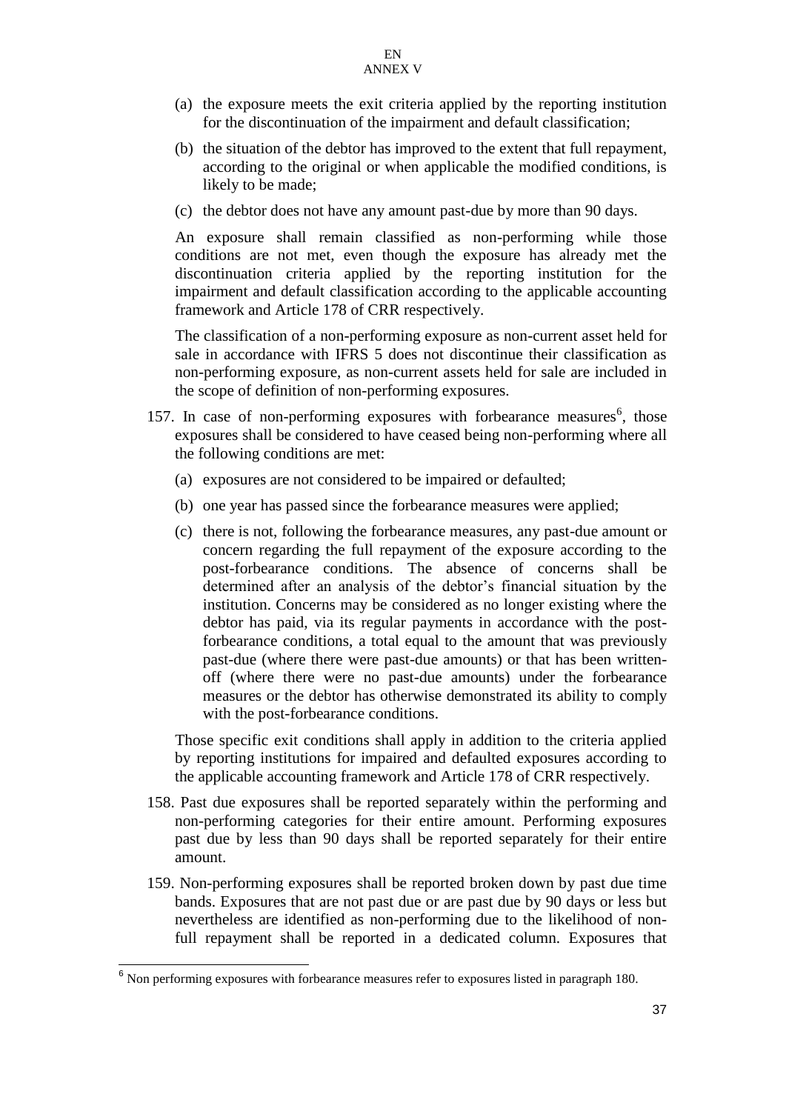- (a) the exposure meets the exit criteria applied by the reporting institution for the discontinuation of the impairment and default classification;
- (b) the situation of the debtor has improved to the extent that full repayment, according to the original or when applicable the modified conditions, is likely to be made;
- (c) the debtor does not have any amount past-due by more than 90 days.

An exposure shall remain classified as non-performing while those conditions are not met, even though the exposure has already met the discontinuation criteria applied by the reporting institution for the impairment and default classification according to the applicable accounting framework and Article 178 of CRR respectively.

The classification of a non-performing exposure as non-current asset held for sale in accordance with IFRS 5 does not discontinue their classification as non-performing exposure, as non-current assets held for sale are included in the scope of definition of non-performing exposures.

- 157. In case of non-performing exposures with forbearance measures $<sup>6</sup>$ , those</sup> exposures shall be considered to have ceased being non-performing where all the following conditions are met:
	- (a) exposures are not considered to be impaired or defaulted;
	- (b) one year has passed since the forbearance measures were applied;
	- (c) there is not, following the forbearance measures, any past-due amount or concern regarding the full repayment of the exposure according to the post-forbearance conditions. The absence of concerns shall be determined after an analysis of the debtor's financial situation by the institution. Concerns may be considered as no longer existing where the debtor has paid, via its regular payments in accordance with the postforbearance conditions, a total equal to the amount that was previously past-due (where there were past-due amounts) or that has been writtenoff (where there were no past-due amounts) under the forbearance measures or the debtor has otherwise demonstrated its ability to comply with the post-forbearance conditions.

Those specific exit conditions shall apply in addition to the criteria applied by reporting institutions for impaired and defaulted exposures according to the applicable accounting framework and Article 178 of CRR respectively.

- 158. Past due exposures shall be reported separately within the performing and non-performing categories for their entire amount. Performing exposures past due by less than 90 days shall be reported separately for their entire amount.
- 159. Non-performing exposures shall be reported broken down by past due time bands. Exposures that are not past due or are past due by 90 days or less but nevertheless are identified as non-performing due to the likelihood of nonfull repayment shall be reported in a dedicated column. Exposures that

 $\overline{a}$ 

 $6$  Non performing exposures with forbearance measures refer to exposures listed in paragraph 180.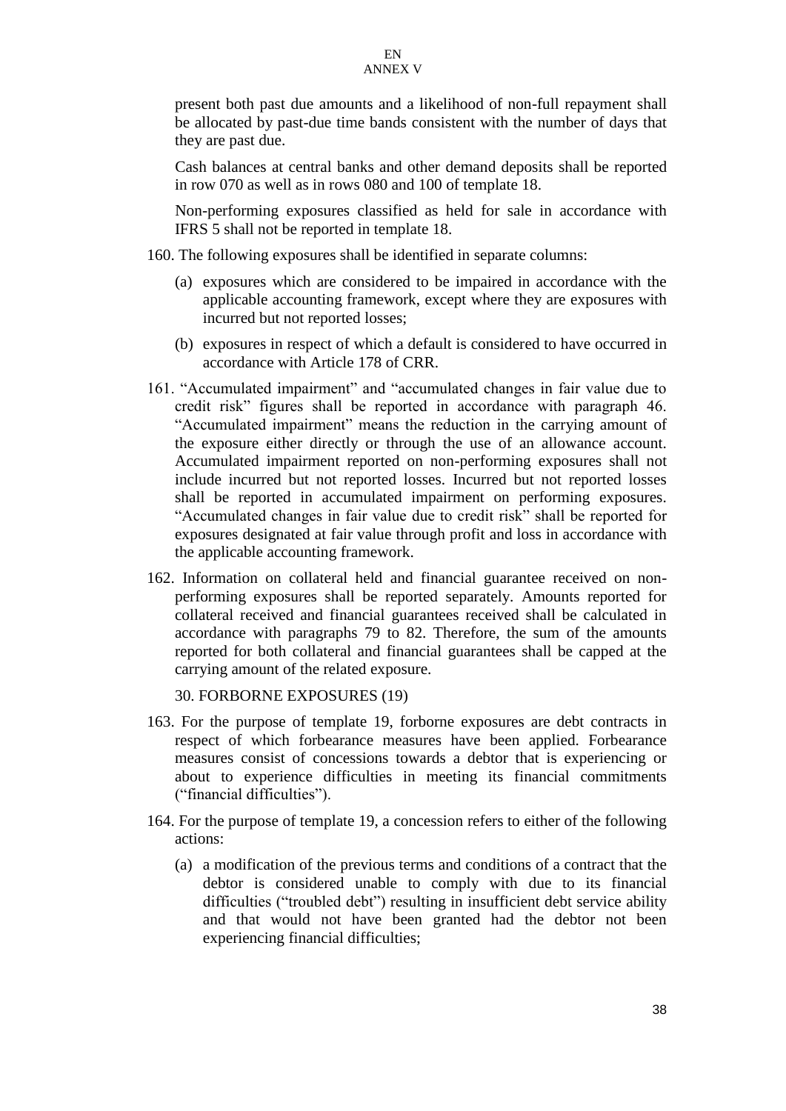present both past due amounts and a likelihood of non-full repayment shall be allocated by past-due time bands consistent with the number of days that they are past due.

Cash balances at central banks and other demand deposits shall be reported in row 070 as well as in rows 080 and 100 of template 18.

Non-performing exposures classified as held for sale in accordance with IFRS 5 shall not be reported in template 18.

- 160. The following exposures shall be identified in separate columns:
	- (a) exposures which are considered to be impaired in accordance with the applicable accounting framework, except where they are exposures with incurred but not reported losses;
	- (b) exposures in respect of which a default is considered to have occurred in accordance with Article 178 of CRR.
- 161. "Accumulated impairment" and "accumulated changes in fair value due to credit risk" figures shall be reported in accordance with paragraph 46. "Accumulated impairment" means the reduction in the carrying amount of the exposure either directly or through the use of an allowance account. Accumulated impairment reported on non-performing exposures shall not include incurred but not reported losses. Incurred but not reported losses shall be reported in accumulated impairment on performing exposures. "Accumulated changes in fair value due to credit risk" shall be reported for exposures designated at fair value through profit and loss in accordance with the applicable accounting framework.
- 162. Information on collateral held and financial guarantee received on nonperforming exposures shall be reported separately. Amounts reported for collateral received and financial guarantees received shall be calculated in accordance with paragraphs 79 to 82. Therefore, the sum of the amounts reported for both collateral and financial guarantees shall be capped at the carrying amount of the related exposure.

30. FORBORNE EXPOSURES (19)

- 163. For the purpose of template 19, forborne exposures are debt contracts in respect of which forbearance measures have been applied. Forbearance measures consist of concessions towards a debtor that is experiencing or about to experience difficulties in meeting its financial commitments ("financial difficulties").
- 164. For the purpose of template 19, a concession refers to either of the following actions:
	- (a) a modification of the previous terms and conditions of a contract that the debtor is considered unable to comply with due to its financial difficulties ("troubled debt") resulting in insufficient debt service ability and that would not have been granted had the debtor not been experiencing financial difficulties;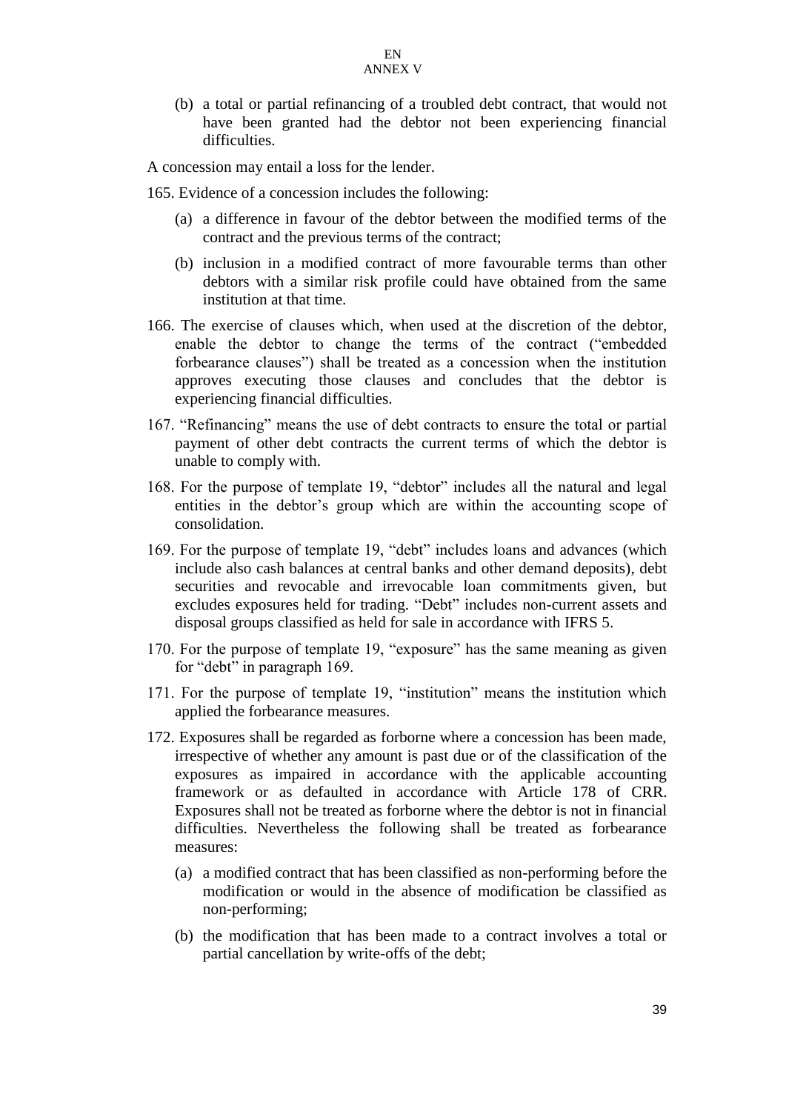(b) a total or partial refinancing of a troubled debt contract, that would not have been granted had the debtor not been experiencing financial difficulties.

A concession may entail a loss for the lender.

- 165. Evidence of a concession includes the following:
	- (a) a difference in favour of the debtor between the modified terms of the contract and the previous terms of the contract;
	- (b) inclusion in a modified contract of more favourable terms than other debtors with a similar risk profile could have obtained from the same institution at that time.
- 166. The exercise of clauses which, when used at the discretion of the debtor, enable the debtor to change the terms of the contract ("embedded forbearance clauses") shall be treated as a concession when the institution approves executing those clauses and concludes that the debtor is experiencing financial difficulties.
- 167. "Refinancing" means the use of debt contracts to ensure the total or partial payment of other debt contracts the current terms of which the debtor is unable to comply with.
- 168. For the purpose of template 19, "debtor" includes all the natural and legal entities in the debtor's group which are within the accounting scope of consolidation.
- 169. For the purpose of template 19, "debt" includes loans and advances (which include also cash balances at central banks and other demand deposits), debt securities and revocable and irrevocable loan commitments given, but excludes exposures held for trading. "Debt" includes non-current assets and disposal groups classified as held for sale in accordance with IFRS 5.
- 170. For the purpose of template 19, "exposure" has the same meaning as given for "debt" in paragraph 169.
- 171. For the purpose of template 19, "institution" means the institution which applied the forbearance measures.
- 172. Exposures shall be regarded as forborne where a concession has been made, irrespective of whether any amount is past due or of the classification of the exposures as impaired in accordance with the applicable accounting framework or as defaulted in accordance with Article 178 of CRR. Exposures shall not be treated as forborne where the debtor is not in financial difficulties. Nevertheless the following shall be treated as forbearance measures:
	- (a) a modified contract that has been classified as non-performing before the modification or would in the absence of modification be classified as non-performing;
	- (b) the modification that has been made to a contract involves a total or partial cancellation by write-offs of the debt;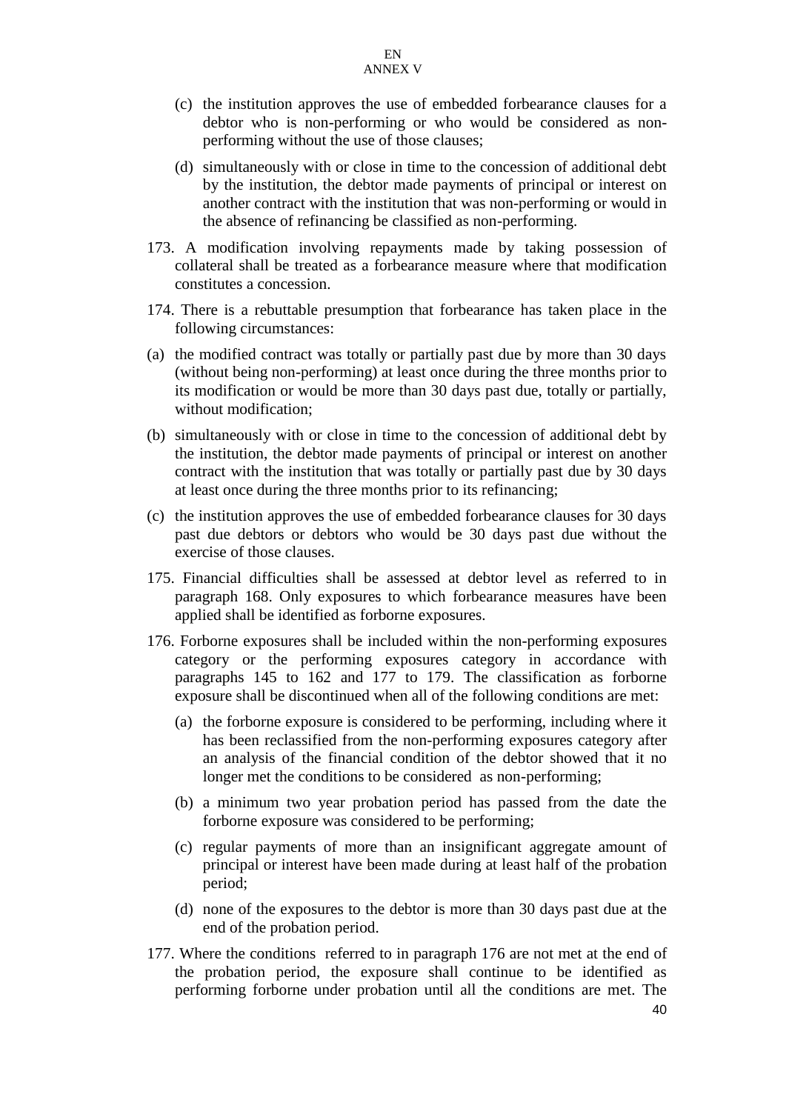- (c) the institution approves the use of embedded forbearance clauses for a debtor who is non-performing or who would be considered as nonperforming without the use of those clauses;
- (d) simultaneously with or close in time to the concession of additional debt by the institution, the debtor made payments of principal or interest on another contract with the institution that was non-performing or would in the absence of refinancing be classified as non-performing.
- 173. A modification involving repayments made by taking possession of collateral shall be treated as a forbearance measure where that modification constitutes a concession.
- 174. There is a rebuttable presumption that forbearance has taken place in the following circumstances:
- (a) the modified contract was totally or partially past due by more than 30 days (without being non-performing) at least once during the three months prior to its modification or would be more than 30 days past due, totally or partially, without modification;
- (b) simultaneously with or close in time to the concession of additional debt by the institution, the debtor made payments of principal or interest on another contract with the institution that was totally or partially past due by 30 days at least once during the three months prior to its refinancing;
- (c) the institution approves the use of embedded forbearance clauses for 30 days past due debtors or debtors who would be 30 days past due without the exercise of those clauses.
- 175. Financial difficulties shall be assessed at debtor level as referred to in paragraph 168. Only exposures to which forbearance measures have been applied shall be identified as forborne exposures.
- 176. Forborne exposures shall be included within the non-performing exposures category or the performing exposures category in accordance with paragraphs 145 to 162 and 177 to 179. The classification as forborne exposure shall be discontinued when all of the following conditions are met:
	- (a) the forborne exposure is considered to be performing, including where it has been reclassified from the non-performing exposures category after an analysis of the financial condition of the debtor showed that it no longer met the conditions to be considered as non-performing;
	- (b) a minimum two year probation period has passed from the date the forborne exposure was considered to be performing;
	- (c) regular payments of more than an insignificant aggregate amount of principal or interest have been made during at least half of the probation period;
	- (d) none of the exposures to the debtor is more than 30 days past due at the end of the probation period.
- 177. Where the conditions referred to in paragraph 176 are not met at the end of the probation period, the exposure shall continue to be identified as performing forborne under probation until all the conditions are met. The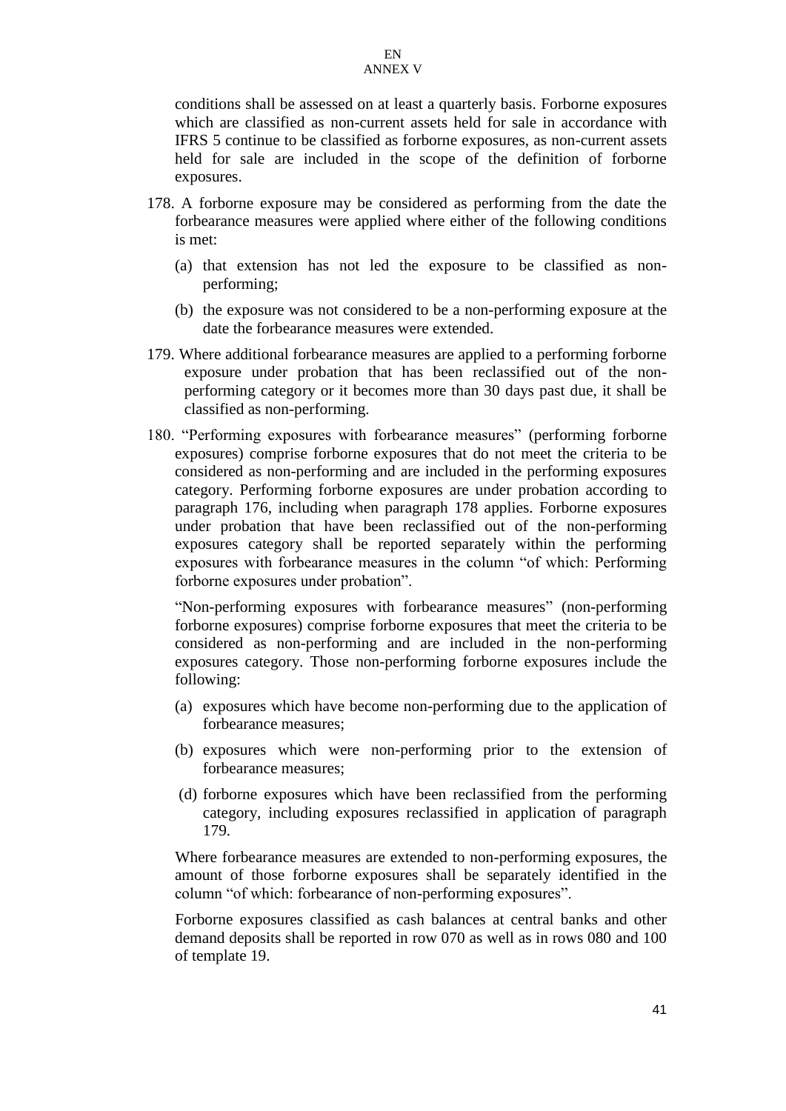conditions shall be assessed on at least a quarterly basis. Forborne exposures which are classified as non-current assets held for sale in accordance with IFRS 5 continue to be classified as forborne exposures, as non-current assets held for sale are included in the scope of the definition of forborne exposures.

- 178. A forborne exposure may be considered as performing from the date the forbearance measures were applied where either of the following conditions is met:
	- (a) that extension has not led the exposure to be classified as nonperforming;
	- (b) the exposure was not considered to be a non-performing exposure at the date the forbearance measures were extended.
- 179. Where additional forbearance measures are applied to a performing forborne exposure under probation that has been reclassified out of the nonperforming category or it becomes more than 30 days past due, it shall be classified as non-performing.
- 180. "Performing exposures with forbearance measures" (performing forborne exposures) comprise forborne exposures that do not meet the criteria to be considered as non-performing and are included in the performing exposures category. Performing forborne exposures are under probation according to paragraph 176, including when paragraph 178 applies. Forborne exposures under probation that have been reclassified out of the non-performing exposures category shall be reported separately within the performing exposures with forbearance measures in the column "of which: Performing forborne exposures under probation".

"Non-performing exposures with forbearance measures" (non-performing forborne exposures) comprise forborne exposures that meet the criteria to be considered as non-performing and are included in the non-performing exposures category. Those non-performing forborne exposures include the following:

- (a) exposures which have become non-performing due to the application of forbearance measures;
- (b) exposures which were non-performing prior to the extension of forbearance measures;
- (d) forborne exposures which have been reclassified from the performing category, including exposures reclassified in application of paragraph 179.

Where forbearance measures are extended to non-performing exposures, the amount of those forborne exposures shall be separately identified in the column "of which: forbearance of non-performing exposures".

Forborne exposures classified as cash balances at central banks and other demand deposits shall be reported in row 070 as well as in rows 080 and 100 of template 19.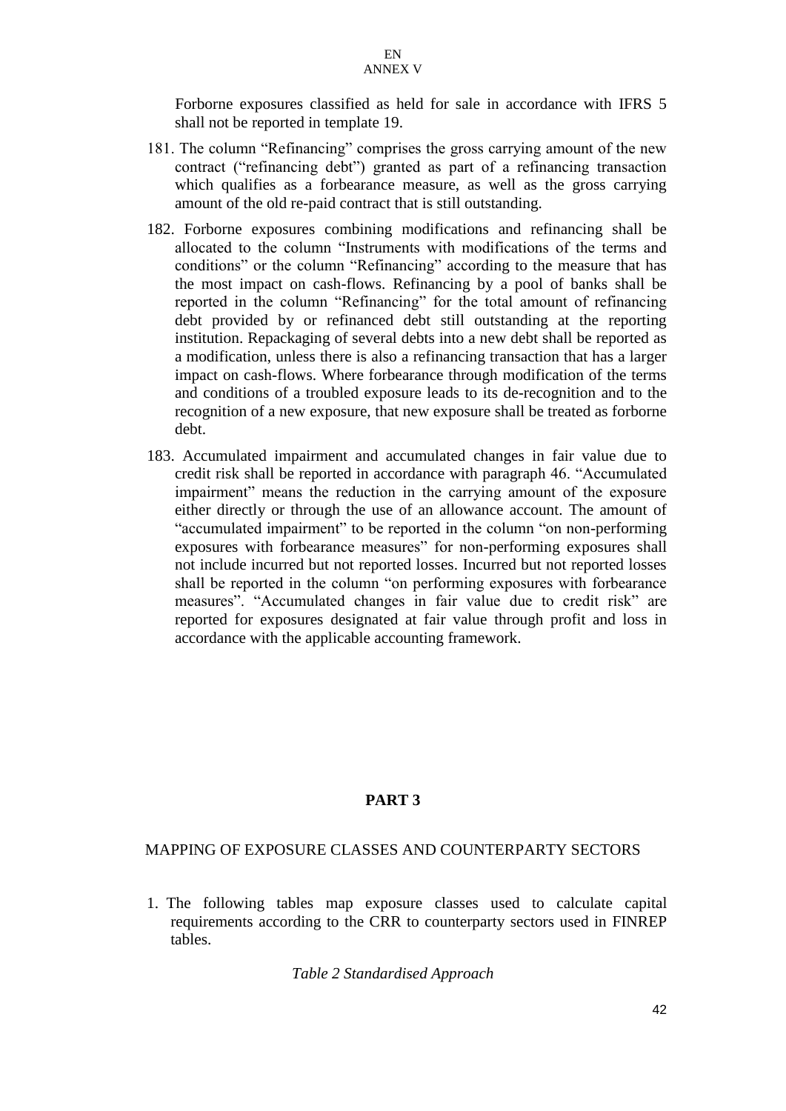Forborne exposures classified as held for sale in accordance with IFRS 5 shall not be reported in template 19.

- 181. The column "Refinancing" comprises the gross carrying amount of the new contract ("refinancing debt") granted as part of a refinancing transaction which qualifies as a forbearance measure, as well as the gross carrying amount of the old re-paid contract that is still outstanding.
- 182. Forborne exposures combining modifications and refinancing shall be allocated to the column "Instruments with modifications of the terms and conditions" or the column "Refinancing" according to the measure that has the most impact on cash-flows. Refinancing by a pool of banks shall be reported in the column "Refinancing" for the total amount of refinancing debt provided by or refinanced debt still outstanding at the reporting institution. Repackaging of several debts into a new debt shall be reported as a modification, unless there is also a refinancing transaction that has a larger impact on cash-flows. Where forbearance through modification of the terms and conditions of a troubled exposure leads to its de-recognition and to the recognition of a new exposure, that new exposure shall be treated as forborne debt.
- 183. Accumulated impairment and accumulated changes in fair value due to credit risk shall be reported in accordance with paragraph 46. "Accumulated impairment" means the reduction in the carrying amount of the exposure either directly or through the use of an allowance account. The amount of "accumulated impairment" to be reported in the column "on non-performing exposures with forbearance measures" for non-performing exposures shall not include incurred but not reported losses. Incurred but not reported losses shall be reported in the column "on performing exposures with forbearance measures". "Accumulated changes in fair value due to credit risk" are reported for exposures designated at fair value through profit and loss in accordance with the applicable accounting framework.

# **PART 3**

### MAPPING OF EXPOSURE CLASSES AND COUNTERPARTY SECTORS

1. The following tables map exposure classes used to calculate capital requirements according to the CRR to counterparty sectors used in FINREP tables.

#### *Table 2 Standardised Approach*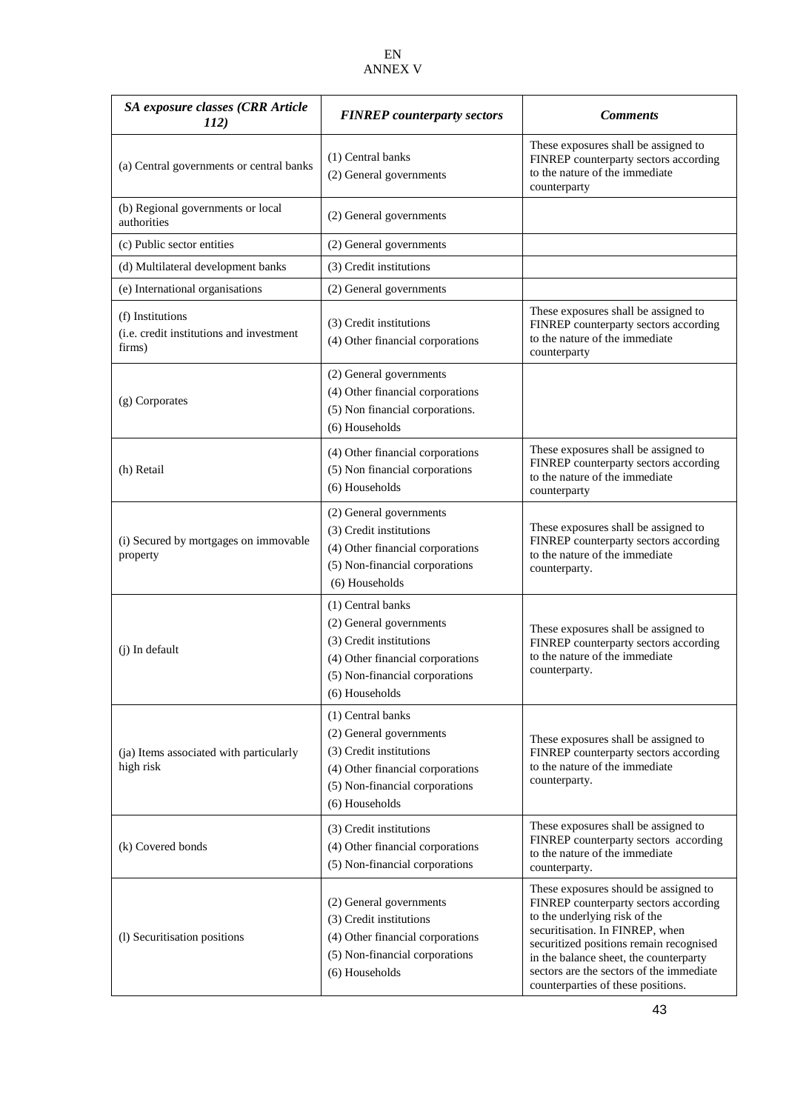| SA exposure classes (CRR Article<br>112)                               | <b>FINREP</b> counterparty sectors                                                                                                                              | <b>Comments</b>                                                                                                                                                                                                                                                                                                           |  |
|------------------------------------------------------------------------|-----------------------------------------------------------------------------------------------------------------------------------------------------------------|---------------------------------------------------------------------------------------------------------------------------------------------------------------------------------------------------------------------------------------------------------------------------------------------------------------------------|--|
| (a) Central governments or central banks                               | (1) Central banks<br>(2) General governments                                                                                                                    | These exposures shall be assigned to<br>FINREP counterparty sectors according<br>to the nature of the immediate<br>counterparty                                                                                                                                                                                           |  |
| (b) Regional governments or local<br>authorities                       | (2) General governments                                                                                                                                         |                                                                                                                                                                                                                                                                                                                           |  |
| (c) Public sector entities                                             | (2) General governments                                                                                                                                         |                                                                                                                                                                                                                                                                                                                           |  |
| (d) Multilateral development banks                                     | (3) Credit institutions                                                                                                                                         |                                                                                                                                                                                                                                                                                                                           |  |
| (e) International organisations                                        | (2) General governments                                                                                                                                         |                                                                                                                                                                                                                                                                                                                           |  |
| (f) Institutions<br>(i.e. credit institutions and investment<br>firms) | (3) Credit institutions<br>(4) Other financial corporations                                                                                                     | These exposures shall be assigned to<br>FINREP counterparty sectors according<br>to the nature of the immediate<br>counterparty                                                                                                                                                                                           |  |
| (g) Corporates                                                         | (2) General governments<br>(4) Other financial corporations<br>(5) Non financial corporations.<br>(6) Households                                                |                                                                                                                                                                                                                                                                                                                           |  |
| (h) Retail                                                             | (4) Other financial corporations<br>(5) Non financial corporations<br>(6) Households                                                                            | These exposures shall be assigned to<br>FINREP counterparty sectors according<br>to the nature of the immediate<br>counterparty                                                                                                                                                                                           |  |
| (i) Secured by mortgages on immovable<br>property                      | (2) General governments<br>(3) Credit institutions<br>(4) Other financial corporations<br>(5) Non-financial corporations<br>(6) Households                      | These exposures shall be assigned to<br>FINREP counterparty sectors according<br>to the nature of the immediate<br>counterparty.                                                                                                                                                                                          |  |
| (j) In default                                                         | (1) Central banks<br>(2) General governments<br>(3) Credit institutions<br>(4) Other financial corporations<br>(5) Non-financial corporations<br>(6) Households | These exposures shall be assigned to<br>FINREP counterparty sectors according<br>to the nature of the immediate<br>counterparty.                                                                                                                                                                                          |  |
| (ja) Items associated with particularly<br>high risk                   | (1) Central banks<br>(2) General governments<br>(3) Credit institutions<br>(4) Other financial corporations<br>(5) Non-financial corporations<br>(6) Households | These exposures shall be assigned to<br>FINREP counterparty sectors according<br>to the nature of the immediate<br>counterparty.                                                                                                                                                                                          |  |
| (k) Covered bonds                                                      | (3) Credit institutions<br>(4) Other financial corporations<br>(5) Non-financial corporations                                                                   | These exposures shall be assigned to<br>FINREP counterparty sectors according<br>to the nature of the immediate<br>counterparty.                                                                                                                                                                                          |  |
| (l) Securitisation positions                                           | (2) General governments<br>(3) Credit institutions<br>(4) Other financial corporations<br>(5) Non-financial corporations<br>(6) Households                      | These exposures should be assigned to<br>FINREP counterparty sectors according<br>to the underlying risk of the<br>securitisation. In FINREP, when<br>securitized positions remain recognised<br>in the balance sheet, the counterparty<br>sectors are the sectors of the immediate<br>counterparties of these positions. |  |